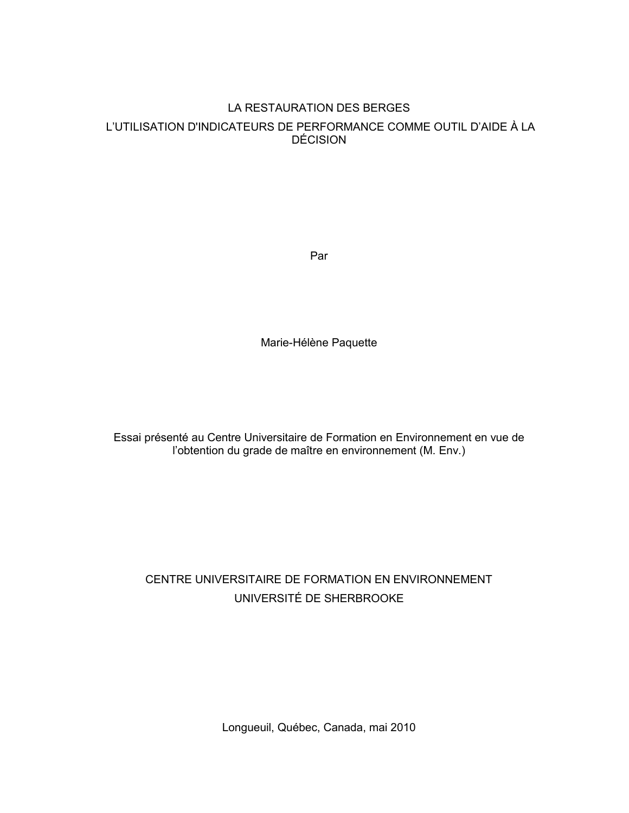# LA RESTAURATION DES BERGES L'UTILISATION D'INDICATEURS DE PERFORMANCE COMME OUTIL D'AIDE À LA **DÉCISION**

Par

Marie-Hélène Paquette

Essai présenté au Centre Universitaire de Formation en Environnement en vue de l'obtention du grade de maître en environnement (M. Env.)

# CENTRE UNIVERSITAIRE DE FORMATION EN ENVIRONNEMENT UNIVERSITÉ DE SHERBROOKE

Longueuil, Québec, Canada, mai 2010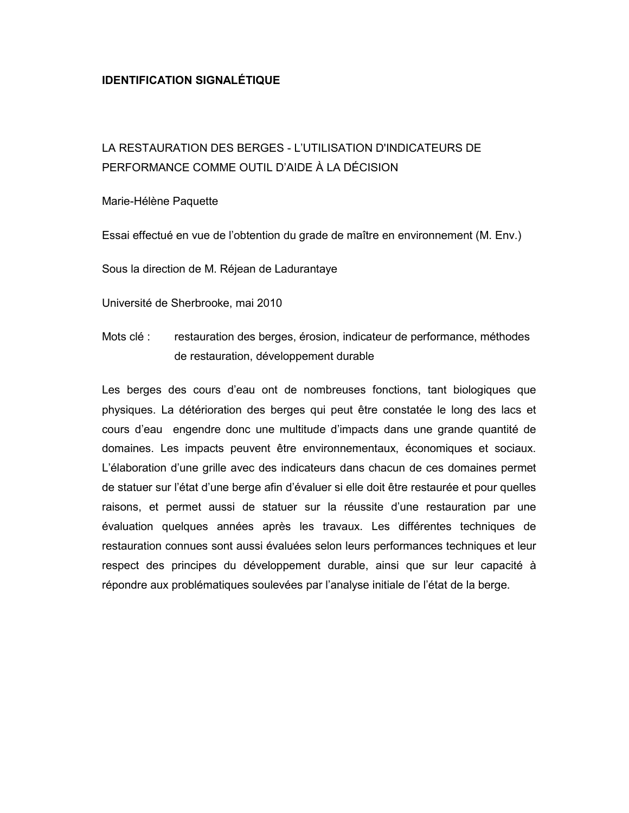# **IDENTIFICATION SIGNALÉTIQUE**

# LA RESTAURATION DES BERGES - L'UTILISATION D'INDICATEURS DE PERFORMANCE COMME OUTIL D'AIDE À LA DÉCISION

Marie-Hélène Paquette

Essai effectué en vue de l'obtention du grade de maître en environnement (M. Env.)

Sous la direction de M. Réjean de Ladurantaye

Université de Sherbrooke, mai 2010

Mots clé : restauration des berges, érosion, indicateur de performance, méthodes de restauration, développement durable

Les berges des cours d'eau ont de nombreuses fonctions, tant biologiques que physiques. La détérioration des berges qui peut être constatée le long des lacs et cours d'eau engendre donc une multitude d'impacts dans une grande quantité de domaines. Les impacts peuvent être environnementaux, économiques et sociaux. L'élaboration d'une grille avec des indicateurs dans chacun de ces domaines permet de statuer sur l'état d'une berge afin d'évaluer si elle doit être restaurée et pour quelles raisons, et permet aussi de statuer sur la réussite d'une restauration par une évaluation quelques années après les travaux. Les différentes techniques de restauration connues sont aussi évaluées selon leurs performances techniques et leur respect des principes du développement durable, ainsi que sur leur capacité à répondre aux problématiques soulevées par l'analyse initiale de l'état de la berge.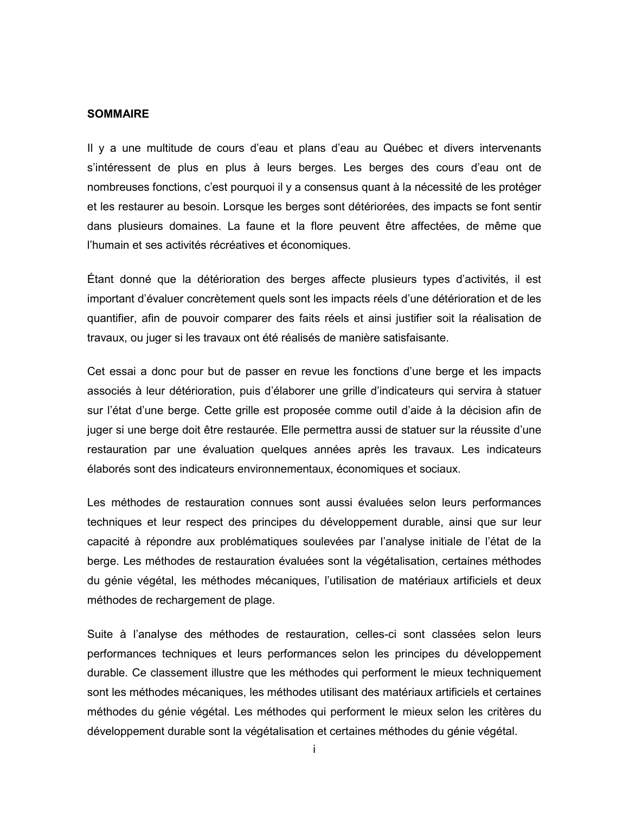### **SOMMAIRE**

Il y a une multitude de cours d'eau et plans d'eau au Québec et divers intervenants s'intéressent de plus en plus à leurs berges. Les berges des cours d'eau ont de nombreuses fonctions, c'est pourquoi il y a consensus quant à la nécessité de les protéger et les restaurer au besoin. Lorsque les berges sont détériorées, des impacts se font sentir dans plusieurs domaines. La faune et la flore peuvent être affectées, de même que l'humain et ses activités récréatives et économiques.

Étant donné que la détérioration des berges affecte plusieurs types d'activités, il est important d'évaluer concrètement quels sont les impacts réels d'une détérioration et de les quantifier, afin de pouvoir comparer des faits réels et ainsi justifier soit la réalisation de travaux, ou juger si les travaux ont été réalisés de manière satisfaisante.

Cet essai a donc pour but de passer en revue les fonctions d'une berge et les impacts associés à leur détérioration, puis d'élaborer une grille d'indicateurs qui servira à statuer sur l'état d'une berge. Cette grille est proposée comme outil d'aide à la décision afin de juger si une berge doit être restaurée. Elle permettra aussi de statuer sur la réussite d'une restauration par une évaluation quelques années après les travaux. Les indicateurs élaborés sont des indicateurs environnementaux, économiques et sociaux.

Les méthodes de restauration connues sont aussi évaluées selon leurs performances techniques et leur respect des principes du développement durable, ainsi que sur leur capacité à répondre aux problématiques soulevées par l'analyse initiale de l'état de la berge. Les méthodes de restauration évaluées sont la végétalisation, certaines méthodes du génie végétal, les méthodes mécaniques, l'utilisation de matériaux artificiels et deux méthodes de rechargement de plage.

Suite à l'analyse des méthodes de restauration, celles-ci sont classées selon leurs performances techniques et leurs performances selon les principes du développement durable. Ce classement illustre que les méthodes qui performent le mieux techniquement sont les méthodes mécaniques, les méthodes utilisant des matériaux artificiels et certaines méthodes du génie végétal. Les méthodes qui performent le mieux selon les critères du développement durable sont la végétalisation et certaines méthodes du génie végétal.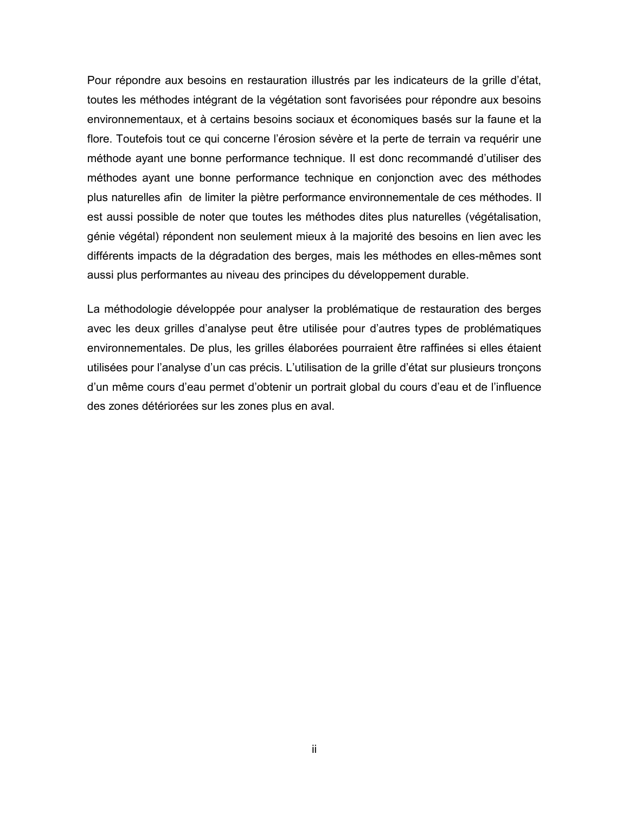Pour répondre aux besoins en restauration illustrés par les indicateurs de la grille d'état, toutes les méthodes intégrant de la végétation sont favorisées pour répondre aux besoins environnementaux, et à certains besoins sociaux et économiques basés sur la faune et la flore. Toutefois tout ce qui concerne l'érosion sévère et la perte de terrain va requérir une méthode ayant une bonne performance technique. Il est donc recommandé d'utiliser des méthodes ayant une bonne performance technique en conjonction avec des méthodes plus naturelles afin de limiter la piètre performance environnementale de ces méthodes. Il est aussi possible de noter que toutes les méthodes dites plus naturelles (végétalisation, génie végétal) répondent non seulement mieux à la majorité des besoins en lien avec les différents impacts de la dégradation des berges, mais les méthodes en elles-mêmes sont aussi plus performantes au niveau des principes du développement durable.

La méthodologie développée pour analyser la problématique de restauration des berges avec les deux grilles d'analyse peut être utilisée pour d'autres types de problématiques environnementales. De plus, les grilles élaborées pourraient être raffinées si elles étaient utilisées pour l'analyse d'un cas précis. L'utilisation de la grille d'état sur plusieurs tronçons d'un même cours d'eau permet d'obtenir un portrait global du cours d'eau et de l'influence des zones détériorées sur les zones plus en aval.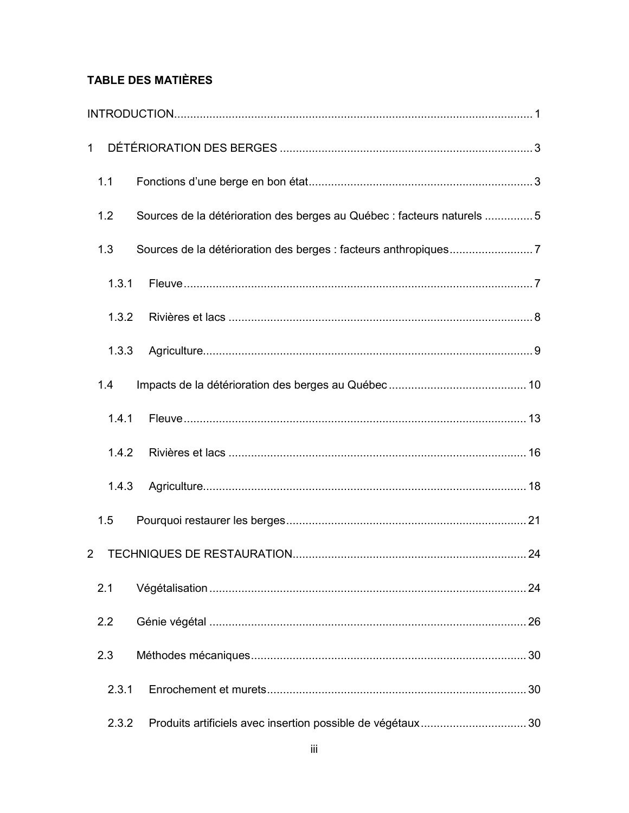# **TABLE DES MATIÈRES**

|                | 1.1   |                                                                         |  |
|----------------|-------|-------------------------------------------------------------------------|--|
|                | 1.2   | Sources de la détérioration des berges au Québec : facteurs naturels  5 |  |
|                | 1.3   |                                                                         |  |
|                | 1.3.1 |                                                                         |  |
|                | 1.3.2 |                                                                         |  |
|                | 1.3.3 |                                                                         |  |
|                | 1.4   |                                                                         |  |
|                | 1.4.1 |                                                                         |  |
|                | 1.4.2 |                                                                         |  |
|                | 1.4.3 |                                                                         |  |
|                | 1.5   |                                                                         |  |
| $\overline{2}$ |       |                                                                         |  |
|                | 2.1   |                                                                         |  |
|                | 2.2   |                                                                         |  |
|                | 2.3   |                                                                         |  |
|                | 2.3.1 |                                                                         |  |
|                | 2.3.2 |                                                                         |  |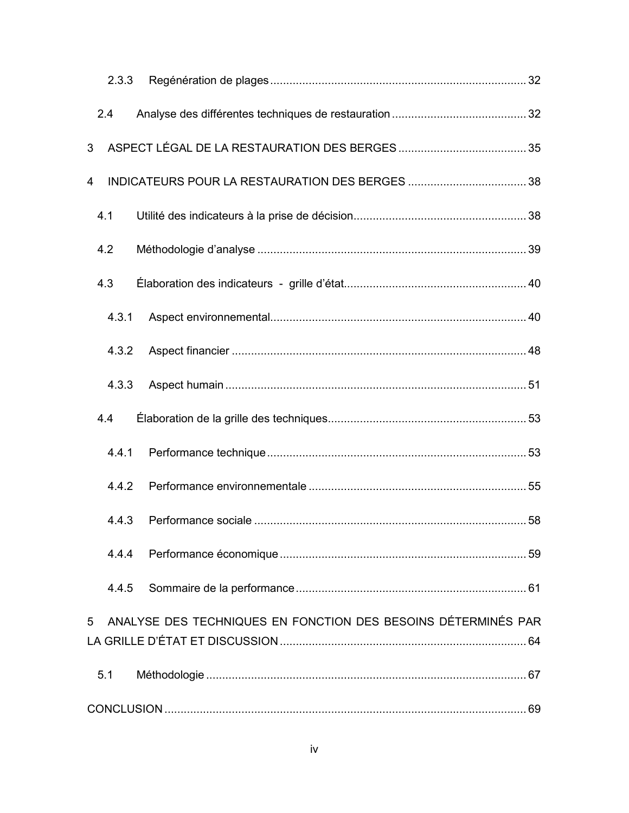|   | 2.3.3 |                                                               |  |
|---|-------|---------------------------------------------------------------|--|
|   | 2.4   |                                                               |  |
| 3 |       |                                                               |  |
| 4 |       |                                                               |  |
|   | 4.1   |                                                               |  |
|   | 4.2   |                                                               |  |
|   | 4.3   |                                                               |  |
|   | 4.3.1 |                                                               |  |
|   | 4.3.2 |                                                               |  |
|   | 4.3.3 |                                                               |  |
|   | 4.4   |                                                               |  |
|   | 4.4.1 |                                                               |  |
|   | 4.4.2 |                                                               |  |
|   | 4.4.3 |                                                               |  |
|   | 4.4.4 |                                                               |  |
|   | 4.4.5 |                                                               |  |
| 5 |       | ANALYSE DES TECHNIQUES EN FONCTION DES BESOINS DÉTERMINÉS PAR |  |
|   | 5.1   |                                                               |  |
|   |       |                                                               |  |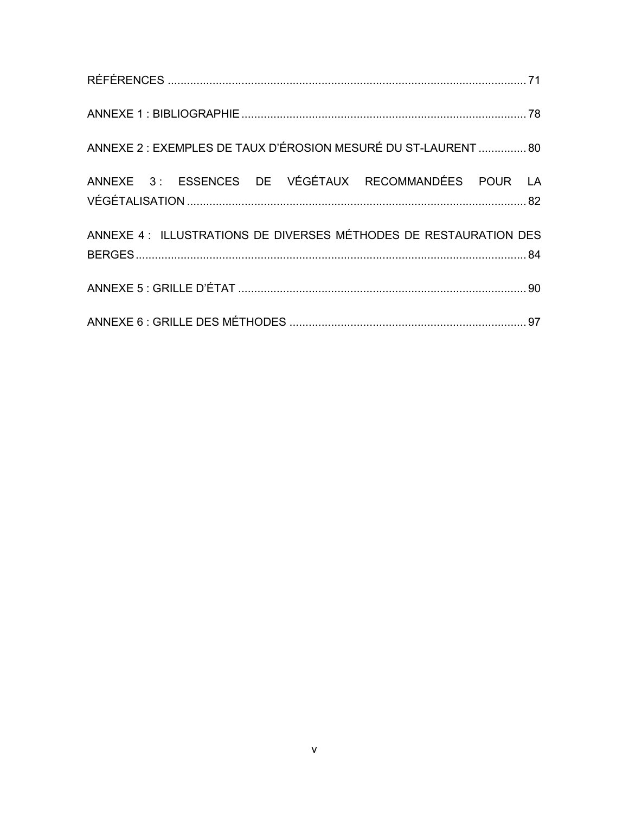| ANNEXE 2 : EXEMPLES DE TAUX D'ÉROSION MESURÉ DU ST-LAURENT  80   |  |
|------------------------------------------------------------------|--|
| ANNEXE 3: ESSENCES DE VÉGÉTAUX RECOMMANDÉES POUR LA              |  |
| ANNEXE 4: ILLUSTRATIONS DE DIVERSES MÉTHODES DE RESTAURATION DES |  |
|                                                                  |  |
|                                                                  |  |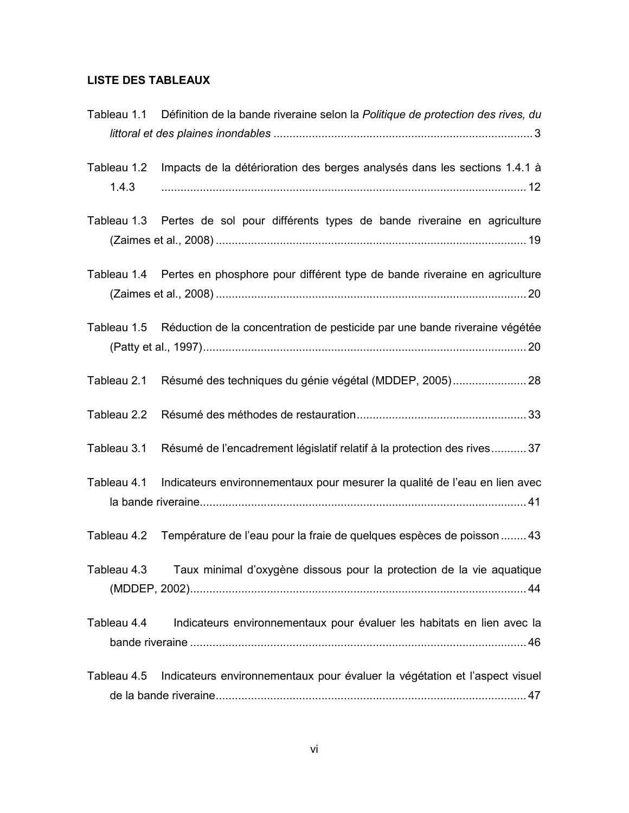# **LISTE DES TABLEAUX**

|                      | Tableau 1.1 Définition de la bande riveraine selon la Politique de protection des rives, du |
|----------------------|---------------------------------------------------------------------------------------------|
|                      |                                                                                             |
| Tableau 1.2<br>1.4.3 | Impacts de la détérioration des berges analysés dans les sections 1.4.1 à                   |
|                      | Tableau 1.3 Pertes de sol pour différents types de bande riveraine en agriculture           |
|                      | Tableau 1.4 Pertes en phosphore pour différent type de bande riveraine en agriculture       |
|                      | Tableau 1.5 Réduction de la concentration de pesticide par une bande riveraine végétée      |
| Tableau 2.1          | Résumé des techniques du génie végétal (MDDEP, 2005) 28                                     |
| Tableau 2.2          |                                                                                             |
| Tableau 3.1          | Résumé de l'encadrement législatif relatif à la protection des rives37                      |
|                      | Tableau 4.1 Indicateurs environnementaux pour mesurer la qualité de l'eau en lien avec      |
| Tableau 4.2          | Température de l'eau pour la fraie de quelques espèces de poisson  43                       |
|                      | Tableau 4.3 Taux minimal d'oxygène dissous pour la protection de la vie aquatique           |
| Tableau 4.4          | Indicateurs environnementaux pour évaluer les habitats en lien avec la                      |
| Tableau 4.5          | Indicateurs environnementaux pour évaluer la végétation et l'aspect visuel                  |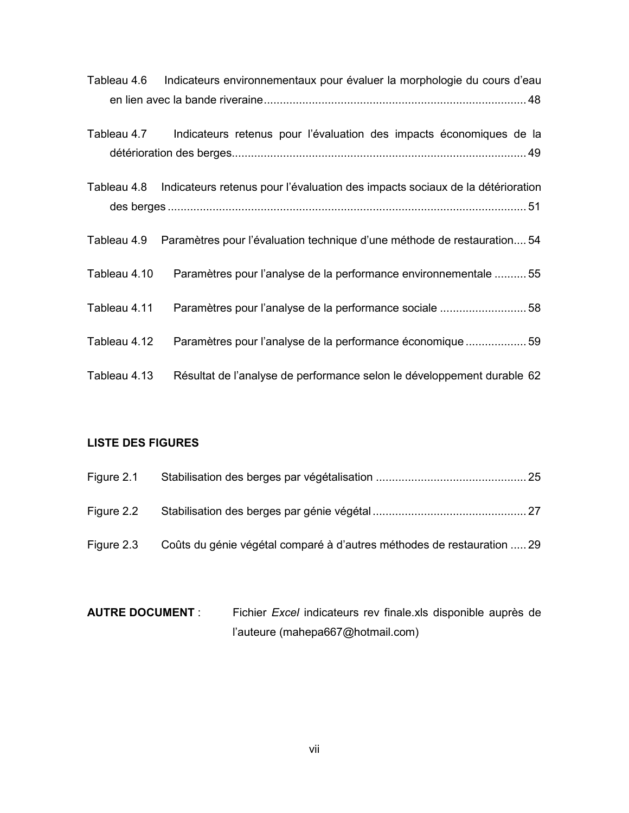| Tableau 4.6 Indicateurs environnementaux pour évaluer la morphologie du cours d'eau       |  |
|-------------------------------------------------------------------------------------------|--|
|                                                                                           |  |
| Tableau 4.7<br>Indicateurs retenus pour l'évaluation des impacts économiques de la        |  |
| Tableau 4.8 Indicateurs retenus pour l'évaluation des impacts sociaux de la détérioration |  |
| Tableau 4.9 Paramètres pour l'évaluation technique d'une méthode de restauration 54       |  |
| Tableau 4.10<br>Paramètres pour l'analyse de la performance environnementale 55           |  |
| Paramètres pour l'analyse de la performance sociale 58<br>Tableau 4.11                    |  |
| Paramètres pour l'analyse de la performance économique  59<br>Tableau 4.12                |  |
| Résultat de l'analyse de performance selon le développement durable 62<br>Tableau 4.13    |  |

# **LISTE DES FIGURES**

| Figure 2.3 Coûts du génie végétal comparé à d'autres méthodes de restauration  29 |  |
|-----------------------------------------------------------------------------------|--|

**AUTRE DOCUMENT:** Fichier Excel indicateurs rev finale.xls disponible auprès de l'auteure (mahepa667@hotmail.com)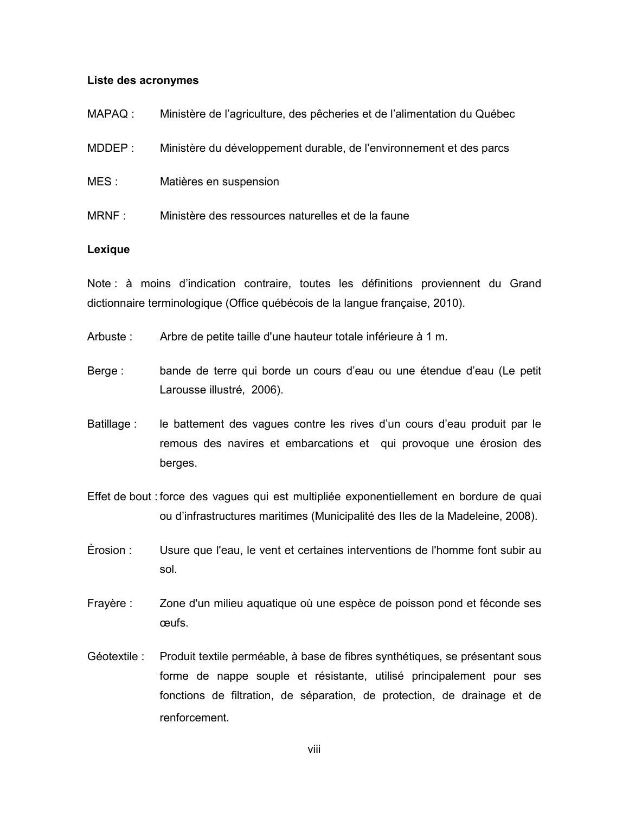### Liste des acronymes

- MAPAQ: Ministère de l'agriculture, des pêcheries et de l'alimentation du Québec
- $MDDEF:$ Ministère du développement durable, de l'environnement et des parcs
- $MES:$ Matières en suspension
- MRNF: Ministère des ressources naturelles et de la faune

### Lexique

Note : à moins d'indication contraire, toutes les définitions proviennent du Grand dictionnaire terminologique (Office québécois de la langue française, 2010).

- Arbuste: Arbre de petite taille d'une hauteur totale inférieure à 1 m.
- Berge: bande de terre qui borde un cours d'eau ou une étendue d'eau (Le petit Larousse illustré, 2006).
- Batillage: le battement des vagues contre les rives d'un cours d'eau produit par le remous des navires et embarcations et qui provoque une érosion des berges.
- Effet de bout : force des vagues qui est multipliée exponentiellement en bordure de quai ou d'infrastructures maritimes (Municipalité des lles de la Madeleine, 2008).
- Érosion : Usure que l'eau, le vent et certaines interventions de l'homme font subir au sol.
- Frayère : Zone d'un milieu aquatique où une espèce de poisson pond et féconde ses œufs.
- Géotextile : Produit textile perméable, à base de fibres synthétiques, se présentant sous forme de nappe souple et résistante, utilisé principalement pour ses fonctions de filtration, de séparation, de protection, de drainage et de renforcement.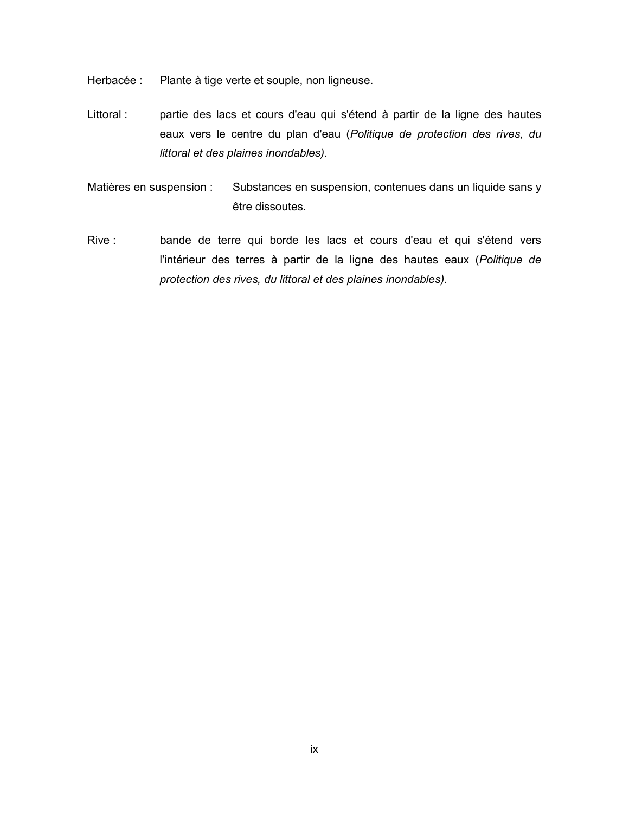Herbacée : Plante à tige verte et souple, non ligneuse.

- Littoral: partie des lacs et cours d'eau qui s'étend à partir de la ligne des hautes eaux vers le centre du plan d'eau (Politique de protection des rives, du littoral et des plaines inondables).
- Matières en suspension : Substances en suspension, contenues dans un liquide sans y être dissoutes.
- Rive: bande de terre qui borde les lacs et cours d'eau et qui s'étend vers l'intérieur des terres à partir de la ligne des hautes eaux (Politique de protection des rives, du littoral et des plaines inondables).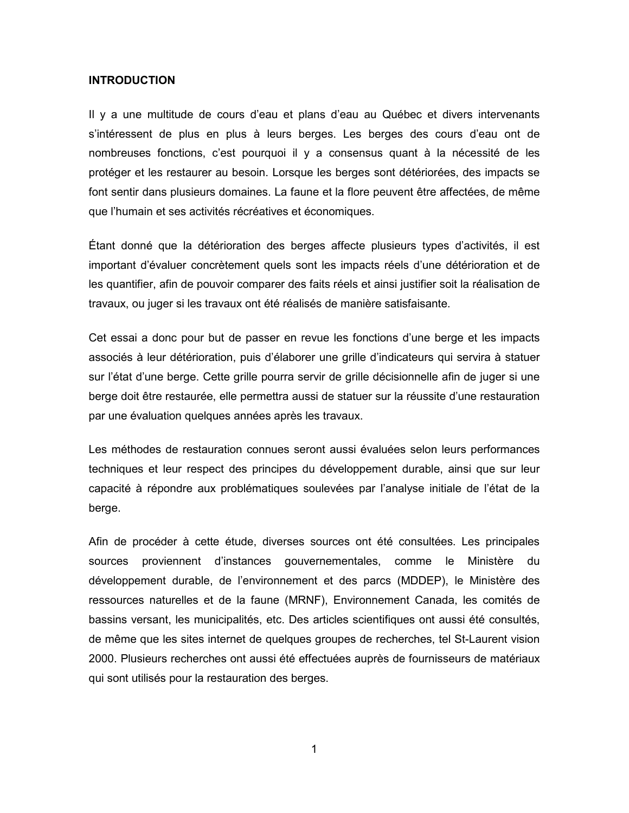### <span id="page-11-0"></span>**INTRODUCTION**

Il y a une multitude de cours d'eau et plans d'eau au Québec et divers intervenants s'intéressent de plus en plus à leurs berges. Les berges des cours d'eau ont de nombreuses fonctions, c'est pourquoi il y a consensus quant à la nécessité de les protéger et les restaurer au besoin. Lorsque les berges sont détériorées, des impacts se font sentir dans plusieurs domaines. La faune et la flore peuvent être affectées, de même que l'humain et ses activités récréatives et économiques.

Étant donné que la détérioration des berges affecte plusieurs types d'activités, il est important d'évaluer concrètement quels sont les impacts réels d'une détérioration et de les quantifier, afin de pouvoir comparer des faits réels et ainsi justifier soit la réalisation de travaux, ou juger si les travaux ont été réalisés de manière satisfaisante.

Cet essai a donc pour but de passer en revue les fonctions d'une berge et les impacts associés à leur détérioration, puis d'élaborer une grille d'indicateurs qui servira à statuer sur l'état d'une berge. Cette grille pourra servir de grille décisionnelle afin de juger si une berge doit être restaurée, elle permettra aussi de statuer sur la réussite d'une restauration par une évaluation quelques années après les travaux.

Les méthodes de restauration connues seront aussi évaluées selon leurs performances techniques et leur respect des principes du développement durable, ainsi que sur leur capacité à répondre aux problématiques soulevées par l'analyse initiale de l'état de la berge.

Afin de procéder à cette étude, diverses sources ont été consultées. Les principales sources proviennent d'instances gouvernementales, comme le Ministère du développement durable, de l'environnement et des parcs (MDDEP), le Ministère des ressources naturelles et de la faune (MRNF), Environnement Canada, les comités de bassins versant, les municipalités, etc. Des articles scientifiques ont aussi été consultés, de même que les sites internet de quelques groupes de recherches, tel St-Laurent vision 2000. Plusieurs recherches ont aussi été effectuées auprès de fournisseurs de matériaux qui sont utilisés pour la restauration des berges.

 $\overline{1}$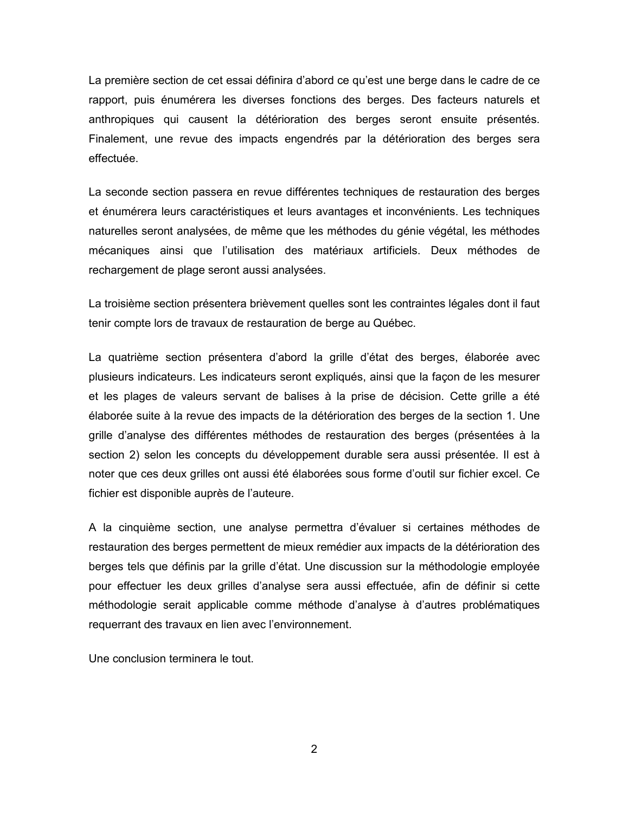La première section de cet essai définira d'abord ce qu'est une berge dans le cadre de ce rapport, puis énumérera les diverses fonctions des berges. Des facteurs naturels et anthropiques qui causent la détérioration des berges seront ensuite présentés. Finalement, une revue des impacts engendrés par la détérioration des berges sera effectuée.

La seconde section passera en revue différentes techniques de restauration des berges et énumérera leurs caractéristiques et leurs avantages et inconvénients. Les techniques naturelles seront analysées, de même que les méthodes du génie végétal, les méthodes mécaniques ainsi que l'utilisation des matériaux artificiels. Deux méthodes de rechargement de plage seront aussi analysées.

La troisième section présentera brièvement quelles sont les contraintes légales dont il faut tenir compte lors de travaux de restauration de berge au Québec.

La quatrième section présentera d'abord la grille d'état des berges, élaborée avec plusieurs indicateurs. Les indicateurs seront expliqués, ainsi que la façon de les mesurer et les plages de valeurs servant de balises à la prise de décision. Cette grille a été élaborée suite à la revue des impacts de la détérioration des berges de la section 1. Une grille d'analyse des différentes méthodes de restauration des berges (présentées à la section 2) selon les concepts du développement durable sera aussi présentée. Il est à noter que ces deux grilles ont aussi été élaborées sous forme d'outil sur fichier excel. Ce fichier est disponible auprès de l'auteure.

A la cinquième section, une analyse permettra d'évaluer si certaines méthodes de restauration des berges permettent de mieux remédier aux impacts de la détérioration des berges tels que définis par la grille d'état. Une discussion sur la méthodologie employée pour effectuer les deux grilles d'analyse sera aussi effectuée, afin de définir si cette méthodologie serait applicable comme méthode d'analyse à d'autres problématiques requerrant des travaux en lien avec l'environnement.

Une conclusion terminera le tout.

 $\overline{2}$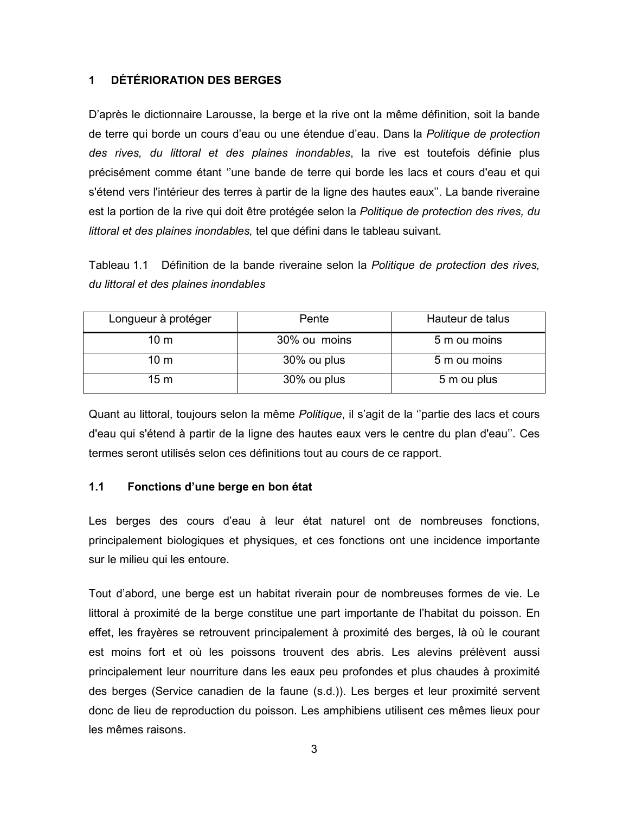#### <span id="page-13-0"></span>**DÉTÉRIORATION DES BERGES**  $\blacktriangleleft$

D'après le dictionnaire Larousse, la berge et la rive ont la même définition, soit la bande de terre qui borde un cours d'eau ou une étendue d'eau. Dans la Politique de protection des rives, du littoral et des plaines inondables, la rive est toutefois définie plus précisément comme étant "une bande de terre qui borde les lacs et cours d'eau et qui s'étend vers l'intérieur des terres à partir de la ligne des hautes eaux". La bande riveraine est la portion de la rive qui doit être protégée selon la Politique de protection des rives, du littoral et des plaines inondables, tel que défini dans le tableau suivant.

Tableau 1.1 Définition de la bande riveraine selon la Politique de protection des rives, du littoral et des plaines inondables

| Longueur à protéger | Pente        | Hauteur de talus |
|---------------------|--------------|------------------|
| 10 <sub>m</sub>     | 30% ou moins | 5 m ou moins     |
| 10 <sub>m</sub>     | 30% ou plus  | 5 m ou moins     |
| 15 <sub>m</sub>     | 30% ou plus  | 5 m ou plus      |

Quant au littoral, toujours selon la même Politique, il s'agit de la "partie des lacs et cours d'eau qui s'étend à partir de la ligne des hautes eaux vers le centre du plan d'eau". Ces termes seront utilisés selon ces définitions tout au cours de ce rapport.

#### $1.1$ Fonctions d'une berge en bon état

Les berges des cours d'eau à leur état naturel ont de nombreuses fonctions, principalement biologiques et physiques, et ces fonctions ont une incidence importante sur le milieu qui les entoure.

Tout d'abord, une berge est un habitat riverain pour de nombreuses formes de vie. Le littoral à proximité de la berge constitue une part importante de l'habitat du poisson. En effet, les frayères se retrouvent principalement à proximité des berges, là où le courant est moins fort et où les poissons trouvent des abris. Les alevins prélèvent aussi principalement leur nourriture dans les eaux peu profondes et plus chaudes à proximité des berges (Service canadien de la faune (s.d.)). Les berges et leur proximité servent donc de lieu de reproduction du poisson. Les amphibiens utilisent ces mêmes lieux pour les mêmes raisons.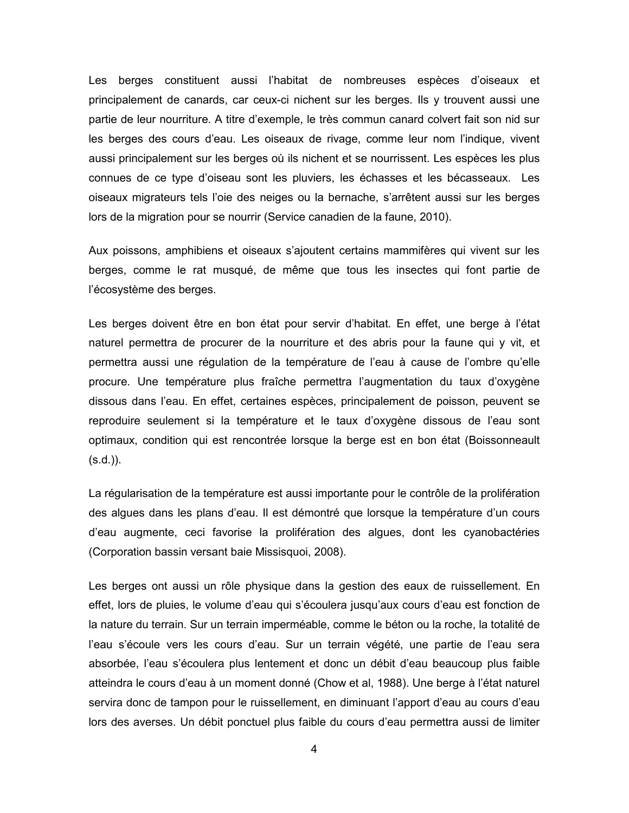Les berges constituent aussi l'habitat de nombreuses espèces d'oiseaux et principalement de canards, car ceux-ci nichent sur les berges. Ils y trouvent aussi une partie de leur nourriture. A titre d'exemple, le très commun canard colvert fait son nid sur les berges des cours d'eau. Les oiseaux de rivage, comme leur nom l'indique, vivent aussi principalement sur les berges où ils nichent et se nourrissent. Les espèces les plus connues de ce type d'oiseau sont les pluviers, les échasses et les bécasseaux. Les oiseaux migrateurs tels l'oie des neiges ou la bernache, s'arrêtent aussi sur les berges lors de la migration pour se nourrir (Service canadien de la faune, 2010).

Aux poissons, amphibiens et oiseaux s'ajoutent certains mammifères qui vivent sur les berges, comme le rat musqué, de même que tous les insectes qui font partie de l'écosystème des berges.

Les berges doivent être en bon état pour servir d'habitat. En effet, une berge à l'état naturel permettra de procurer de la nourriture et des abris pour la faune qui y vit, et permettra aussi une régulation de la température de l'eau à cause de l'ombre qu'elle procure. Une température plus fraîche permettra l'augmentation du taux d'oxygène dissous dans l'eau. En effet, certaines espèces, principalement de poisson, peuvent se reproduire seulement si la température et le taux d'oxygène dissous de l'eau sont optimaux, condition qui est rencontrée lorsque la berge est en bon état (Boissonneault  $(s.d.$ ).

La régularisation de la température est aussi importante pour le contrôle de la prolifération des algues dans les plans d'eau. Il est démontré que lorsque la température d'un cours d'eau augmente, ceci favorise la prolifération des algues, dont les cyanobactéries (Corporation bassin versant baie Missisquoi, 2008).

Les berges ont aussi un rôle physique dans la gestion des eaux de ruissellement. En effet, lors de pluies, le volume d'eau qui s'écoulera jusqu'aux cours d'eau est fonction de la nature du terrain. Sur un terrain imperméable, comme le béton ou la roche, la totalité de l'eau s'écoule vers les cours d'eau. Sur un terrain végété, une partie de l'eau sera absorbée, l'eau s'écoulera plus lentement et donc un débit d'eau beaucoup plus faible atteindra le cours d'eau à un moment donné (Chow et al, 1988). Une berge à l'état naturel servira donc de tampon pour le ruissellement, en diminuant l'apport d'eau au cours d'eau lors des averses. Un débit ponctuel plus faible du cours d'eau permettra aussi de limiter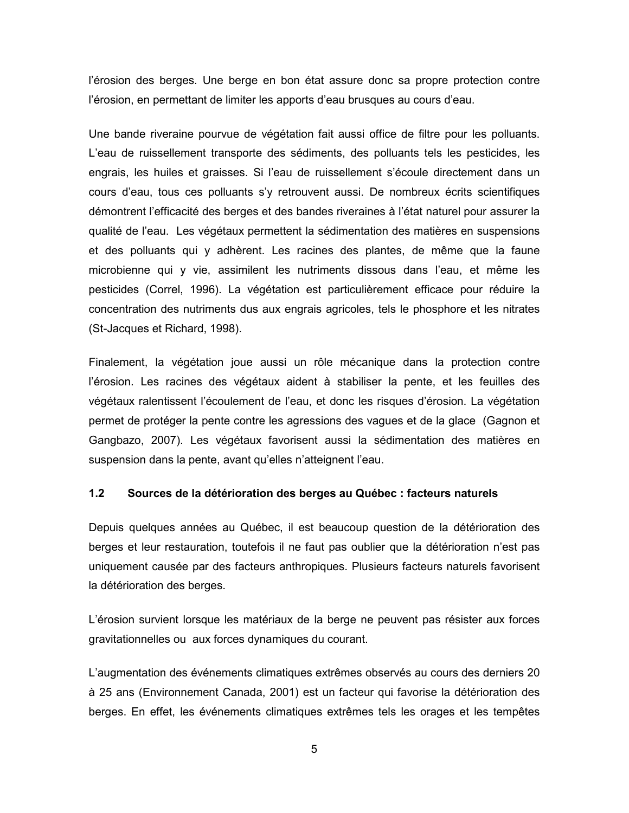<span id="page-15-0"></span>l'érosion des berges. Une berge en bon état assure donc sa propre protection contre l'érosion, en permettant de limiter les apports d'eau brusques au cours d'eau.

Une bande riveraine pourvue de végétation fait aussi office de filtre pour les polluants. L'eau de ruissellement transporte des sédiments, des polluants tels les pesticides, les engrais, les huiles et graisses. Si l'eau de ruissellement s'écoule directement dans un cours d'eau, tous ces polluants s'y retrouvent aussi. De nombreux écrits scientifiques démontrent l'efficacité des berges et des bandes riveraines à l'état naturel pour assurer la qualité de l'eau. Les végétaux permettent la sédimentation des matières en suspensions et des polluants qui y adhèrent. Les racines des plantes, de même que la faune microbienne qui y vie, assimilent les nutriments dissous dans l'eau, et même les pesticides (Correl, 1996). La végétation est particulièrement efficace pour réduire la concentration des nutriments dus aux engrais agricoles, tels le phosphore et les nitrates (St-Jacques et Richard, 1998).

Finalement, la végétation joue aussi un rôle mécanique dans la protection contre l'érosion. Les racines des végétaux aident à stabiliser la pente, et les feuilles des végétaux ralentissent l'écoulement de l'eau, et donc les risques d'érosion. La végétation permet de protéger la pente contre les agressions des vagues et de la glace (Gagnon et Gangbazo, 2007). Les végétaux favorisent aussi la sédimentation des matières en suspension dans la pente, avant qu'elles n'atteignent l'eau.

#### $1.2$ Sources de la détérioration des berges au Québec : facteurs naturels

Depuis quelques années au Québec, il est beaucoup question de la détérioration des berges et leur restauration, toutefois il ne faut pas oublier que la détérioration n'est pas uniquement causée par des facteurs anthropiques. Plusieurs facteurs naturels favorisent la détérioration des berges.

L'érosion survient lorsque les matériaux de la berge ne peuvent pas résister aux forces gravitationnelles ou aux forces dynamiques du courant.

L'augmentation des événements climatiques extrêmes observés au cours des derniers 20 à 25 ans (Environnement Canada, 2001) est un facteur qui favorise la détérioration des berges. En effet, les événements climatiques extrêmes tels les orages et les tempêtes

5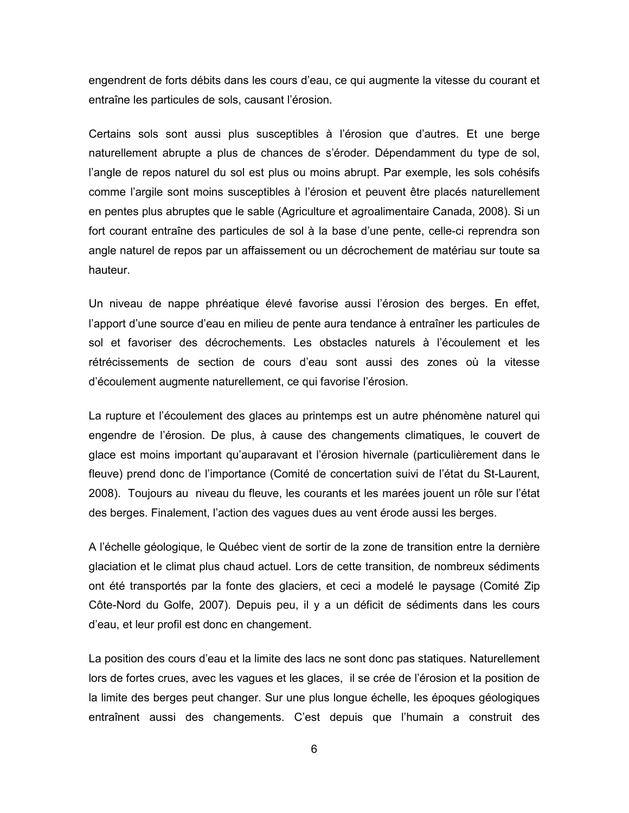engendrent de forts débits dans les cours d'eau, ce qui augmente la vitesse du courant et entraîne les particules de sols, causant l'érosion.

Certains sols sont aussi plus susceptibles à l'érosion que d'autres. Et une berge naturellement abrupte a plus de chances de s'éroder. Dépendamment du type de sol, l'angle de repos naturel du sol est plus ou moins abrupt. Par exemple, les sols cohésifs comme l'argile sont moins susceptibles à l'érosion et peuvent être placés naturellement en pentes plus abruptes que le sable (Agriculture et agroalimentaire Canada, 2008). Si un fort courant entraîne des particules de sol à la base d'une pente, celle-ci reprendra son angle naturel de repos par un affaissement ou un décrochement de matériau sur toute sa hauteur.

Un niveau de nappe phréatique élevé favorise aussi l'érosion des berges. En effet, l'apport d'une source d'eau en milieu de pente aura tendance à entraîner les particules de sol et favoriser des décrochements. Les obstacles naturels à l'écoulement et les rétrécissements de section de cours d'eau sont aussi des zones où la vitesse d'écoulement augmente naturellement, ce qui favorise l'érosion.

La rupture et l'écoulement des glaces au printemps est un autre phénomène naturel qui engendre de l'érosion. De plus, à cause des changements climatiques, le couvert de glace est moins important qu'auparavant et l'érosion hivernale (particulièrement dans le fleuve) prend donc de l'importance (Comité de concertation suivi de l'état du St-Laurent, 2008). Toujours au niveau du fleuve, les courants et les marées jouent un rôle sur l'état des berges. Finalement, l'action des vagues dues au vent érode aussi les berges.

A l'échelle géologique, le Québec vient de sortir de la zone de transition entre la dernière glaciation et le climat plus chaud actuel. Lors de cette transition, de nombreux sédiments ont été transportés par la fonte des glaciers, et ceci a modelé le paysage (Comité Zip Côte-Nord du Golfe, 2007). Depuis peu, il y a un déficit de sédiments dans les cours d'eau, et leur profil est donc en changement.

La position des cours d'eau et la limite des lacs ne sont donc pas statiques. Naturellement lors de fortes crues, avec les vagues et les glaces, il se crée de l'érosion et la position de la limite des berges peut changer. Sur une plus longue échelle, les époques géologiques entraînent aussi des changements. C'est depuis que l'humain a construit des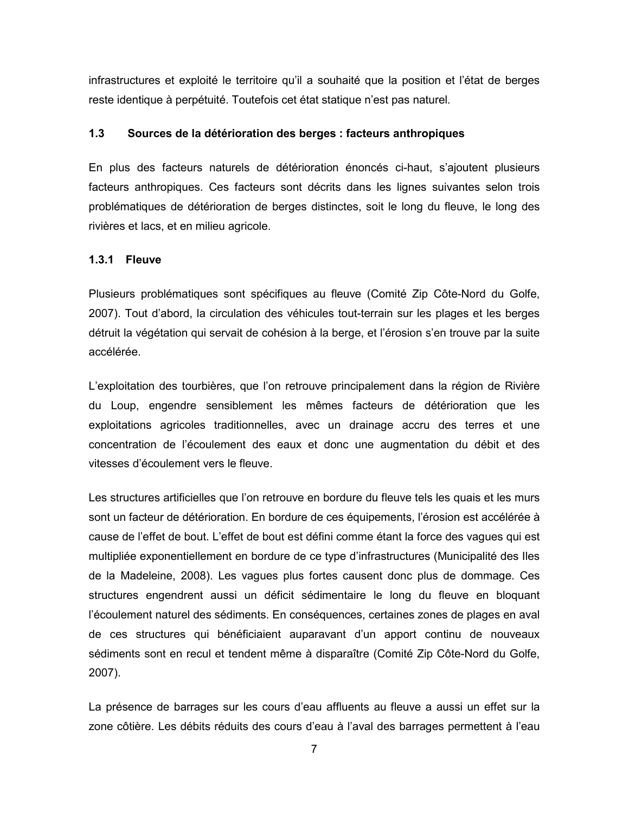<span id="page-17-0"></span>infrastructures et exploité le territoire qu'il a souhaité que la position et l'état de berges reste identique à perpétuité. Toutefois cet état statique n'est pas naturel.

#### Sources de la détérioration des berges : facteurs anthropiques  $1.3$

En plus des facteurs naturels de détérioration énoncés ci-haut, s'ajoutent plusieurs facteurs anthropiques. Ces facteurs sont décrits dans les lignes suivantes selon trois problématiques de détérioration de berges distinctes, soit le long du fleuve, le long des rivières et lacs, et en milieu agricole.

# 1.3.1 Fleuve

Plusieurs problématiques sont spécifiques au fleuve (Comité Zip Côte-Nord du Golfe, 2007). Tout d'abord, la circulation des véhicules tout-terrain sur les plages et les berges détruit la végétation qui servait de cohésion à la berge, et l'érosion s'en trouve par la suite accélérée.

L'exploitation des tourbières, que l'on retrouve principalement dans la région de Rivière du Loup, engendre sensiblement les mêmes facteurs de détérioration que les exploitations agricoles traditionnelles, avec un drainage accru des terres et une concentration de l'écoulement des eaux et donc une augmentation du débit et des vitesses d'écoulement vers le fleuve.

Les structures artificielles que l'on retrouve en bordure du fleuve tels les quais et les murs sont un facteur de détérioration. En bordure de ces équipements, l'érosion est accélérée à cause de l'effet de bout. L'effet de bout est défini comme étant la force des vagues qui est multipliée exponentiellement en bordure de ce type d'infrastructures (Municipalité des lles de la Madeleine, 2008). Les vagues plus fortes causent donc plus de dommage. Ces structures engendrent aussi un déficit sédimentaire le long du fleuve en bloquant l'écoulement naturel des sédiments. En conséquences, certaines zones de plages en aval de ces structures qui bénéficiaient auparavant d'un apport continu de nouveaux sédiments sont en recul et tendent même à disparaître (Comité Zip Côte-Nord du Golfe,  $2007$ ).

La présence de barrages sur les cours d'eau affluents au fleuve a aussi un effet sur la zone côtière. Les débits réduits des cours d'eau à l'aval des barrages permettent à l'eau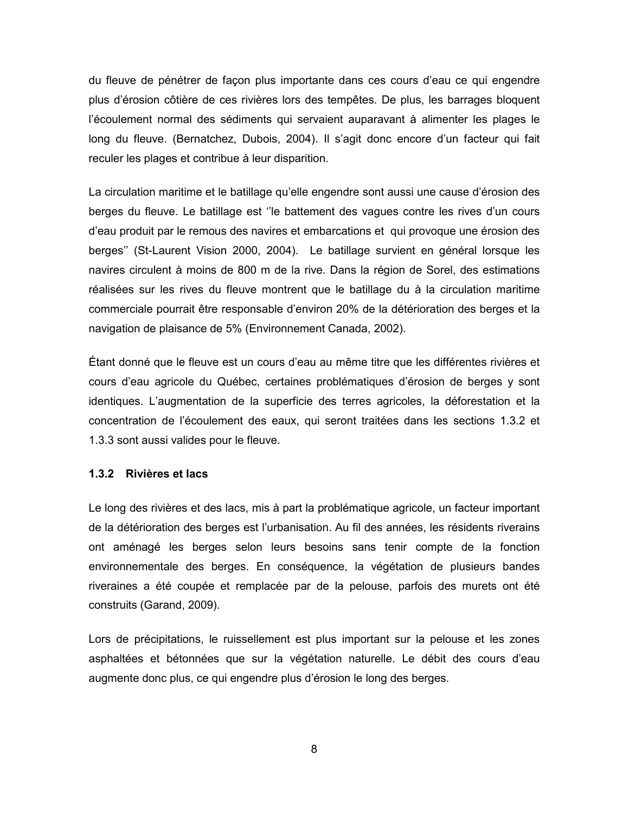<span id="page-18-0"></span>du fleuve de pénétrer de façon plus importante dans ces cours d'eau ce qui engendre plus d'érosion côtière de ces rivières lors des tempêtes. De plus, les barrages bloquent l'écoulement normal des sédiments qui servaient auparavant à alimenter les plages le long du fleuve. (Bernatchez, Dubois, 2004). Il s'agit donc encore d'un facteur qui fait reculer les plages et contribue à leur disparition.

La circulation maritime et le batillage qu'elle engendre sont aussi une cause d'érosion des berges du fleuve. Le batillage est "le battement des vagues contre les rives d'un cours d'eau produit par le remous des navires et embarcations et qui provoque une érosion des berges" (St-Laurent Vision 2000, 2004). Le batillage survient en général lorsque les navires circulent à moins de 800 m de la rive. Dans la région de Sorel, des estimations réalisées sur les rives du fleuve montrent que le batillage du à la circulation maritime commerciale pourrait être responsable d'environ 20% de la détérioration des berges et la navigation de plaisance de 5% (Environnement Canada, 2002).

Étant donné que le fleuve est un cours d'eau au même titre que les différentes rivières et cours d'eau agricole du Québec, certaines problématiques d'érosion de berges y sont identiques. L'augmentation de la superficie des terres agricoles, la déforestation et la concentration de l'écoulement des eaux, qui seront traitées dans les sections 1.3.2 et 1.3.3 sont aussi valides pour le fleuve.

## 1.3.2 Rivières et lacs

Le long des rivières et des lacs, mis à part la problématique agricole, un facteur important de la détérioration des berges est l'urbanisation. Au fil des années, les résidents riverains ont aménagé les berges selon leurs besoins sans tenir compte de la fonction environnementale des berges. En conséquence, la végétation de plusieurs bandes riveraines a été coupée et remplacée par de la pelouse, parfois des murets ont été construits (Garand, 2009).

Lors de précipitations, le ruissellement est plus important sur la pelouse et les zones asphaltées et bétonnées que sur la végétation naturelle. Le débit des cours d'eau augmente donc plus, ce qui engendre plus d'érosion le long des berges.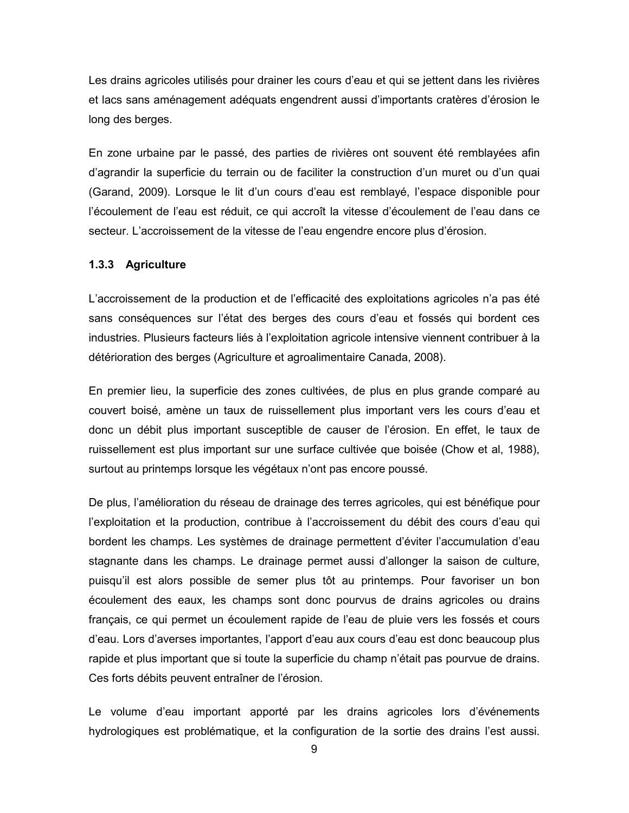<span id="page-19-0"></span>Les drains agricoles utilisés pour drainer les cours d'eau et qui se jettent dans les rivières et lacs sans aménagement adéquats engendrent aussi d'importants cratères d'érosion le long des berges.

En zone urbaine par le passé, des parties de rivières ont souvent été remblayées afin d'agrandir la superficie du terrain ou de faciliter la construction d'un muret ou d'un quai (Garand, 2009). Lorsque le lit d'un cours d'eau est remblayé, l'espace disponible pour l'écoulement de l'eau est réduit, ce qui accroît la vitesse d'écoulement de l'eau dans ce secteur. L'accroissement de la vitesse de l'eau engendre encore plus d'érosion.

## 1.3.3 Agriculture

L'accroissement de la production et de l'efficacité des exploitations agricoles n'a pas été sans conséquences sur l'état des berges des cours d'eau et fossés qui bordent ces industries. Plusieurs facteurs liés à l'exploitation agricole intensive viennent contribuer à la détérioration des berges (Agriculture et agroalimentaire Canada, 2008).

En premier lieu, la superficie des zones cultivées, de plus en plus grande comparé au couvert boisé, amène un taux de ruissellement plus important vers les cours d'eau et donc un débit plus important susceptible de causer de l'érosion. En effet, le taux de ruissellement est plus important sur une surface cultivée que boisée (Chow et al. 1988). surtout au printemps lorsque les végétaux n'ont pas encore poussé.

De plus, l'amélioration du réseau de drainage des terres agricoles, qui est bénéfique pour l'exploitation et la production, contribue à l'accroissement du débit des cours d'eau qui bordent les champs. Les systèmes de drainage permettent d'éviter l'accumulation d'eau stagnante dans les champs. Le drainage permet aussi d'allonger la saison de culture, puisqu'il est alors possible de semer plus tôt au printemps. Pour favoriser un bon écoulement des eaux, les champs sont donc pourvus de drains agricoles ou drains français, ce qui permet un écoulement rapide de l'eau de pluie vers les fossés et cours d'eau. Lors d'averses importantes, l'apport d'eau aux cours d'eau est donc beaucoup plus rapide et plus important que si toute la superficie du champ n'était pas pourvue de drains. Ces forts débits peuvent entraîner de l'érosion.

Le volume d'eau important apporté par les drains agricoles lors d'événements hydrologiques est problématique, et la configuration de la sortie des drains l'est aussi.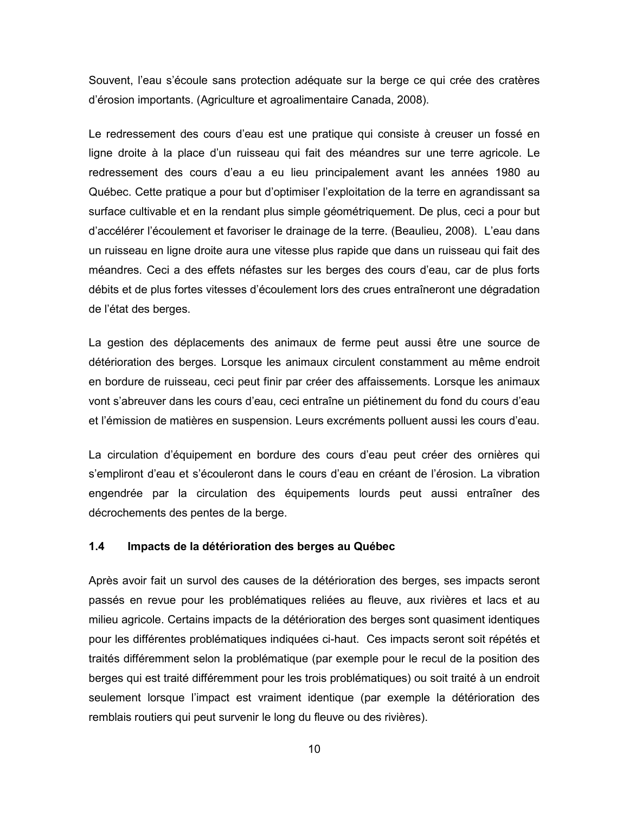<span id="page-20-0"></span>Souvent, l'eau s'écoule sans protection adéquate sur la berge ce qui crée des cratères d'érosion importants. (Agriculture et agroalimentaire Canada, 2008).

Le redressement des cours d'eau est une pratique qui consiste à creuser un fossé en ligne droite à la place d'un ruisseau qui fait des méandres sur une terre agricole. Le redressement des cours d'eau a eu lieu principalement avant les années 1980 au Québec. Cette pratique a pour but d'optimiser l'exploitation de la terre en agrandissant sa surface cultivable et en la rendant plus simple géométriquement. De plus, ceci a pour but d'accélérer l'écoulement et favoriser le drainage de la terre. (Beaulieu, 2008). L'eau dans un ruisseau en ligne droite aura une vitesse plus rapide que dans un ruisseau qui fait des méandres. Ceci a des effets néfastes sur les berges des cours d'eau, car de plus forts débits et de plus fortes vitesses d'écoulement lors des crues entraîneront une dégradation de l'état des berges.

La gestion des déplacements des animaux de ferme peut aussi être une source de détérioration des berges. Lorsque les animaux circulent constamment au même endroit en bordure de ruisseau, ceci peut finir par créer des affaissements. Lorsque les animaux vont s'abreuver dans les cours d'eau, ceci entraîne un piétinement du fond du cours d'eau et l'émission de matières en suspension. Leurs excréments polluent aussi les cours d'eau.

La circulation d'équipement en bordure des cours d'eau peut créer des ornières qui s'empliront d'eau et s'écouleront dans le cours d'eau en créant de l'érosion. La vibration engendrée par la circulation des équipements lourds peut aussi entraîner des décrochements des pentes de la berge.

#### $1.4$ Impacts de la détérioration des berges au Québec

Après avoir fait un survol des causes de la détérioration des berges, ses impacts seront passés en revue pour les problématiques reliées au fleuve, aux rivières et lacs et au milieu agricole. Certains impacts de la détérioration des berges sont quasiment identiques pour les différentes problématiques indiquées ci-haut. Ces impacts seront soit répétés et traités différemment selon la problématique (par exemple pour le recul de la position des berges qui est traité différemment pour les trois problématiques) ou soit traité à un endroit seulement lorsque l'impact est vraiment identique (par exemple la détérioration des remblais routiers qui peut survenir le long du fleuve ou des rivières).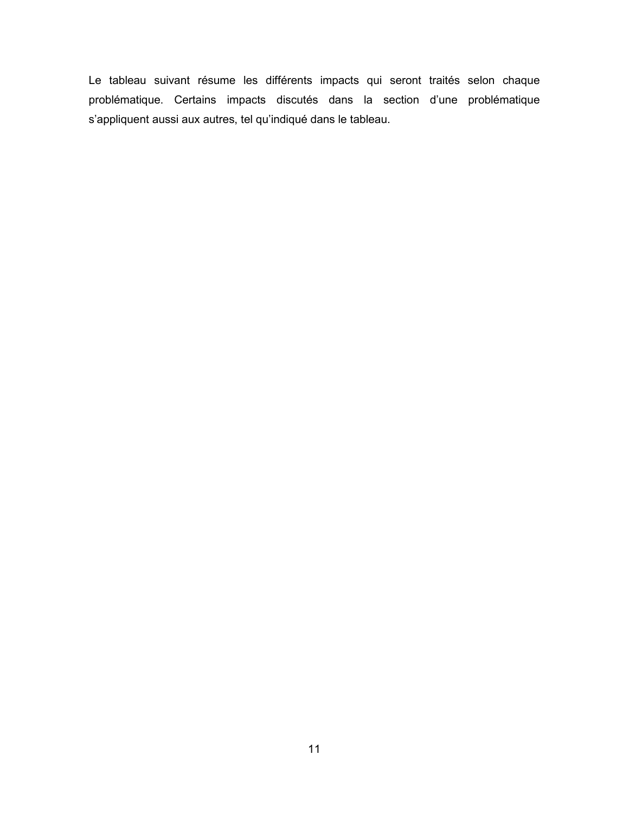Le tableau suivant résume les différents impacts qui seront traités selon chaque problématique. Certains impacts discutés dans la section d'une problématique s'appliquent aussi aux autres, tel qu'indiqué dans le tableau.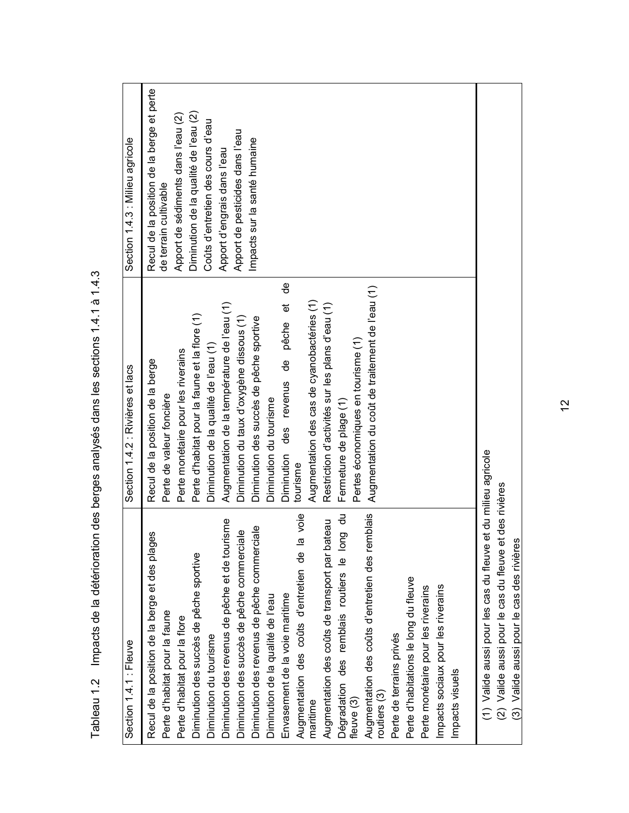<span id="page-22-0"></span>

| Section 1.4.1 : Fleuve                                          | Section 1.4.2 : Rivières et lacs                | Section 1.4.3 : Milieu agricole           |
|-----------------------------------------------------------------|-------------------------------------------------|-------------------------------------------|
| Recul de la position de la berge et des plages                  | Recul de la position de la berge                | Recul de la position de la berge et perte |
| Perte d'habitat pour la faune                                   | Perte de valeur foncière                        | de terrain cultivable                     |
| Perte d'habitat pour la flore                                   | Perte monétaire pour les riverains              | Apport de sédiments dans l'eau (2)        |
| Diminution des succès de pêche sportive                         | Perte d'habitat pour la faune et la flore (1)   | Diminution de la qualité de l'eau (2)     |
| Diminution du tourisme                                          | Diminution de la qualité de l'eau (1)           | Coûts d'entretien des cours d'eau         |
| Diminution des revenus de pêche et de tourisme                  | Augmentation de la température de l'eau (1)     | Apport d'engrais dans l'eau               |
| Diminution des succès de pêche commerciale                      | Diminution du taux d'oxygène dissous (1)        | Apport de pesticides dans l'eau           |
| Diminution des revenus de pêche commerciale                     | Diminution des succès de pêche sportive         | Impacts sur la santé humaine              |
| Diminution de la qualité de l'eau                               | Diminution du tourisme                          |                                           |
| Envasement de la voie maritime                                  | ₽<br>Diminution des revenus de pêche et         |                                           |
| Augmentation des coûts d'entretien de la voie                   | tourisme                                        |                                           |
| maritime                                                        | Augmentation des cas de cyanobactéries (1)      |                                           |
| Augmentation des coûts de transport par bateau                  | Restriction d'activités sur les plans d'eau (1) |                                           |
| Dégradation des remblais routiers le long du                    | Fermeture de plage (1)                          |                                           |
| fleuve (3)                                                      | Pertes économiques en tourisme (1)              |                                           |
| Augmentation des coûts d'entretien des remblais<br>routiers (3) | Augmentation du coût de traitement de l'eau (1) |                                           |
| Perte de terrains privés                                        |                                                 |                                           |
| Perte d'habitations le long du fleuve                           |                                                 |                                           |
| Perte monétaire pour les riverains                              |                                                 |                                           |
| Impacts sociaux pour les riverains                              |                                                 |                                           |
| Impacts visuels                                                 |                                                 |                                           |
|                                                                 |                                                 |                                           |
| (1) Valide aussi pour les cas du fleuve et du milieu agricole   |                                                 |                                           |
| (2) Valide aussi pour le cas du fleuve et des rivières          |                                                 |                                           |
| (3) Valide aussi pour le cas des rivières                       |                                                 |                                           |

Tableau 1.2 Impacts de la détérioration des berges analysés dans les sections 1.4.1 à 1.4.3

 $\frac{1}{2}$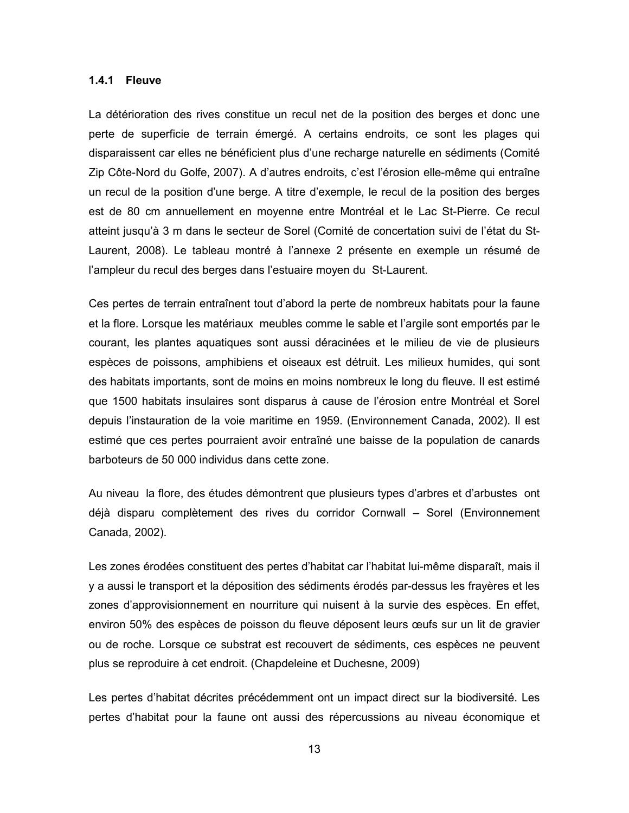### <span id="page-23-0"></span>1.4.1 Fleuve

La détérioration des rives constitue un recul net de la position des berges et donc une perte de superficie de terrain émergé. A certains endroits, ce sont les plages qui disparaissent car elles ne bénéficient plus d'une recharge naturelle en sédiments (Comité Zip Côte-Nord du Golfe, 2007). A d'autres endroits, c'est l'érosion elle-même qui entraîne un recul de la position d'une berge. A titre d'exemple, le recul de la position des berges est de 80 cm annuellement en moyenne entre Montréal et le Lac St-Pierre. Ce recul atteint jusqu'à 3 m dans le secteur de Sorel (Comité de concertation suivi de l'état du St-Laurent, 2008). Le tableau montré à l'annexe 2 présente en exemple un résumé de l'ampleur du recul des berges dans l'estuaire moyen du St-Laurent.

Ces pertes de terrain entraînent tout d'abord la perte de nombreux habitats pour la faune et la flore. Lorsque les matériaux meubles comme le sable et l'argile sont emportés par le courant, les plantes aquatiques sont aussi déracinées et le milieu de vie de plusieurs espèces de poissons, amphibiens et oiseaux est détruit. Les milieux humides, qui sont des habitats importants, sont de moins en moins nombreux le long du fleuve. Il est estimé que 1500 habitats insulaires sont disparus à cause de l'érosion entre Montréal et Sorel depuis l'instauration de la voie maritime en 1959. (Environnement Canada, 2002). Il est estimé que ces pertes pourraient avoir entraîné une baisse de la population de canards barboteurs de 50 000 individus dans cette zone.

Au niveau la flore, des études démontrent que plusieurs types d'arbres et d'arbustes ont déjà disparu complètement des rives du corridor Cornwall – Sorel (Environnement Canada, 2002).

Les zones érodées constituent des pertes d'habitat car l'habitat lui-même disparaît, mais il y a aussi le transport et la déposition des sédiments érodés par-dessus les frayères et les zones d'approvisionnement en nourriture qui nuisent à la survie des espèces. En effet, environ 50% des espèces de poisson du fleuve déposent leurs œufs sur un lit de gravier ou de roche. Lorsque ce substrat est recouvert de sédiments, ces espèces ne peuvent plus se reproduire à cet endroit. (Chapdeleine et Duchesne, 2009)

Les pertes d'habitat décrites précédemment ont un impact direct sur la biodiversité. Les pertes d'habitat pour la faune ont aussi des répercussions au niveau économique et

 $13$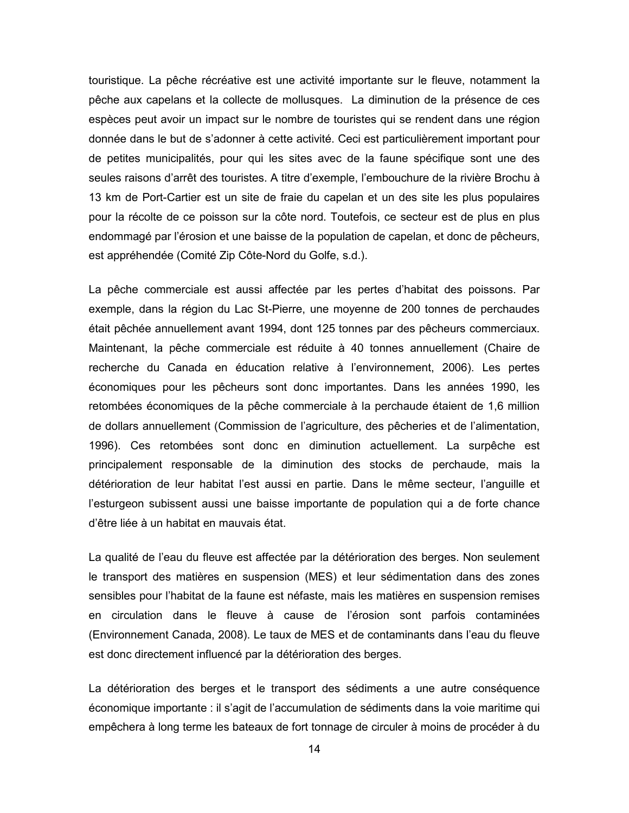touristique. La pêche récréative est une activité importante sur le fleuve, notamment la pêche aux capelans et la collecte de mollusques. La diminution de la présence de ces espèces peut avoir un impact sur le nombre de touristes qui se rendent dans une région donnée dans le but de s'adonner à cette activité. Ceci est particulièrement important pour de petites municipalités, pour qui les sites avec de la faune spécifique sont une des seules raisons d'arrêt des touristes. A titre d'exemple, l'embouchure de la rivière Brochu à 13 km de Port-Cartier est un site de fraie du capelan et un des site les plus populaires pour la récolte de ce poisson sur la côte nord. Toutefois, ce secteur est de plus en plus endommagé par l'érosion et une baisse de la population de capelan, et donc de pêcheurs, est appréhendée (Comité Zip Côte-Nord du Golfe, s.d.).

La pêche commerciale est aussi affectée par les pertes d'habitat des poissons. Par exemple, dans la région du Lac St-Pierre, une moyenne de 200 tonnes de perchaudes était pêchée annuellement avant 1994, dont 125 tonnes par des pêcheurs commerciaux. Maintenant, la pêche commerciale est réduite à 40 tonnes annuellement (Chaire de recherche du Canada en éducation relative à l'environnement, 2006). Les pertes économiques pour les pêcheurs sont donc importantes. Dans les années 1990, les retombées économiques de la pêche commerciale à la perchaude étaient de 1,6 million de dollars annuellement (Commission de l'agriculture, des pêcheries et de l'alimentation, 1996). Ces retombées sont donc en diminution actuellement. La surpêche est principalement responsable de la diminution des stocks de perchaude, mais la détérioration de leur habitat l'est aussi en partie. Dans le même secteur, l'anguille et l'esturgeon subissent aussi une baisse importante de population qui a de forte chance d'être liée à un habitat en mauvais état.

La qualité de l'eau du fleuve est affectée par la détérioration des berges. Non seulement le transport des matières en suspension (MES) et leur sédimentation dans des zones sensibles pour l'habitat de la faune est néfaste, mais les matières en suspension remises en circulation dans le fleuve à cause de l'érosion sont parfois contaminées (Environnement Canada, 2008). Le taux de MES et de contaminants dans l'eau du fleuve est donc directement influencé par la détérioration des berges.

La détérioration des berges et le transport des sédiments a une autre conséquence économique importante : il s'agit de l'accumulation de sédiments dans la voie maritime qui empêchera à long terme les bateaux de fort tonnage de circuler à moins de procéder à du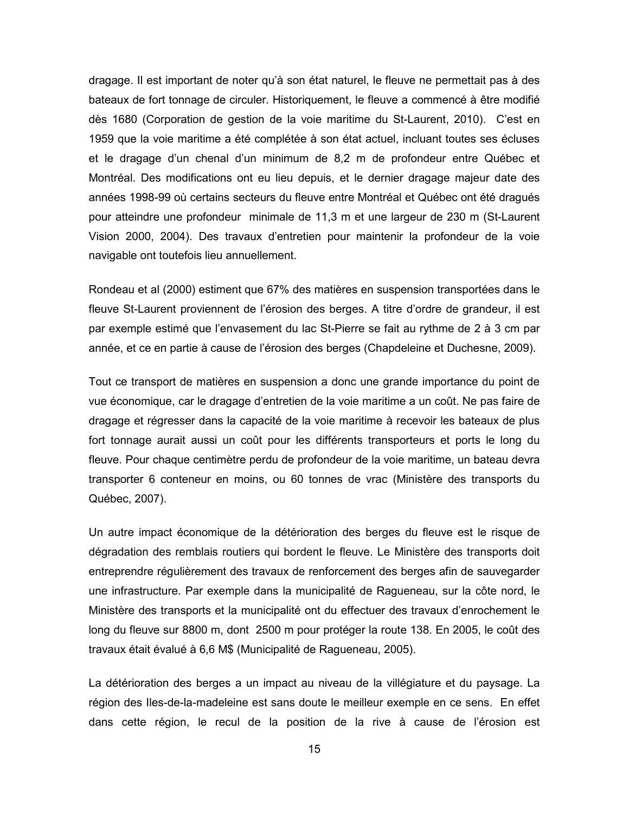dragage. Il est important de noter qu'à son état naturel, le fleuve ne permettait pas à des bateaux de fort tonnage de circuler. Historiquement, le fleuve a commencé à être modifié dès 1680 (Corporation de gestion de la voie maritime du St-Laurent, 2010). C'est en 1959 que la voie maritime a été complétée à son état actuel, incluant toutes ses écluses et le dragage d'un chenal d'un minimum de 8,2 m de profondeur entre Québec et Montréal. Des modifications ont eu lieu depuis, et le dernier dragage majeur date des années 1998-99 où certains secteurs du fleuve entre Montréal et Québec ont été dragués pour atteindre une profondeur minimale de 11,3 m et une largeur de 230 m (St-Laurent Vision 2000, 2004). Des travaux d'entretien pour maintenir la profondeur de la voie navigable ont toutefois lieu annuellement.

Rondeau et al (2000) estiment que 67% des matières en suspension transportées dans le fleuve St-Laurent proviennent de l'érosion des berges. A titre d'ordre de grandeur, il est par exemple estimé que l'envasement du lac St-Pierre se fait au rythme de 2 à 3 cm par année, et ce en partie à cause de l'érosion des berges (Chapdeleine et Duchesne, 2009).

Tout ce transport de matières en suspension a donc une grande importance du point de vue économique, car le dragage d'entretien de la voie maritime a un coût. Ne pas faire de dragage et régresser dans la capacité de la voie maritime à recevoir les bateaux de plus fort tonnage aurait aussi un coût pour les différents transporteurs et ports le long du fleuve. Pour chaque centimètre perdu de profondeur de la voie maritime, un bateau devra transporter 6 conteneur en moins, ou 60 tonnes de vrac (Ministère des transports du Québec, 2007).

Un autre impact économique de la détérioration des berges du fleuve est le risque de dégradation des remblais routiers qui bordent le fleuve. Le Ministère des transports doit entreprendre réqulièrement des travaux de renforcement des berges afin de sauvegarder une infrastructure. Par exemple dans la municipalité de Ragueneau, sur la côte nord, le Ministère des transports et la municipalité ont du effectuer des travaux d'enrochement le long du fleuve sur 8800 m, dont 2500 m pour protéger la route 138. En 2005, le coût des travaux était évalué à 6,6 M\$ (Municipalité de Ragueneau, 2005).

La détérioration des berges a un impact au niveau de la villégiature et du paysage. La région des Iles-de-la-madeleine est sans doute le meilleur exemple en ce sens. En effet dans cette région, le recul de la position de la rive à cause de l'érosion est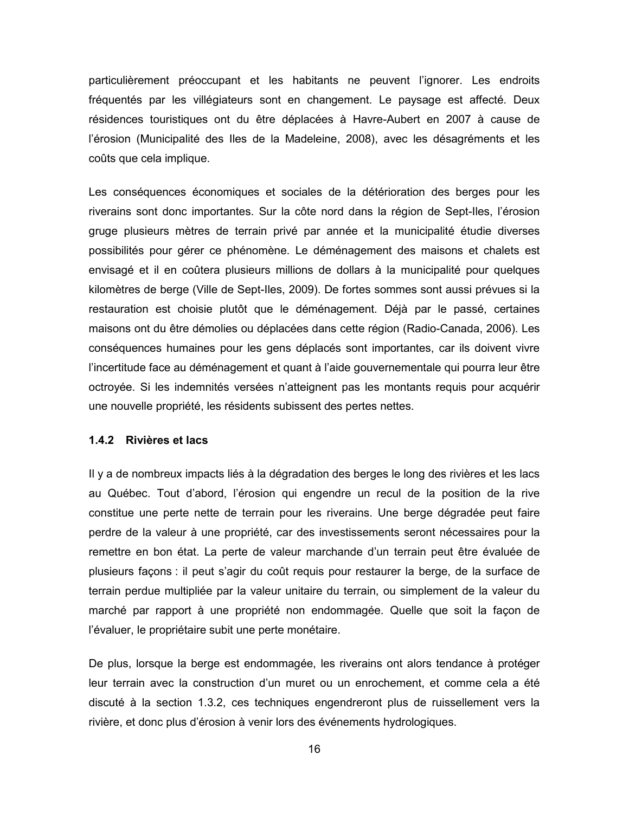<span id="page-26-0"></span>particulièrement préoccupant et les habitants ne peuvent l'ignorer. Les endroits fréquentés par les villégiateurs sont en changement. Le paysage est affecté. Deux résidences touristiques ont du être déplacées à Havre-Aubert en 2007 à cause de l'érosion (Municipalité des lles de la Madeleine, 2008), avec les désagréments et les coûts que cela implique.

Les conséquences économiques et sociales de la détérioration des berges pour les riverains sont donc importantes. Sur la côte nord dans la région de Sept-Iles, l'érosion gruge plusieurs mètres de terrain privé par année et la municipalité étudie diverses possibilités pour gérer ce phénomène. Le déménagement des maisons et chalets est envisagé et il en coûtera plusieurs millions de dollars à la municipalité pour quelques kilomètres de berge (Ville de Sept-Iles, 2009). De fortes sommes sont aussi prévues si la restauration est choisie plutôt que le déménagement. Déjà par le passé, certaines maisons ont du être démolies ou déplacées dans cette région (Radio-Canada, 2006). Les conséquences humaines pour les gens déplacés sont importantes, car ils doivent vivre l'incertitude face au déménagement et quant à l'aide gouvernementale qui pourra leur être octroyée. Si les indemnités versées n'atteignent pas les montants requis pour acquérir une nouvelle propriété, les résidents subissent des pertes nettes.

# 1.4.2 Rivières et lacs

Il y a de nombreux impacts liés à la dégradation des berges le long des rivières et les lacs au Québec. Tout d'abord, l'érosion qui engendre un recul de la position de la rive constitue une perte nette de terrain pour les riverains. Une berge dégradée peut faire perdre de la valeur à une propriété, car des investissements seront nécessaires pour la remettre en bon état. La perte de valeur marchande d'un terrain peut être évaluée de plusieurs facons : il peut s'agir du coût requis pour restaurer la berge, de la surface de terrain perdue multipliée par la valeur unitaire du terrain, ou simplement de la valeur du marché par rapport à une propriété non endommagée. Quelle que soit la façon de l'évaluer, le propriétaire subit une perte monétaire.

De plus, lorsque la berge est endommagée, les riverains ont alors tendance à protéger leur terrain avec la construction d'un muret ou un enrochement, et comme cela a été discuté à la section 1.3.2, ces techniques engendreront plus de ruissellement vers la rivière, et donc plus d'érosion à venir lors des événements hydrologiques.

16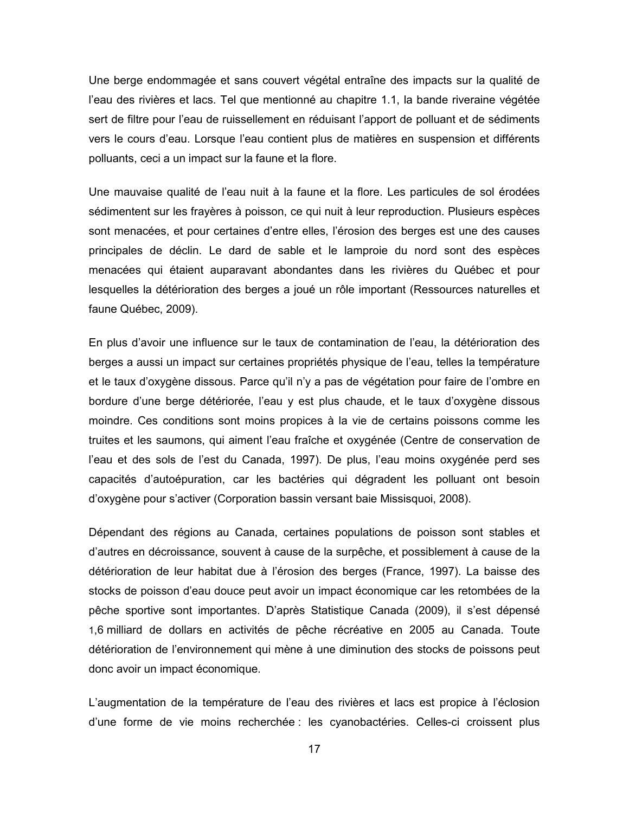Une berge endommagée et sans couvert végétal entraîne des impacts sur la qualité de l'eau des rivières et lacs. Tel que mentionné au chapitre 1.1, la bande riveraine végétée sert de filtre pour l'eau de ruissellement en réduisant l'apport de polluant et de sédiments vers le cours d'eau. Lorsque l'eau contient plus de matières en suspension et différents polluants, ceci a un impact sur la faune et la flore.

Une mauvaise qualité de l'eau nuit à la faune et la flore. Les particules de sol érodées sédimentent sur les frayères à poisson, ce qui nuit à leur reproduction. Plusieurs espèces sont menacées, et pour certaines d'entre elles, l'érosion des berges est une des causes principales de déclin. Le dard de sable et le lamproie du nord sont des espèces menacées qui étaient auparavant abondantes dans les rivières du Québec et pour lesquelles la détérioration des berges a joué un rôle important (Ressources naturelles et faune Québec, 2009).

En plus d'avoir une influence sur le taux de contamination de l'eau, la détérioration des berges a aussi un impact sur certaines propriétés physique de l'eau, telles la température et le taux d'oxygène dissous. Parce qu'il n'y a pas de végétation pour faire de l'ombre en bordure d'une berge détériorée, l'eau y est plus chaude, et le taux d'oxygène dissous moindre. Ces conditions sont moins propices à la vie de certains poissons comme les truites et les saumons, qui aiment l'eau fraîche et oxygénée (Centre de conservation de l'eau et des sols de l'est du Canada, 1997). De plus, l'eau moins oxygénée perd ses capacités d'autoépuration, car les bactéries qui dégradent les polluant ont besoin d'oxygène pour s'activer (Corporation bassin versant baie Missisquoi, 2008).

Dépendant des régions au Canada, certaines populations de poisson sont stables et d'autres en décroissance, souvent à cause de la surpêche, et possiblement à cause de la détérioration de leur habitat due à l'érosion des berges (France, 1997). La baisse des stocks de poisson d'eau douce peut avoir un impact économique car les retombées de la pêche sportive sont importantes. D'après Statistique Canada (2009), il s'est dépensé 1,6 milliard de dollars en activités de pêche récréative en 2005 au Canada. Toute détérioration de l'environnement qui mène à une diminution des stocks de poissons peut donc avoir un impact économique.

L'augmentation de la température de l'eau des rivières et lacs est propice à l'éclosion d'une forme de vie moins recherchée : les cyanobactéries. Celles-ci croissent plus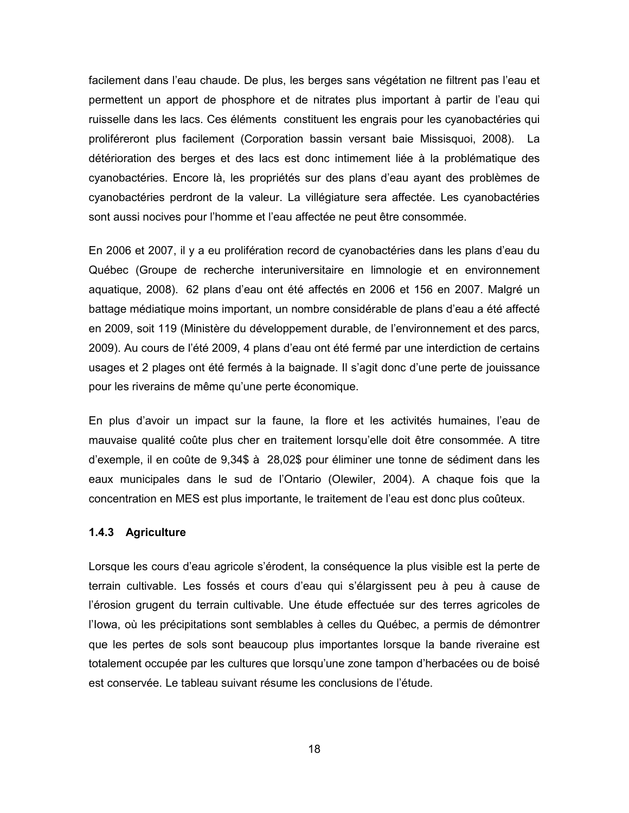<span id="page-28-0"></span>facilement dans l'eau chaude. De plus, les berges sans végétation ne filtrent pas l'eau et permettent un apport de phosphore et de nitrates plus important à partir de l'eau qui ruisselle dans les lacs. Ces éléments constituent les engrais pour les cyanobactéries qui proliféreront plus facilement (Corporation bassin versant baie Missisquoi, 2008). La détérioration des berges et des lacs est donc intimement liée à la problématique des cyanobactéries. Encore là, les propriétés sur des plans d'eau ayant des problèmes de cyanobactéries perdront de la valeur. La villégiature sera affectée. Les cyanobactéries sont aussi nocives pour l'homme et l'eau affectée ne peut être consommée.

En 2006 et 2007, il y a eu prolifération record de cyanobactéries dans les plans d'eau du Québec (Groupe de recherche interuniversitaire en limnologie et en environnement aquatique, 2008). 62 plans d'eau ont été affectés en 2006 et 156 en 2007. Malgré un battage médiatique moins important, un nombre considérable de plans d'eau a été affecté en 2009, soit 119 (Ministère du développement durable, de l'environnement et des parcs, 2009). Au cours de l'été 2009, 4 plans d'eau ont été fermé par une interdiction de certains usages et 2 plages ont été fermés à la baignade. Il s'agit donc d'une perte de jouissance pour les riverains de même qu'une perte économique.

En plus d'avoir un impact sur la faune, la flore et les activités humaines, l'eau de mauvaise qualité coûte plus cher en traitement lorsqu'elle doit être consommée. A titre d'exemple, il en coûte de 9,34\$ à 28,02\$ pour éliminer une tonne de sédiment dans les eaux municipales dans le sud de l'Ontario (Olewiler, 2004). A chaque fois que la concentration en MES est plus importante, le traitement de l'eau est donc plus coûteux.

### 1.4.3 Agriculture

Lorsque les cours d'eau agricole s'érodent, la conséquence la plus visible est la perte de terrain cultivable. Les fossés et cours d'eau qui s'élargissent peu à peu à cause de l'érosion grugent du terrain cultivable. Une étude effectuée sur des terres agricoles de l'Iowa, où les précipitations sont semblables à celles du Québec, a permis de démontrer que les pertes de sols sont beaucoup plus importantes lorsque la bande riveraine est totalement occupée par les cultures que lorsqu'une zone tampon d'herbacées ou de boisé est conservée. Le tableau suivant résume les conclusions de l'étude.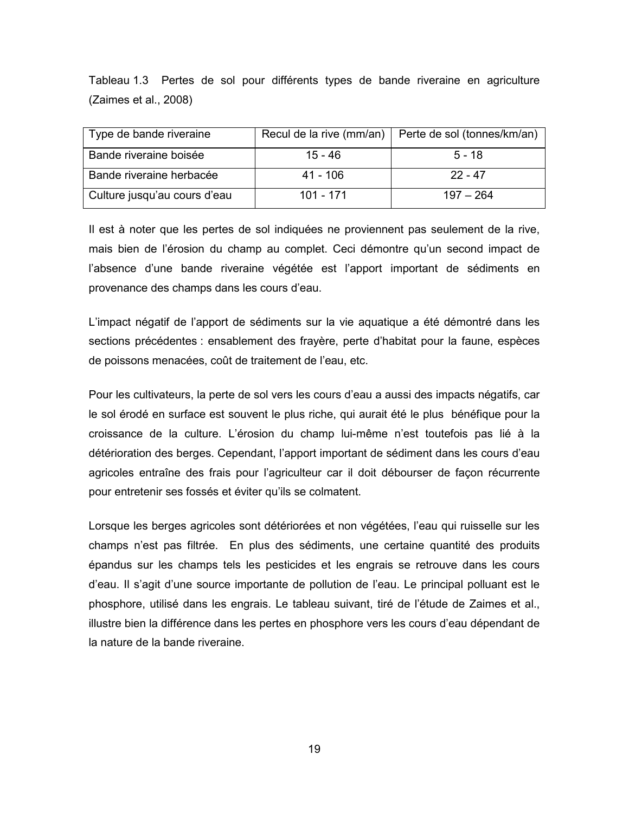<span id="page-29-0"></span>Tableau 1.3 Pertes de sol pour différents types de bande riveraine en agriculture (Zaimes et al., 2008)

| Type de bande riveraine      |           | Recul de la rive (mm/an)   Perte de sol (tonnes/km/an) |
|------------------------------|-----------|--------------------------------------------------------|
| Bande riveraine boisée       | $15 - 46$ | $5 - 18$                                               |
| Bande riveraine herbacée     | 41 - 106  | $22 - 47$                                              |
| Culture jusqu'au cours d'eau | 101 - 171 | $197 - 264$                                            |

Il est à noter que les pertes de sol indiquées ne proviennent pas seulement de la rive, mais bien de l'érosion du champ au complet. Ceci démontre qu'un second impact de l'absence d'une bande riveraine végétée est l'apport important de sédiments en provenance des champs dans les cours d'eau.

L'impact négatif de l'apport de sédiments sur la vie aquatique a été démontré dans les sections précédentes : ensablement des frayère, perte d'habitat pour la faune, espèces de poissons menacées, coût de traitement de l'eau, etc.

Pour les cultivateurs, la perte de sol vers les cours d'eau a aussi des impacts négatifs, car le sol érodé en surface est souvent le plus riche, qui aurait été le plus bénéfique pour la croissance de la culture. L'érosion du champ lui-même n'est toutefois pas lié à la détérioration des berges. Cependant, l'apport important de sédiment dans les cours d'eau agricoles entraîne des frais pour l'agriculteur car il doit débourser de façon récurrente pour entretenir ses fossés et éviter qu'ils se colmatent.

Lorsque les berges agricoles sont détériorées et non végétées. l'eau qui ruisselle sur les champs n'est pas filtrée. En plus des sédiments, une certaine quantité des produits épandus sur les champs tels les pesticides et les engrais se retrouve dans les cours d'eau. Il s'agit d'une source importante de pollution de l'eau. Le principal polluant est le phosphore, utilisé dans les engrais. Le tableau suivant, tiré de l'étude de Zaimes et al., illustre bien la différence dans les pertes en phosphore vers les cours d'eau dépendant de la nature de la bande riveraine.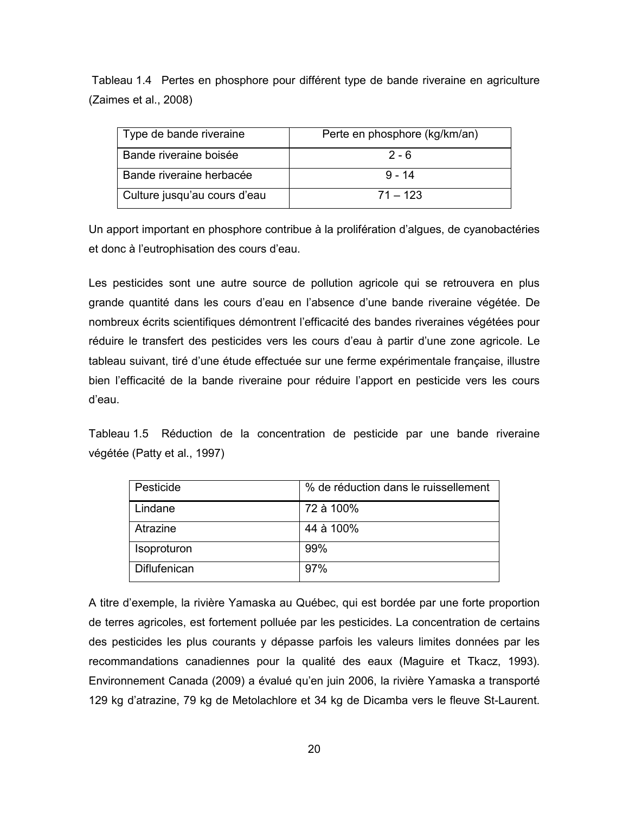<span id="page-30-0"></span>Tableau 1.4 Pertes en phosphore pour différent type de bande riveraine en agriculture (Zaimes et al., 2008)

| Type de bande riveraine      | Perte en phosphore (kg/km/an) |
|------------------------------|-------------------------------|
| Bande riveraine boisée       | $2 - 6$                       |
| Bande riveraine herbacée     | $9 - 14$                      |
| Culture jusqu'au cours d'eau | $71 - 123$                    |

Un apport important en phosphore contribue à la prolifération d'algues, de cyanobactéries et donc à l'eutrophisation des cours d'eau.

Les pesticides sont une autre source de pollution agricole qui se retrouvera en plus grande quantité dans les cours d'eau en l'absence d'une bande riveraine végétée. De nombreux écrits scientifiques démontrent l'efficacité des bandes riveraines végétées pour réduire le transfert des pesticides vers les cours d'eau à partir d'une zone agricole. Le tableau suivant, tiré d'une étude effectuée sur une ferme expérimentale française, illustre bien l'efficacité de la bande riveraine pour réduire l'apport en pesticide vers les cours d'eau.

Tableau 1.5 Réduction de la concentration de pesticide par une bande riveraine végétée (Patty et al., 1997)

| Pesticide    | % de réduction dans le ruissellement |
|--------------|--------------------------------------|
| Lindane      | 72 à 100%                            |
| Atrazine     | 44 à 100%                            |
| Isoproturon  | 99%                                  |
| Diflufenican | 97%                                  |

A titre d'exemple, la rivière Yamaska au Québec, qui est bordée par une forte proportion de terres agricoles, est fortement polluée par les pesticides. La concentration de certains des pesticides les plus courants y dépasse parfois les valeurs limites données par les recommandations canadiennes pour la qualité des eaux (Maguire et Tkacz, 1993). Environnement Canada (2009) a évalué qu'en juin 2006, la rivière Yamaska a transporté 129 kg d'atrazine, 79 kg de Metolachlore et 34 kg de Dicamba vers le fleuve St-Laurent.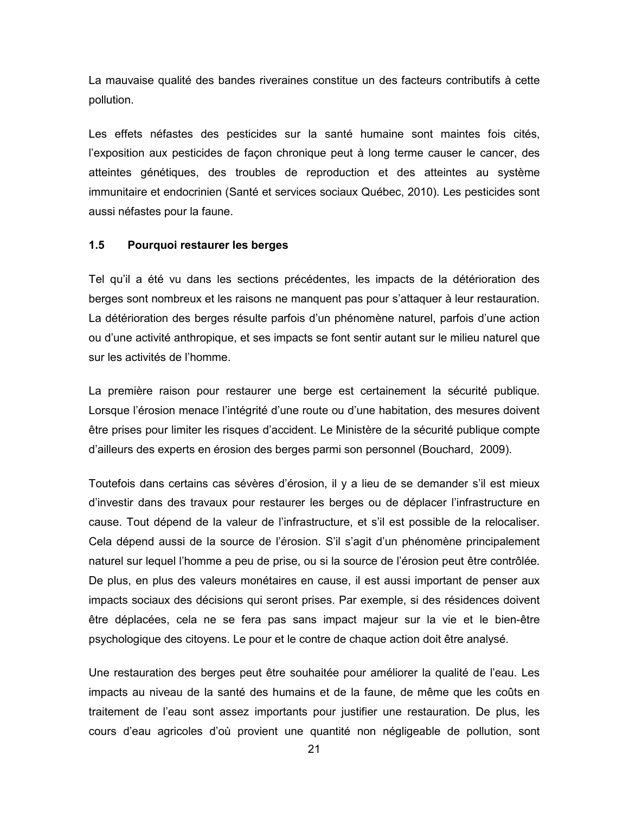<span id="page-31-0"></span>La mauvaise qualité des bandes riveraines constitue un des facteurs contributifs à cette pollution.

Les effets néfastes des pesticides sur la santé humaine sont maintes fois cités, l'exposition aux pesticides de façon chronique peut à long terme causer le cancer, des atteintes génétiques, des troubles de reproduction et des atteintes au système immunitaire et endocrinien (Santé et services sociaux Québec, 2010). Les pesticides sont aussi néfastes pour la faune.

#### $1.5$ Pourquoi restaurer les berges

Tel qu'il a été vu dans les sections précédentes, les impacts de la détérioration des berges sont nombreux et les raisons ne manquent pas pour s'attaquer à leur restauration. La détérioration des berges résulte parfois d'un phénomène naturel, parfois d'une action ou d'une activité anthropique, et ses impacts se font sentir autant sur le milieu naturel que sur les activités de l'homme.

La première raison pour restaurer une berge est certainement la sécurité publique. Lorsque l'érosion menace l'intégrité d'une route ou d'une habitation, des mesures doivent être prises pour limiter les risques d'accident. Le Ministère de la sécurité publique compte d'ailleurs des experts en érosion des berges parmi son personnel (Bouchard, 2009).

Toutefois dans certains cas sévères d'érosion, il y a lieu de se demander s'il est mieux d'investir dans des travaux pour restaurer les berges ou de déplacer l'infrastructure en cause. Tout dépend de la valeur de l'infrastructure, et s'il est possible de la relocaliser. Cela dépend aussi de la source de l'érosion. S'il s'agit d'un phénomène principalement naturel sur lequel l'homme a peu de prise, ou si la source de l'érosion peut être contrôlée. De plus, en plus des valeurs monétaires en cause, il est aussi important de penser aux impacts sociaux des décisions qui seront prises. Par exemple, si des résidences doivent être déplacées, cela ne se fera pas sans impact majeur sur la vie et le bien-être psychologique des citoyens. Le pour et le contre de chaque action doit être analysé.

Une restauration des berges peut être souhaitée pour améliorer la qualité de l'eau. Les impacts au niveau de la santé des humains et de la faune, de même que les coûts en traitement de l'eau sont assez importants pour justifier une restauration. De plus, les cours d'eau agricoles d'où provient une quantité non négligeable de pollution, sont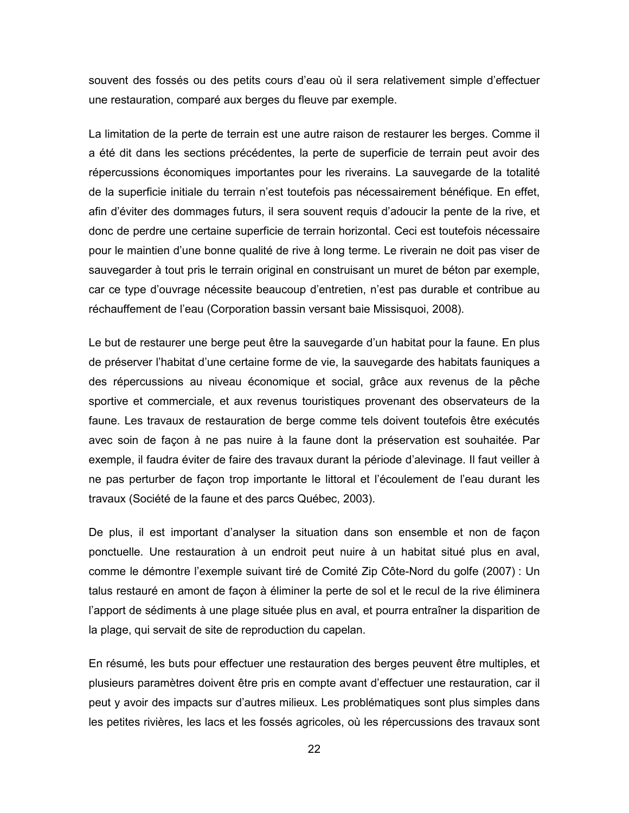souvent des fossés ou des petits cours d'eau où il sera relativement simple d'effectuer une restauration, comparé aux berges du fleuve par exemple.

La limitation de la perte de terrain est une autre raison de restaurer les berges. Comme il a été dit dans les sections précédentes, la perte de superficie de terrain peut avoir des répercussions économiques importantes pour les riverains. La sauvegarde de la totalité de la superficie initiale du terrain n'est toutefois pas nécessairement bénéfique. En effet, afin d'éviter des dommages futurs, il sera souvent requis d'adoucir la pente de la rive, et donc de perdre une certaine superficie de terrain horizontal. Ceci est toutefois nécessaire pour le maintien d'une bonne qualité de rive à long terme. Le riverain ne doit pas viser de sauvegarder à tout pris le terrain original en construisant un muret de béton par exemple, car ce type d'ouvrage nécessite beaucoup d'entretien, n'est pas durable et contribue au réchauffement de l'eau (Corporation bassin versant baie Missisquoi, 2008).

Le but de restaurer une berge peut être la sauvegarde d'un habitat pour la faune. En plus de préserver l'habitat d'une certaine forme de vie, la sauvegarde des habitats fauniques a des répercussions au niveau économique et social, grâce aux revenus de la pêche sportive et commerciale, et aux revenus touristiques provenant des observateurs de la faune. Les travaux de restauration de berge comme tels doivent toutefois être exécutés avec soin de façon à ne pas nuire à la faune dont la préservation est souhaitée. Par exemple, il faudra éviter de faire des travaux durant la période d'alevinage. Il faut veiller à ne pas perturber de façon trop importante le littoral et l'écoulement de l'eau durant les travaux (Société de la faune et des parcs Québec, 2003).

De plus, il est important d'analyser la situation dans son ensemble et non de façon ponctuelle. Une restauration à un endroit peut nuire à un habitat situé plus en aval, comme le démontre l'exemple suivant tiré de Comité Zip Côte-Nord du golfe (2007) : Un talus restauré en amont de façon à éliminer la perte de sol et le recul de la rive éliminera l'apport de sédiments à une plage située plus en aval, et pourra entraîner la disparition de la plage, qui servait de site de reproduction du capelan.

En résumé, les buts pour effectuer une restauration des berges peuvent être multiples, et plusieurs paramètres doivent être pris en compte avant d'effectuer une restauration, car il peut y avoir des impacts sur d'autres milieux. Les problématiques sont plus simples dans les petites rivières, les lacs et les fossés agricoles, où les répercussions des travaux sont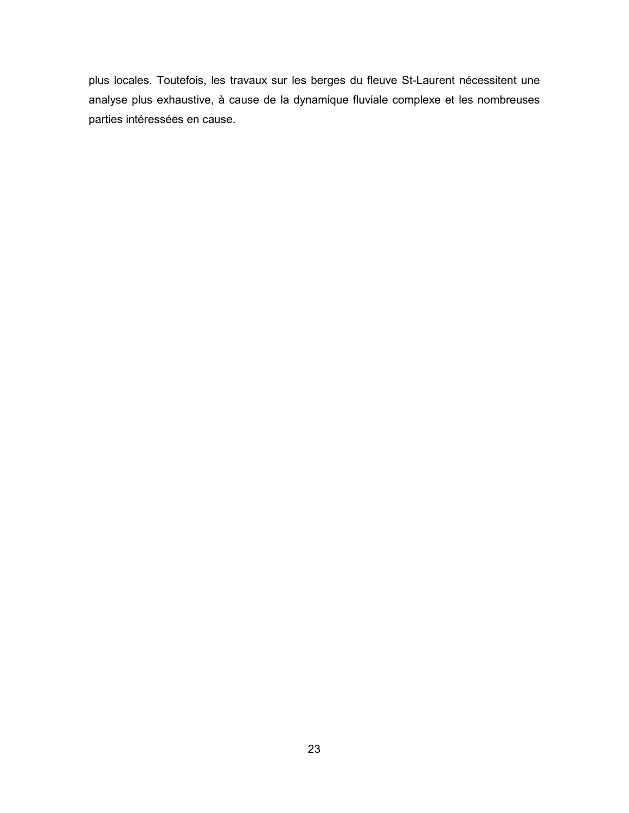plus locales. Toutefois, les travaux sur les berges du fleuve St-Laurent nécessitent une analyse plus exhaustive, à cause de la dynamique fluviale complexe et les nombreuses parties intéressées en cause.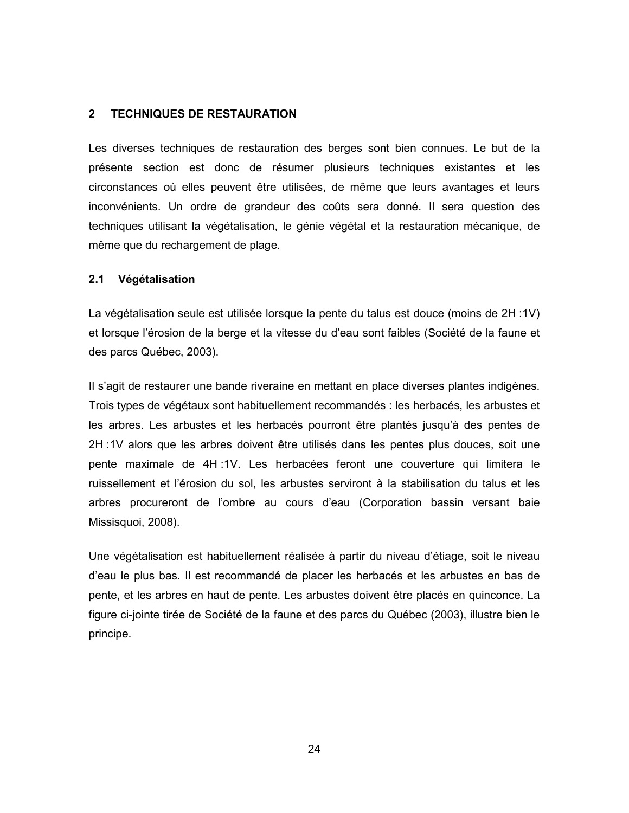#### <span id="page-34-0"></span> $2^{\circ}$ **TECHNIQUES DE RESTAURATION**

Les diverses techniques de restauration des berges sont bien connues. Le but de la présente section est donc de résumer plusieurs techniques existantes et les circonstances où elles peuvent être utilisées, de même que leurs avantages et leurs inconvénients. Un ordre de grandeur des coûts sera donné. Il sera question des techniques utilisant la végétalisation, le génie végétal et la restauration mécanique, de même que du rechargement de plage.

# 2.1 Végétalisation

La végétalisation seule est utilisée lorsque la pente du talus est douce (moins de 2H:1V) et lorsque l'érosion de la berge et la vitesse du d'eau sont faibles (Société de la faune et des parcs Québec, 2003).

Il s'agit de restaurer une bande riveraine en mettant en place diverses plantes indigènes. Trois types de végétaux sont habituellement recommandés : les herbacés, les arbustes et les arbres. Les arbustes et les herbacés pourront être plantés jusqu'à des pentes de 2H:1V alors que les arbres doivent être utilisés dans les pentes plus douces, soit une pente maximale de 4H:1V. Les herbacées feront une couverture qui limitera le ruissellement et l'érosion du sol, les arbustes serviront à la stabilisation du talus et les arbres procureront de l'ombre au cours d'eau (Corporation bassin versant baie Missisquoi, 2008).

Une végétalisation est habituellement réalisée à partir du niveau d'étiage, soit le niveau d'eau le plus bas. Il est recommandé de placer les herbacés et les arbustes en bas de pente, et les arbres en haut de pente. Les arbustes doivent être placés en quinconce. La figure ci-jointe tirée de Société de la faune et des parcs du Québec (2003), illustre bien le principe.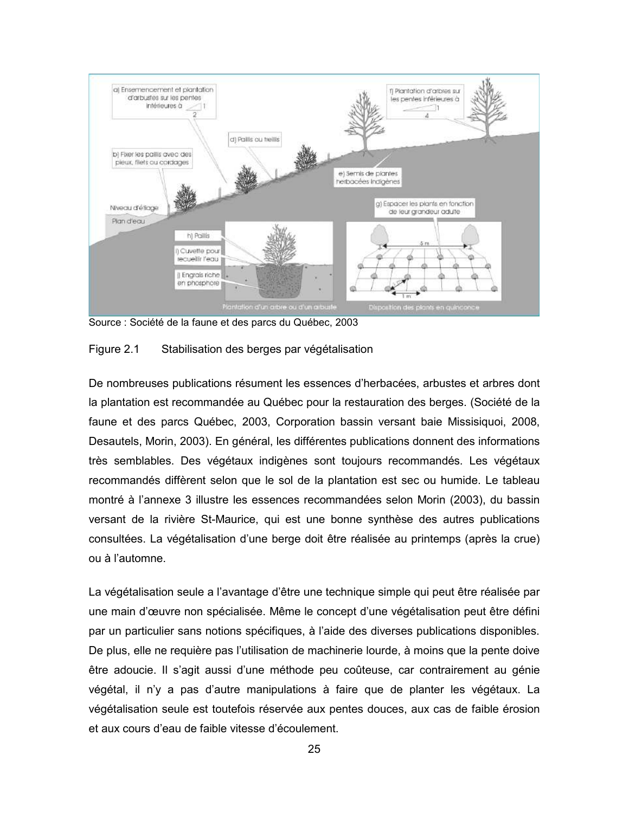<span id="page-35-0"></span>

Source : Société de la faune et des parcs du Québec, 2003

#### Figure 2.1 Stabilisation des berges par végétalisation

De nombreuses publications résument les essences d'herbacées, arbustes et arbres dont la plantation est recommandée au Québec pour la restauration des berges. (Société de la faune et des parcs Québec, 2003, Corporation bassin versant baie Missisiquoi, 2008, Desautels, Morin, 2003). En général, les différentes publications donnent des informations très semblables. Des végétaux indigènes sont toujours recommandés. Les végétaux recommandés diffèrent selon que le sol de la plantation est sec ou humide. Le tableau montré à l'annexe 3 illustre les essences recommandées selon Morin (2003), du bassin versant de la rivière St-Maurice, qui est une bonne synthèse des autres publications consultées. La végétalisation d'une berge doit être réalisée au printemps (après la crue) ou à l'automne.

La végétalisation seule a l'avantage d'être une technique simple qui peut être réalisée par une main d'œuvre non spécialisée. Même le concept d'une végétalisation peut être défini par un particulier sans notions spécifiques, à l'aide des diverses publications disponibles. De plus, elle ne requière pas l'utilisation de machinerie lourde, à moins que la pente doive être adoucie. Il s'agit aussi d'une méthode peu coûteuse, car contrairement au génie végétal, il n'y a pas d'autre manipulations à faire que de planter les végétaux. La végétalisation seule est toutefois réservée aux pentes douces, aux cas de faible érosion et aux cours d'eau de faible vitesse d'écoulement.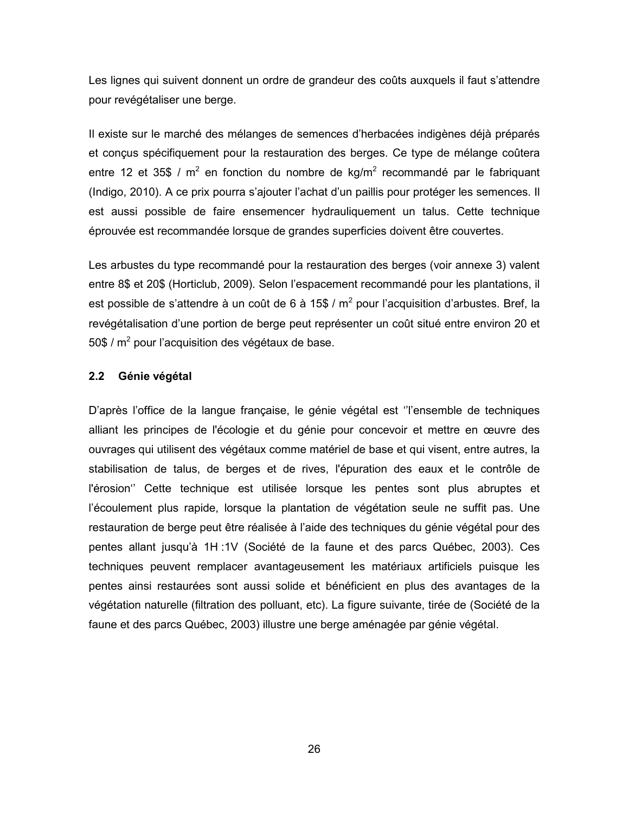Les lignes qui suivent donnent un ordre de grandeur des coûts auxquels il faut s'attendre pour revégétaliser une berge.

Il existe sur le marché des mélanges de semences d'herbacées indigènes déjà préparés et conçus spécifiquement pour la restauration des berges. Ce type de mélange coûtera entre 12 et 35\$ /  $m^2$  en fonction du nombre de  $\text{kg/m}^2$  recommandé par le fabriquant (Indigo, 2010). A ce prix pourra s'ajouter l'achat d'un paillis pour protéger les semences. Il est aussi possible de faire ensemencer hydrauliquement un talus. Cette technique éprouvée est recommandée lorsque de grandes superficies doivent être couvertes.

Les arbustes du type recommandé pour la restauration des berges (voir annexe 3) valent entre 8\$ et 20\$ (Horticlub, 2009). Selon l'espacement recommandé pour les plantations, il est possible de s'attendre à un coût de 6 à 15\$ / m<sup>2</sup> pour l'acquisition d'arbustes. Bref, la revégétalisation d'une portion de berge peut représenter un coût situé entre environ 20 et 50\$ /  $m^2$  pour l'acquisition des végétaux de base.

#### $2.2$ Génie végétal

D'après l'office de la langue française, le génie végétal est "l'ensemble de techniques alliant les principes de l'écologie et du génie pour concevoir et mettre en œuvre des ouvrages qui utilisent des végétaux comme matériel de base et qui visent, entre autres, la stabilisation de talus, de berges et de rives, l'épuration des eaux et le contrôle de l'érosion" Cette technique est utilisée lorsque les pentes sont plus abruptes et l'écoulement plus rapide, lorsque la plantation de végétation seule ne suffit pas. Une restauration de berge peut être réalisée à l'aide des techniques du génie végétal pour des pentes allant jusqu'à 1H :1V (Société de la faune et des parcs Québec, 2003). Ces techniques peuvent remplacer avantageusement les matériaux artificiels puisque les pentes ainsi restaurées sont aussi solide et bénéficient en plus des avantages de la végétation naturelle (filtration des polluant, etc). La figure suivante, tirée de (Société de la faune et des parcs Québec, 2003) illustre une berge aménagée par génie végétal.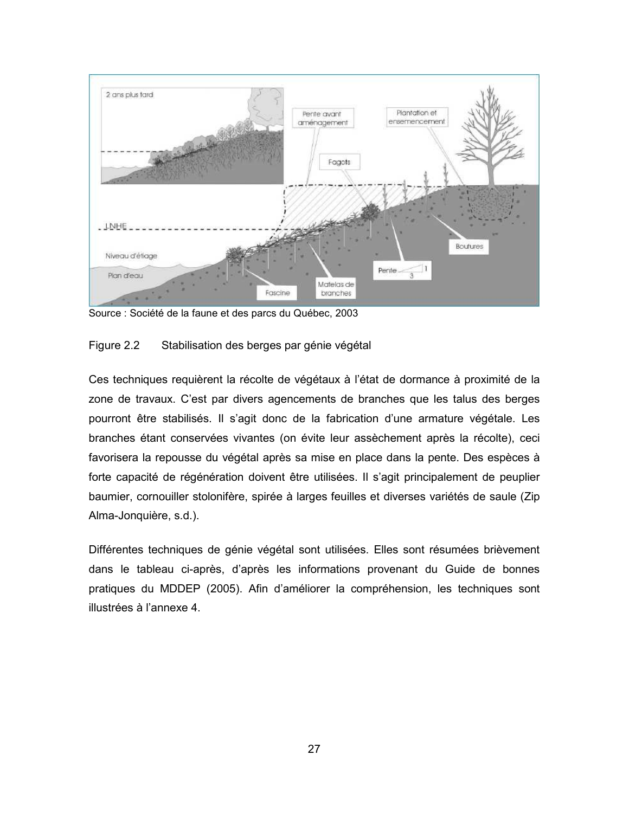

Source : Société de la faune et des parcs du Québec, 2003

#### Figure 2.2 Stabilisation des berges par génie végétal

Ces techniques requièrent la récolte de végétaux à l'état de dormance à proximité de la zone de travaux. C'est par divers agencements de branches que les talus des berges pourront être stabilisés. Il s'agit donc de la fabrication d'une armature végétale. Les branches étant conservées vivantes (on évite leur assèchement après la récolte), ceci favorisera la repousse du végétal après sa mise en place dans la pente. Des espèces à forte capacité de régénération doivent être utilisées. Il s'agit principalement de peuplier baumier, cornouiller stolonifère, spirée à larges feuilles et diverses variétés de saule (Zip Alma-Jonquière, s.d.).

Différentes techniques de génie végétal sont utilisées. Elles sont résumées brièvement dans le tableau ci-après, d'après les informations provenant du Guide de bonnes pratiques du MDDEP (2005). Afin d'améliorer la compréhension, les techniques sont illustrées à l'annexe 4.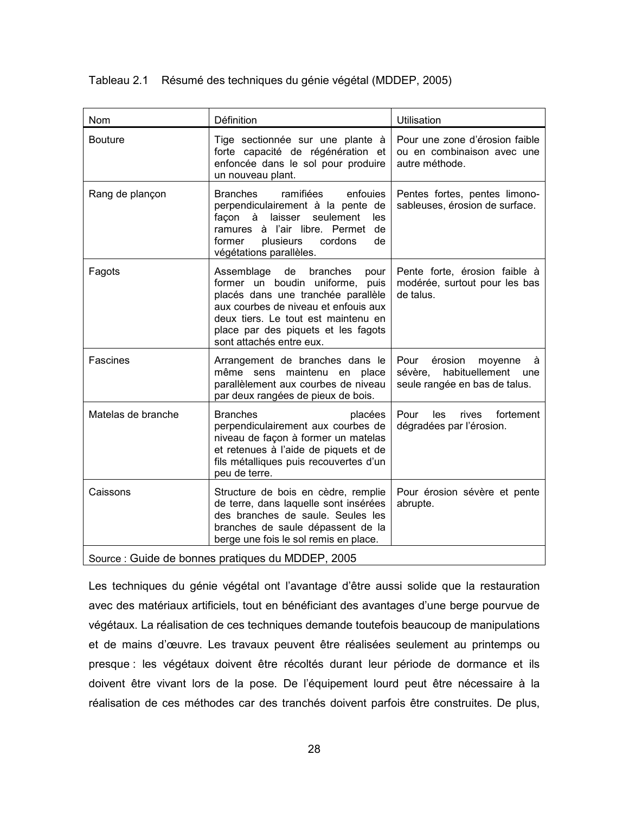Tableau 2.1 Résumé des techniques du génie végétal (MDDEP, 2005)

| Nom                | <b>Définition</b>                                                                                                                                                                                                                                               | <b>Utilisation</b>                                                                                   |
|--------------------|-----------------------------------------------------------------------------------------------------------------------------------------------------------------------------------------------------------------------------------------------------------------|------------------------------------------------------------------------------------------------------|
| <b>Bouture</b>     | Tige sectionnée sur une plante à<br>forte capacité de régénération et<br>enfoncée dans le sol pour produire<br>un nouveau plant.                                                                                                                                | Pour une zone d'érosion faible<br>ou en combinaison avec une<br>autre méthode.                       |
| Rang de plançon    | enfoujes<br><b>Branches</b><br>ramifiées<br>perpendiculairement à la pente de<br>façon<br>laisser<br>seulement<br>à<br>les<br>ramures à l'air libre. Permet<br>de<br>former<br>plusieurs<br>cordons<br>de<br>végétations parallèles.                            | Pentes fortes, pentes limono-<br>sableuses, érosion de surface.                                      |
| Fagots             | Assemblage<br>de<br>branches<br>pour<br>former un boudin uniforme, puis<br>placés dans une tranchée parallèle<br>aux courbes de niveau et enfouis aux<br>deux tiers. Le tout est maintenu en<br>place par des piquets et les fagots<br>sont attachés entre eux. | Pente forte, érosion faible à<br>modérée, surtout pour les bas<br>de talus.                          |
| Fascines           | Arrangement de branches dans le<br>même sens maintenu en place<br>parallèlement aux courbes de niveau<br>par deux rangées de pieux de bois.                                                                                                                     | érosion<br>Pour<br>moyenne<br>à<br>habituellement<br>sévère,<br>une<br>seule rangée en bas de talus. |
| Matelas de branche | <b>Branches</b><br>placées<br>perpendiculairement aux courbes de<br>niveau de façon à former un matelas<br>et retenues à l'aide de piquets et de<br>fils métalliques puis recouvertes d'un<br>peu de terre.                                                     | fortement<br>Pour<br>les<br>rives<br>dégradées par l'érosion.                                        |
| Caissons           | Structure de bois en cèdre, remplie<br>de terre, dans laquelle sont insérées<br>des branches de saule. Seules les<br>branches de saule dépassent de la<br>berge une fois le sol remis en place.                                                                 | Pour érosion sévère et pente<br>abrupte.                                                             |
|                    | Source : Guide de bonnes pratiques du MDDEP, 2005                                                                                                                                                                                                               |                                                                                                      |

Les techniques du génie végétal ont l'avantage d'être aussi solide que la restauration avec des matériaux artificiels, tout en bénéficiant des avantages d'une berge pourvue de végétaux. La réalisation de ces techniques demande toutefois beaucoup de manipulations et de mains d'œuvre. Les travaux peuvent être réalisées seulement au printemps ou presque : les végétaux doivent être récoltés durant leur période de dormance et ils doivent être vivant lors de la pose. De l'équipement lourd peut être nécessaire à la réalisation de ces méthodes car des tranchés doivent parfois être construites. De plus,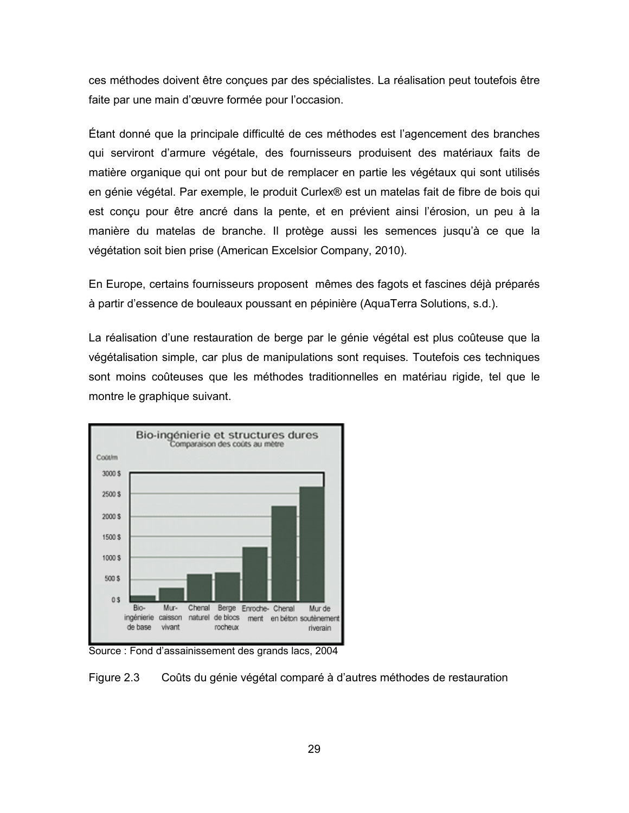ces méthodes doivent être conçues par des spécialistes. La réalisation peut toutefois être faite par une main d'œuvre formée pour l'occasion.

Étant donné que la principale difficulté de ces méthodes est l'agencement des branches qui serviront d'armure végétale, des fournisseurs produisent des matériaux faits de matière organique qui ont pour but de remplacer en partie les végétaux qui sont utilisés en génie végétal. Par exemple, le produit Curlex® est un matelas fait de fibre de bois qui est conçu pour être ancré dans la pente, et en prévient ainsi l'érosion, un peu à la manière du matelas de branche. Il protège aussi les semences jusqu'à ce que la végétation soit bien prise (American Excelsior Company, 2010).

En Europe, certains fournisseurs proposent mêmes des fagots et fascines déjà préparés à partir d'essence de bouleaux poussant en pépinière (AquaTerra Solutions, s.d.).

La réalisation d'une restauration de berge par le génie végétal est plus coûteuse que la végétalisation simple, car plus de manipulations sont requises. Toutefois ces techniques sont moins coûteuses que les méthodes traditionnelles en matériau rigide, tel que le montre le graphique suivant.



Source: Fond d'assainissement des grands lacs, 2004

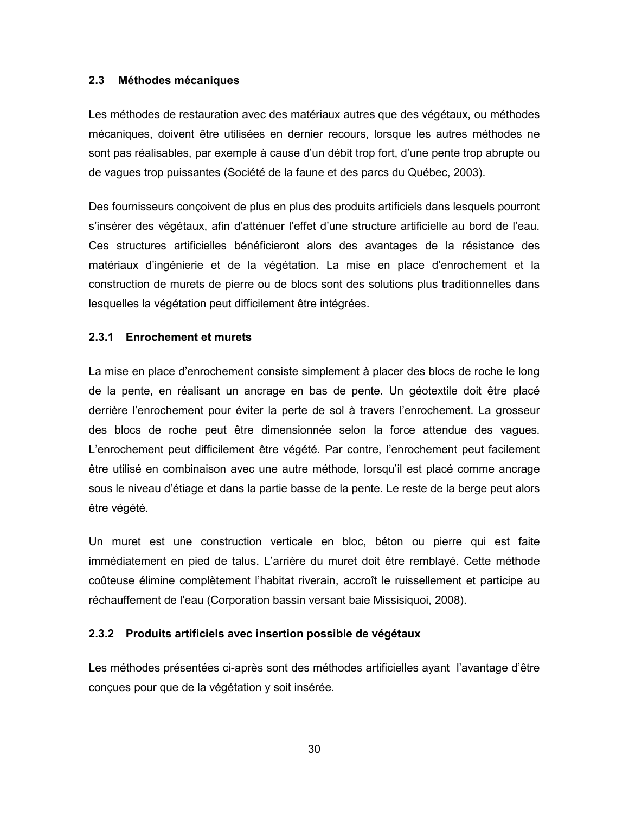## 2.3 Méthodes mécaniques

Les méthodes de restauration avec des matériaux autres que des végétaux, ou méthodes mécaniques, doivent être utilisées en dernier recours, lorsque les autres méthodes ne sont pas réalisables, par exemple à cause d'un débit trop fort, d'une pente trop abrupte ou de vagues trop puissantes (Société de la faune et des parcs du Québec, 2003).

Des fournisseurs conçoivent de plus en plus des produits artificiels dans lesquels pourront s'insérer des végétaux, afin d'atténuer l'effet d'une structure artificielle au bord de l'eau. Ces structures artificielles bénéficieront alors des avantages de la résistance des matériaux d'ingénierie et de la végétation. La mise en place d'enrochement et la construction de murets de pierre ou de blocs sont des solutions plus traditionnelles dans lesquelles la végétation peut difficilement être intégrées.

## 2.3.1 Enrochement et murets

La mise en place d'enrochement consiste simplement à placer des blocs de roche le long de la pente, en réalisant un ancrage en bas de pente. Un géotextile doit être placé derrière l'enrochement pour éviter la perte de sol à travers l'enrochement. La grosseur des blocs de roche peut être dimensionnée selon la force attendue des vagues. L'enrochement peut difficilement être végété. Par contre, l'enrochement peut facilement être utilisé en combinaison avec une autre méthode, lorsqu'il est placé comme ancrage sous le niveau d'étiage et dans la partie basse de la pente. Le reste de la berge peut alors être végété.

Un muret est une construction verticale en bloc, béton ou pierre qui est faite immédiatement en pied de talus. L'arrière du muret doit être remblayé. Cette méthode coûteuse élimine complètement l'habitat riverain, accroît le ruissellement et participe au réchauffement de l'eau (Corporation bassin versant baie Missisiquoi, 2008).

# 2.3.2 Produits artificiels avec insertion possible de végétaux

Les méthodes présentées ci-après sont des méthodes artificielles ayant l'avantage d'être conçues pour que de la végétation y soit insérée.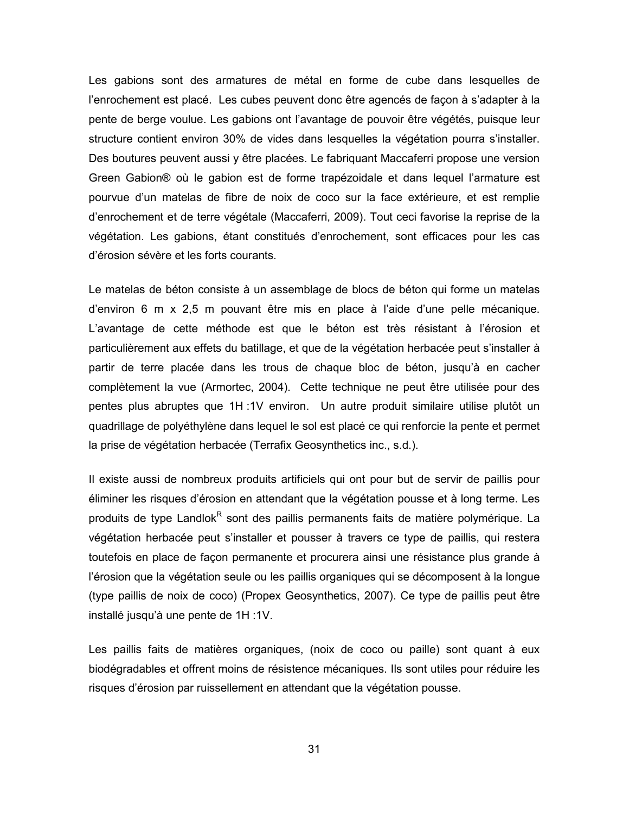Les gabions sont des armatures de métal en forme de cube dans lesquelles de l'enrochement est placé. Les cubes peuvent donc être agencés de façon à s'adapter à la pente de berge voulue. Les gabions ont l'avantage de pouvoir être végétés, puisque leur structure contient environ 30% de vides dans lesquelles la végétation pourra s'installer. Des boutures peuvent aussi y être placées. Le fabriquant Maccaferri propose une version Green Gabion® où le gabion est de forme trapézoidale et dans lequel l'armature est pourvue d'un matelas de fibre de noix de coco sur la face extérieure, et est remplie d'enrochement et de terre végétale (Maccaferri, 2009). Tout ceci favorise la reprise de la végétation. Les gabions, étant constitués d'enrochement, sont efficaces pour les cas d'érosion sévère et les forts courants.

Le matelas de béton consiste à un assemblage de blocs de béton qui forme un matelas d'environ 6 m x 2,5 m pouvant être mis en place à l'aide d'une pelle mécanique. L'avantage de cette méthode est que le béton est très résistant à l'érosion et particulièrement aux effets du batillage, et que de la végétation herbacée peut s'installer à partir de terre placée dans les trous de chaque bloc de béton, jusqu'à en cacher complètement la vue (Armortec, 2004). Cette technique ne peut être utilisée pour des pentes plus abruptes que 1H :1V environ. Un autre produit similaire utilise plutôt un quadrillage de polyéthylène dans lequel le sol est placé ce qui renforcie la pente et permet la prise de végétation herbacée (Terrafix Geosynthetics inc., s.d.).

Il existe aussi de nombreux produits artificiels qui ont pour but de servir de paillis pour éliminer les risques d'érosion en attendant que la végétation pousse et à long terme. Les produits de type Landlok<sup>R</sup> sont des paillis permanents faits de matière polymérique. La végétation herbacée peut s'installer et pousser à travers ce type de paillis, qui restera toutefois en place de façon permanente et procurera ainsi une résistance plus grande à l'érosion que la végétation seule ou les paillis organiques qui se décomposent à la longue (type paillis de noix de coco) (Propex Geosynthetics, 2007). Ce type de paillis peut être installé jusqu'à une pente de 1H :1V.

Les paillis faits de matières organiques, (noix de coco ou paille) sont quant à eux biodégradables et offrent moins de résistence mécaniques. Ils sont utiles pour réduire les risques d'érosion par ruissellement en attendant que la végétation pousse.

31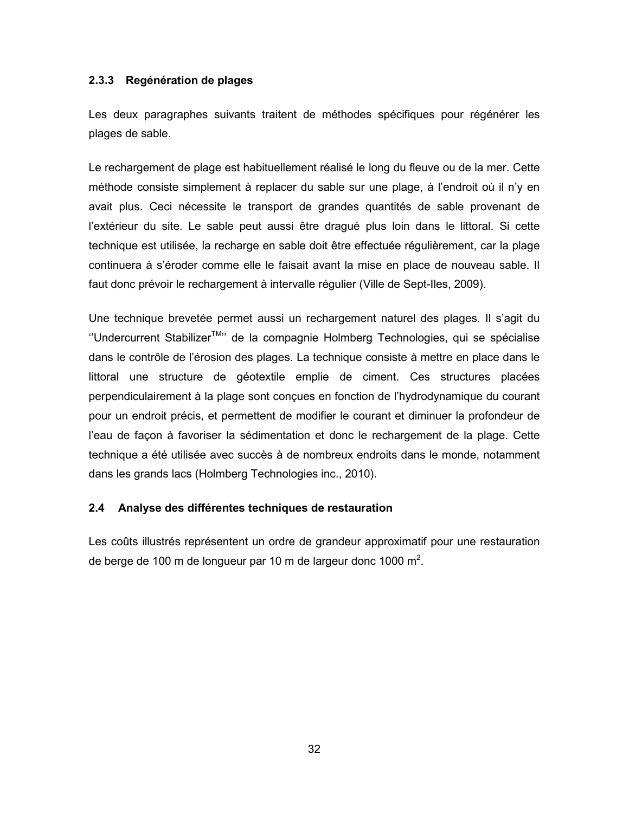# 2.3.3 Regénération de plages

Les deux paragraphes suivants traitent de méthodes spécifiques pour régénérer les plages de sable.

Le rechargement de plage est habituellement réalisé le long du fleuve ou de la mer. Cette méthode consiste simplement à replacer du sable sur une plage, à l'endroit où il n'y en avait plus. Ceci nécessite le transport de grandes quantités de sable provenant de l'extérieur du site. Le sable peut aussi être dragué plus loin dans le littoral. Si cette technique est utilisée, la recharge en sable doit être effectuée régulièrement, car la plage continuera à s'éroder comme elle le faisait avant la mise en place de nouveau sable. Il faut donc prévoir le rechargement à intervalle régulier (Ville de Sept-Iles, 2009).

Une technique brevetée permet aussi un rechargement naturel des plages. Il s'agit du "Undercurrent Stabilizer<sup>TM</sup>" de la compagnie Holmberg Technologies, qui se spécialise dans le contrôle de l'érosion des plages. La technique consiste à mettre en place dans le littoral une structure de géotextile emplie de ciment. Ces structures placées perpendiculairement à la plage sont conçues en fonction de l'hydrodynamique du courant pour un endroit précis, et permettent de modifier le courant et diminuer la profondeur de l'eau de façon à favoriser la sédimentation et donc le rechargement de la plage. Cette technique a été utilisée avec succès à de nombreux endroits dans le monde, notamment dans les grands lacs (Holmberg Technologies inc., 2010).

# 2.4 Analyse des différentes techniques de restauration

Les coûts illustrés représentent un ordre de grandeur approximatif pour une restauration de berge de 100 m de longueur par 10 m de largeur donc 1000 m<sup>2</sup>.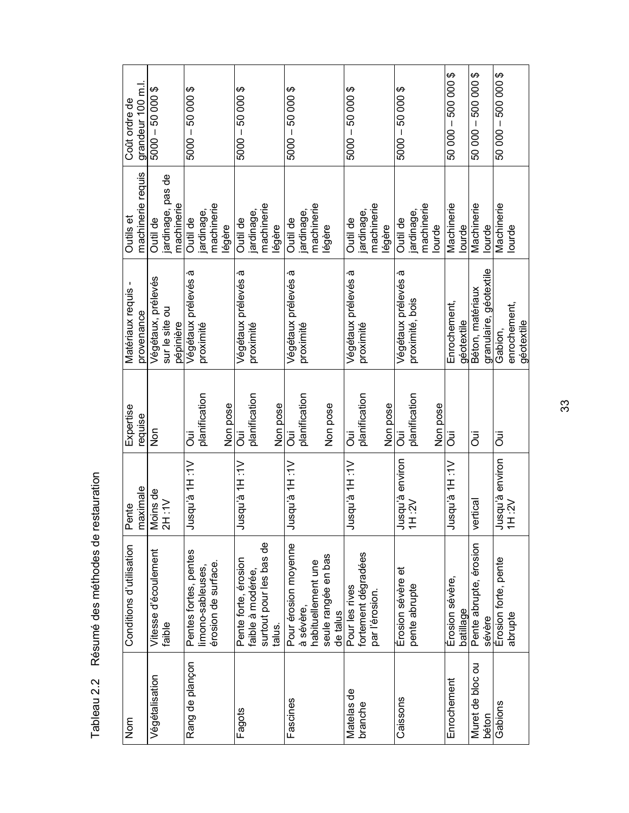| mok              | Conditions d'utilisation        | Pente           | Expertise     | Matériaux requis -         | Outils et           | Coût ordre de          |
|------------------|---------------------------------|-----------------|---------------|----------------------------|---------------------|------------------------|
|                  |                                 |                 |               |                            |                     |                        |
|                  |                                 | naximale        | requise       | provenance                 | machinerie requis   | grandeur 100 m.l.      |
| Végétalisation   | Vitesse d'écoulement            | Vloins de       | $\frac{5}{2}$ | Végétaux, prélevés         | Outil de            | $2000 - 50000$         |
|                  | faible                          | 2H:1V           |               | sur le site ou             | jardinage, pas de   |                        |
|                  |                                 |                 |               | pépinière                  | machinerie          |                        |
| Rang de plançon  | Pentes fortes, pentes           | Vr: Hr é'upsul  | ā             | Végétaux prélevés à        | Outil de            | $5000 - 50000$ \$      |
|                  | limono-sableuses,               |                 | planification | proximité                  | ardinage,           |                        |
|                  | érosion de surface.             |                 |               |                            | machinerie          |                        |
|                  |                                 |                 | Non pose      |                            | légère              |                        |
| Fagots           | Pente forte, érosion            | Vr: Ht á'upsul  | ā             | Végétaux prélevés à        | Outil de            | $5000 - 50000$ \$      |
|                  | faible à modérée,               |                 | planification | proximité                  | ardinage,           |                        |
|                  | surtout pour les bas de         |                 |               |                            | machinerie          |                        |
|                  | talus.                          |                 | Non pose      |                            | légère              |                        |
| Fascines         | Pour érosion moyenne            | VI: HI é'upsul  | ā             | Végétaux prélevés à        | Outil de            | \$ 000 09 - 0005       |
|                  |                                 |                 | planification | proximité                  | ardinage,           |                        |
|                  | à sévère,<br>habituellement une |                 |               |                            | machinerie          |                        |
|                  | seule rangée en bas             |                 | Non pose      |                            | égère               |                        |
|                  | de talus                        |                 |               |                            |                     |                        |
| Matelas de       | Pour les rives                  | Vr: Hr á'upsul  | Ö             | Végétaux prélevés à        | Outil de            | $2000 - 50000$         |
| branche          | fortement dégradées             |                 | planification | proximité                  | ardinage,           |                        |
|                  | par l'érosion.                  |                 |               |                            | machinerie          |                        |
|                  |                                 |                 | Non pose      |                            | légère              |                        |
| Caissons         | Erosion sévère et               | Jusqu'à environ | ā             | È<br>Végétaux prélevés     | Outil de            | $2000 - 5000$          |
|                  | pente abrupte                   | 1H :2V          | planification | proximité, bois            | ardinage,           |                        |
|                  |                                 |                 |               |                            | machinerie          |                        |
|                  |                                 |                 | Non pose      |                            | ourde               |                        |
| Enrochement      | Erosion sévère,<br>batillage    | Vr: Hr supsul   | Ö             | Enrochement,<br>géotextile | Machinerie<br>ourde | \$000 000 - 500 000 \$ |
| Muret de bloc ou | Pente abrupte, érosion          | ertical         | ÖÖ            | Béton, matériaux           | Machinerie          | \$ 000 000<br>$-00005$ |
| béton            | sévère                          |                 |               | granulaire, géotextile     | lourde              |                        |
| Gabions          | Erosion forte, pente            | Jusqu'à environ | Ō             | Gabion,                    | Machinerie          | \$00000000000000       |
|                  | abrupte                         | 1H :2V          |               | enrochement,               | lourde              |                        |
|                  |                                 |                 |               | géotextile                 |                     |                        |

Tableau 2.2 Résumé des méthodes de restauration

33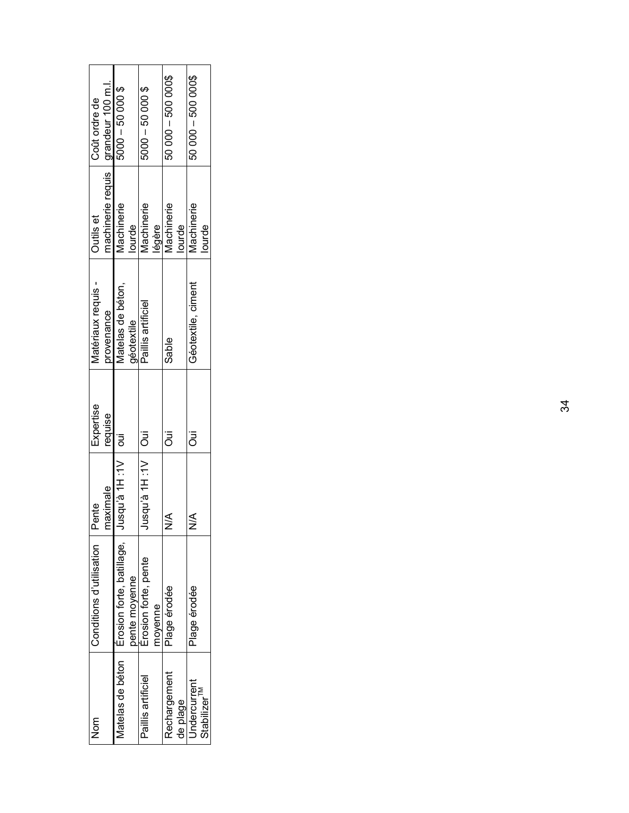| Coût ordre de            |                                       | $5000 - 50000$ \$         |               | \$000 - 50 000        |         | 50 000 - 500 000\$ |          | 50 000 - 500 000\$ |                          |
|--------------------------|---------------------------------------|---------------------------|---------------|-----------------------|---------|--------------------|----------|--------------------|--------------------------|
| Outils et                | machinerie requis   grandeur 100 m.l. | Machinerie                | lourde        | Machinerie            | légère  | Machinerie         | lourde   | Machinerie         | <b>Jourde</b>            |
| Matériaux requis         | provenance                            | Matelas de béton,         | géotextile    | Paillis artificiel    |         | Sable              |          | Géotextile, ciment |                          |
| Expertise                | requise                               |                           |               |                       |         | ā                  |          | ā                  |                          |
| ente                     | naximale                              | iusqu'à 1H : 1V   oui     |               | iusqu'à 1H : 1V   Oui |         |                    |          |                    |                          |
| Conditions d'utilisation |                                       | Erosion forte, batillage, | pente moyenne | Érosion forte, pente  | noyenne | Plage érodée       |          | Plage érodée       |                          |
| <b>Spar</b>              |                                       | latelas de béton          |               | Paillis artificiel    |         | Rechargement       | de plage | Jndercurrent       | Stabilizer <sup>TM</sup> |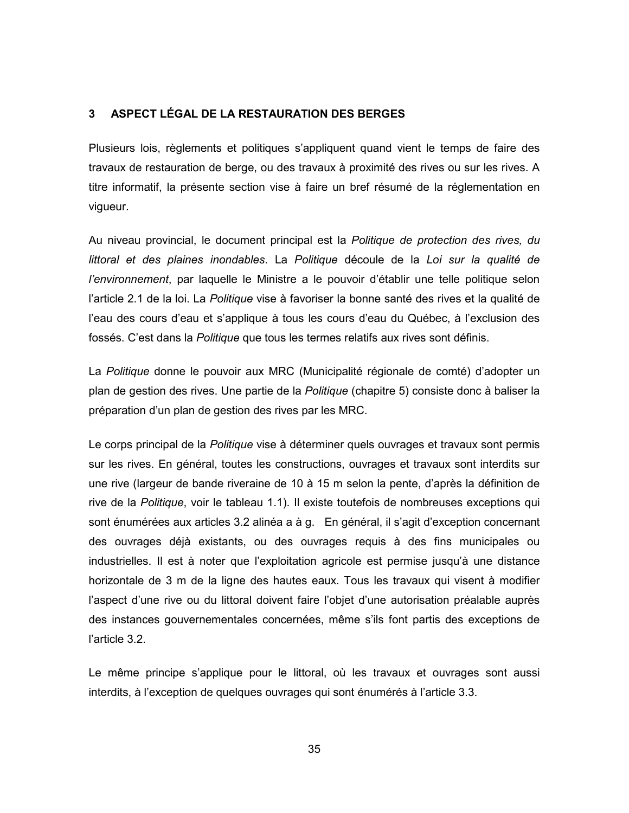## 3 ASPECT LÉGAL DE LA RESTAURATION DES BERGES

Plusieurs lois, règlements et politiques s'appliquent quand vient le temps de faire des travaux de restauration de berge, ou des travaux à proximité des rives ou sur les rives. A titre informatif, la présente section vise à faire un bref résumé de la réglementation en viqueur.

Au niveau provincial, le document principal est la Politique de protection des rives, du littoral et des plaines inondables. La Politique découle de la Loi sur la qualité de l'environnement, par laquelle le Ministre a le pouvoir d'établir une telle politique selon l'article 2.1 de la loi. La Politique vise à favoriser la bonne santé des rives et la qualité de l'eau des cours d'eau et s'applique à tous les cours d'eau du Québec, à l'exclusion des fossés. C'est dans la Politique que tous les termes relatifs aux rives sont définis.

La Politique donne le pouvoir aux MRC (Municipalité régionale de comté) d'adopter un plan de gestion des rives. Une partie de la Politique (chapitre 5) consiste donc à baliser la préparation d'un plan de gestion des rives par les MRC.

Le corps principal de la Politique vise à déterminer quels ouvrages et travaux sont permis sur les rives. En général, toutes les constructions, ouvrages et travaux sont interdits sur une rive (largeur de bande riveraine de 10 à 15 m selon la pente, d'après la définition de rive de la Politique, voir le tableau 1.1). Il existe toutefois de nombreuses exceptions qui sont énumérées aux articles 3.2 alinéa a à g. En général, il s'agit d'exception concernant des ouvrages déjà existants, ou des ouvrages requis à des fins municipales ou industrielles. Il est à noter que l'exploitation agricole est permise jusqu'à une distance horizontale de 3 m de la ligne des hautes eaux. Tous les travaux qui visent à modifier l'aspect d'une rive ou du littoral doivent faire l'objet d'une autorisation préalable auprès des instances gouvernementales concernées, même s'ils font partis des exceptions de l'article 3.2.

Le même principe s'applique pour le littoral, où les travaux et ouvrages sont aussi interdits, à l'exception de quelques ouvrages qui sont énumérés à l'article 3.3.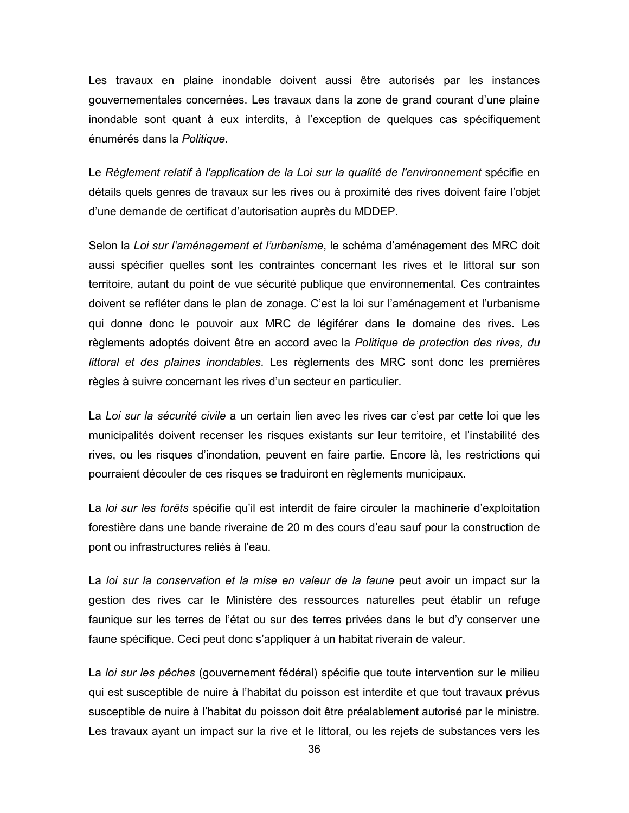Les travaux en plaine inondable doivent aussi être autorisés par les instances gouvernementales concernées. Les travaux dans la zone de grand courant d'une plaine inondable sont quant à eux interdits, à l'exception de quelques cas spécifiquement énumérés dans la Politique.

Le Règlement relatif à l'application de la Loi sur la qualité de l'environnement spécifie en détails quels genres de travaux sur les rives ou à proximité des rives doivent faire l'objet d'une demande de certificat d'autorisation auprès du MDDEP.

Selon la Loi sur l'aménagement et l'urbanisme, le schéma d'aménagement des MRC doit aussi spécifier quelles sont les contraintes concernant les rives et le littoral sur son territoire, autant du point de vue sécurité publique que environnemental. Ces contraintes doivent se refléter dans le plan de zonage. C'est la loi sur l'aménagement et l'urbanisme qui donne donc le pouvoir aux MRC de légiférer dans le domaine des rives. Les règlements adoptés doivent être en accord avec la Politique de protection des rives, du littoral et des plaines inondables. Les règlements des MRC sont donc les premières règles à suivre concernant les rives d'un secteur en particulier.

La Loi sur la sécurité civile a un certain lien avec les rives car c'est par cette loi que les municipalités doivent recenser les risques existants sur leur territoire, et l'instabilité des rives, ou les risques d'inondation, peuvent en faire partie. Encore là, les restrictions qui pourraient découler de ces risques se traduiront en règlements municipaux.

La loi sur les forêts spécifie qu'il est interdit de faire circuler la machinerie d'exploitation forestière dans une bande riveraine de 20 m des cours d'eau sauf pour la construction de pont ou infrastructures reliés à l'eau.

La loi sur la conservation et la mise en valeur de la faune peut avoir un impact sur la gestion des rives car le Ministère des ressources naturelles peut établir un refuge faunique sur les terres de l'état ou sur des terres privées dans le but d'y conserver une faune spécifique. Ceci peut donc s'appliquer à un habitat riverain de valeur.

La loi sur les pêches (gouvernement fédéral) spécifie que toute intervention sur le milieu qui est susceptible de nuire à l'habitat du poisson est interdite et que tout travaux prévus susceptible de nuire à l'habitat du poisson doit être préalablement autorisé par le ministre. Les travaux ayant un impact sur la rive et le littoral, ou les rejets de substances vers les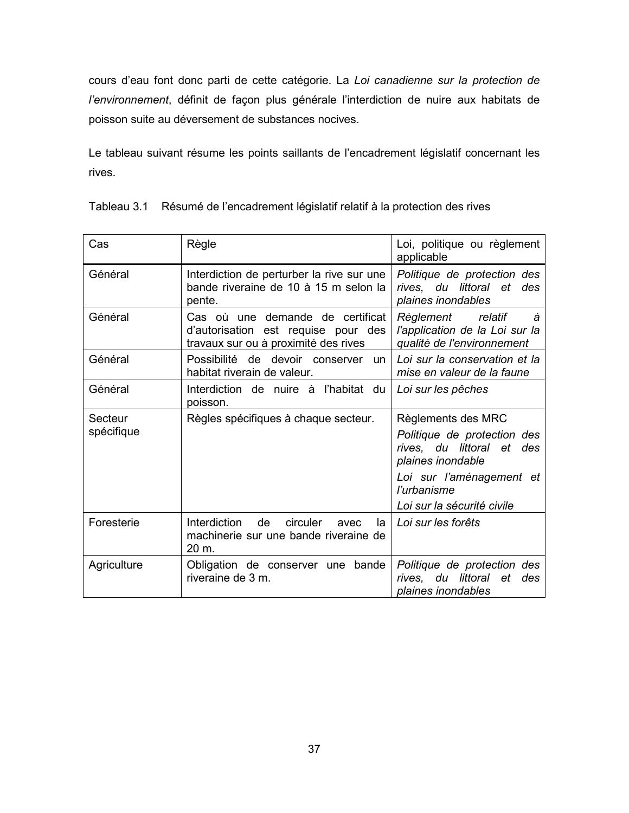cours d'eau font donc parti de cette catégorie. La Loi canadienne sur la protection de l'environnement, définit de façon plus générale l'interdiction de nuire aux habitats de poisson suite au déversement de substances nocives.

Le tableau suivant résume les points saillants de l'encadrement législatif concernant les rives.

| Cas                   | Règle                                                                                                           | Loi, politique ou règlement<br>applicable                                                                                                                                              |
|-----------------------|-----------------------------------------------------------------------------------------------------------------|----------------------------------------------------------------------------------------------------------------------------------------------------------------------------------------|
| Général               | Interdiction de perturber la rive sur une<br>bande riveraine de 10 à 15 m selon la<br>pente.                    | Politique de protection des<br>rives, du littoral et des<br>plaines inondables                                                                                                         |
| Général               | Cas où une demande de certificat<br>d'autorisation est requise pour des<br>travaux sur ou à proximité des rives | relatif<br>Règlement<br>à<br>l'application de la Loi sur la<br>qualité de l'environnement                                                                                              |
| Général               | Possibilité<br>de devoir conserver<br>un<br>habitat riverain de valeur.                                         | Loi sur la conservation et la<br>mise en valeur de la faune                                                                                                                            |
| Général               | Interdiction de nuire à l'habitat du<br>poisson.                                                                | Loi sur les pêches                                                                                                                                                                     |
| Secteur<br>spécifique | Règles spécifiques à chaque secteur.                                                                            | Règlements des MRC<br>Politique de protection des<br>rives, du littoral<br>et des<br>plaines inondable<br>Loi sur l'aménagement et<br><i>l'urbanisme</i><br>Loi sur la sécurité civile |
| Foresterie            | Interdiction<br>de<br>circuler<br>avec<br>la<br>machinerie sur une bande riveraine de<br>20 m.                  | Loi sur les forêts                                                                                                                                                                     |
| Agriculture           | Obligation de conserver une bande<br>riveraine de 3 m.                                                          | Politique de protection des<br>du littoral<br>rives.<br>et<br>des<br>plaines inondables                                                                                                |

Tableau 3.1 Résumé de l'encadrement législatif relatif à la protection des rives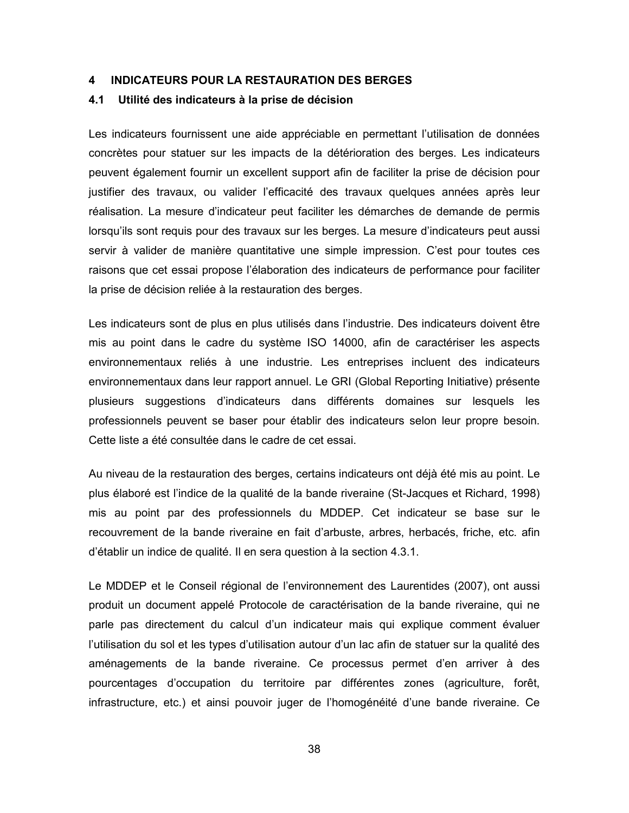#### **INDICATEURS POUR LA RESTAURATION DES BERGES**  $\overline{\mathbf{4}}$

#### 4.1 Utilité des indicateurs à la prise de décision

Les indicateurs fournissent une aide appréciable en permettant l'utilisation de données concrètes pour statuer sur les impacts de la détérioration des berges. Les indicateurs peuvent également fournir un excellent support afin de faciliter la prise de décision pour justifier des travaux, ou valider l'efficacité des travaux quelques années après leur réalisation. La mesure d'indicateur peut faciliter les démarches de demande de permis lorsqu'ils sont requis pour des travaux sur les berges. La mesure d'indicateurs peut aussi servir à valider de manière quantitative une simple impression. C'est pour toutes ces raisons que cet essai propose l'élaboration des indicateurs de performance pour faciliter la prise de décision reliée à la restauration des berges.

Les indicateurs sont de plus en plus utilisés dans l'industrie. Des indicateurs doivent être mis au point dans le cadre du système ISO 14000, afin de caractériser les aspects environnementaux reliés à une industrie. Les entreprises incluent des indicateurs environnementaux dans leur rapport annuel. Le GRI (Global Reporting Initiative) présente plusieurs suggestions d'indicateurs dans différents domaines sur lesquels les professionnels peuvent se baser pour établir des indicateurs selon leur propre besoin. Cette liste a été consultée dans le cadre de cet essai.

Au niveau de la restauration des berges, certains indicateurs ont déjà été mis au point. Le plus élaboré est l'indice de la qualité de la bande riveraine (St-Jacques et Richard, 1998) mis au point par des professionnels du MDDEP. Cet indicateur se base sur le recouvrement de la bande riveraine en fait d'arbuste, arbres, herbacés, friche, etc. afin d'établir un indice de qualité. Il en sera question à la section 4.3.1.

Le MDDEP et le Conseil régional de l'environnement des Laurentides (2007), ont aussi produit un document appelé Protocole de caractérisation de la bande riveraine, qui ne parle pas directement du calcul d'un indicateur mais qui explique comment évaluer l'utilisation du sol et les types d'utilisation autour d'un lac afin de statuer sur la qualité des aménagements de la bande riveraine. Ce processus permet d'en arriver à des pourcentages d'occupation du territoire par différentes zones (agriculture, forêt, infrastructure, etc.) et ainsi pouvoir juger de l'homogénéité d'une bande riveraine. Ce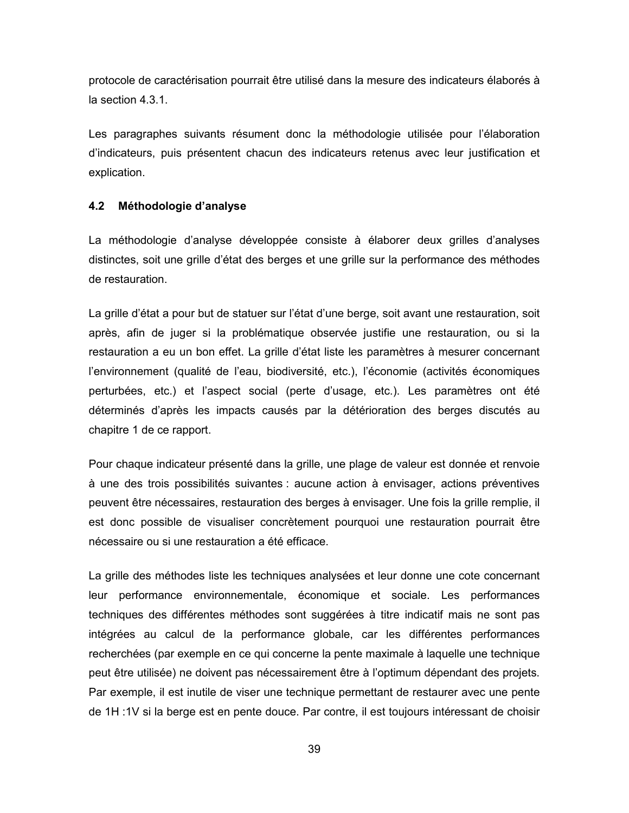protocole de caractérisation pourrait être utilisé dans la mesure des indicateurs élaborés à la section 4.3.1.

Les paragraphes suivants résument donc la méthodologie utilisée pour l'élaboration d'indicateurs, puis présentent chacun des indicateurs retenus avec leur justification et explication.

#### 4.2 Méthodologie d'analyse

La méthodologie d'analyse développée consiste à élaborer deux grilles d'analyses distinctes, soit une grille d'état des berges et une grille sur la performance des méthodes de restauration.

La grille d'état a pour but de statuer sur l'état d'une berge, soit avant une restauration, soit après, afin de juger si la problématique observée justifie une restauration, ou si la restauration a eu un bon effet. La grille d'état liste les paramètres à mesurer concernant l'environnement (qualité de l'eau, biodiversité, etc.), l'économie (activités économiques perturbées, etc.) et l'aspect social (perte d'usage, etc.). Les paramètres ont été déterminés d'après les impacts causés par la détérioration des berges discutés au chapitre 1 de ce rapport.

Pour chaque indicateur présenté dans la grille, une plage de valeur est donnée et renvoie à une des trois possibilités suivantes : aucune action à envisager, actions préventives peuvent être nécessaires, restauration des berges à envisager. Une fois la grille remplie, il est donc possible de visualiser concrètement pourquoi une restauration pourrait être nécessaire ou si une restauration a été efficace.

La grille des méthodes liste les techniques analysées et leur donne une cote concernant leur performance environnementale, économique et sociale. Les performances techniques des différentes méthodes sont suggérées à titre indicatif mais ne sont pas intégrées au calcul de la performance globale, car les différentes performances recherchées (par exemple en ce qui concerne la pente maximale à laquelle une technique peut être utilisée) ne doivent pas nécessairement être à l'optimum dépendant des projets. Par exemple, il est inutile de viser une technique permettant de restaurer avec une pente de 1H: 1V si la berge est en pente douce. Par contre, il est toujours intéressant de choisir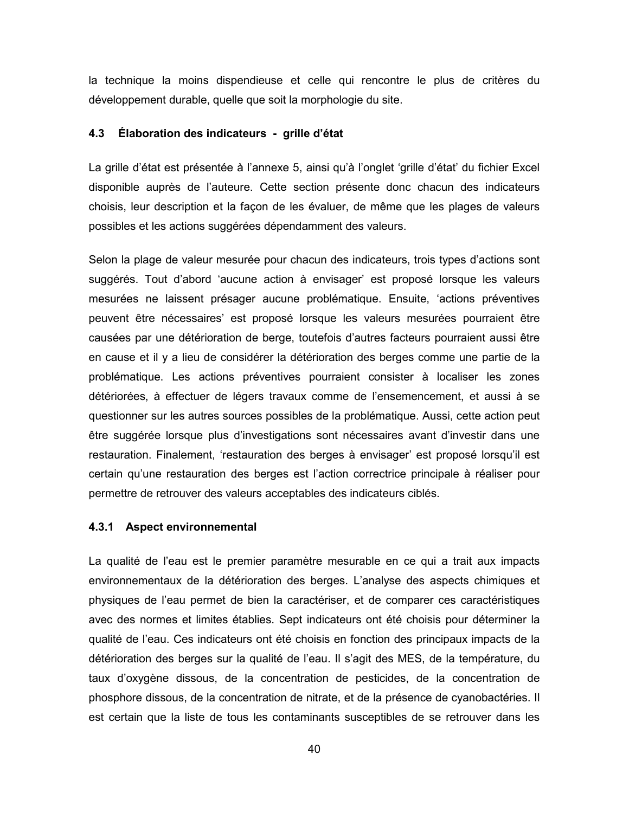la technique la moins dispendieuse et celle qui rencontre le plus de critères du développement durable, quelle que soit la morphologie du site.

### 4.3 Élaboration des indicateurs - grille d'état

La grille d'état est présentée à l'annexe 5, ainsi qu'à l'onglet 'grille d'état' du fichier Excel disponible auprès de l'auteure. Cette section présente donc chacun des indicateurs choisis, leur description et la façon de les évaluer, de même que les plages de valeurs possibles et les actions suggérées dépendamment des valeurs.

Selon la plage de valeur mesurée pour chacun des indicateurs, trois types d'actions sont suggérés. Tout d'abord 'aucune action à envisager' est proposé lorsque les valeurs mesurées ne laissent présager aucune problématique. Ensuite, 'actions préventives peuvent être nécessaires' est proposé lorsque les valeurs mesurées pourraient être causées par une détérioration de berge, toutefois d'autres facteurs pourraient aussi être en cause et il y a lieu de considérer la détérioration des berges comme une partie de la problématique. Les actions préventives pourraient consister à localiser les zones détériorées, à effectuer de légers travaux comme de l'ensemencement, et aussi à se questionner sur les autres sources possibles de la problématique. Aussi, cette action peut être suggérée lorsque plus d'investigations sont nécessaires avant d'investir dans une restauration. Finalement, 'restauration des berges à envisager' est proposé lorsqu'il est certain qu'une restauration des berges est l'action correctrice principale à réaliser pour permettre de retrouver des valeurs acceptables des indicateurs ciblés.

## 4.3.1 Aspect environnemental

La qualité de l'eau est le premier paramètre mesurable en ce qui a trait aux impacts environnementaux de la détérioration des berges. L'analyse des aspects chimiques et physiques de l'eau permet de bien la caractériser, et de comparer ces caractéristiques avec des normes et limites établies. Sept indicateurs ont été choisis pour déterminer la qualité de l'eau. Ces indicateurs ont été choisis en fonction des principaux impacts de la détérioration des berges sur la qualité de l'eau. Il s'agit des MES, de la température, du taux d'oxygène dissous, de la concentration de pesticides, de la concentration de phosphore dissous, de la concentration de nitrate, et de la présence de cyanobactéries. Il est certain que la liste de tous les contaminants susceptibles de se retrouver dans les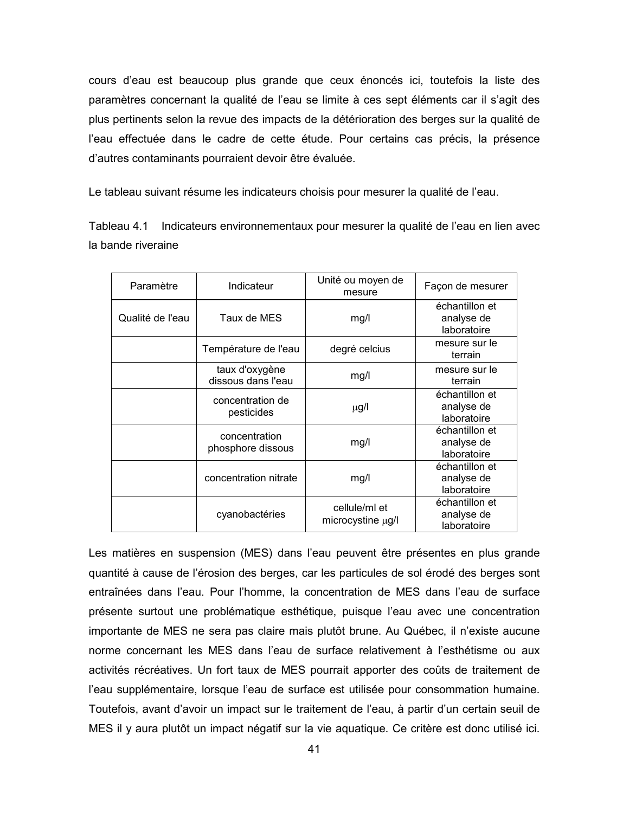cours d'eau est beaucoup plus grande que ceux énoncés ici, toutefois la liste des paramètres concernant la qualité de l'eau se limite à ces sept éléments car il s'agit des plus pertinents selon la revue des impacts de la détérioration des berges sur la qualité de l'eau effectuée dans le cadre de cette étude. Pour certains cas précis, la présence d'autres contaminants pourraient devoir être évaluée.

Le tableau suivant résume les indicateurs choisis pour mesurer la qualité de l'eau.

Tableau 4.1 Indicateurs environnementaux pour mesurer la qualité de l'eau en lien avec la bande riveraine

| Paramètre        | Indicateur                           | Unité ou moyen de<br>mesure        | Façon de mesurer                            |
|------------------|--------------------------------------|------------------------------------|---------------------------------------------|
| Qualité de l'eau | Taux de MES                          | mg/l                               | échantillon et<br>analyse de<br>laboratoire |
|                  | Température de l'eau                 | degré celcius                      | mesure sur le<br>terrain                    |
|                  | taux d'oxygène<br>dissous dans l'eau | mg/l                               | mesure sur le<br>terrain                    |
|                  | concentration de<br>pesticides       | $\mu$ g/l                          | échantillon et<br>analyse de<br>laboratoire |
|                  | concentration<br>phosphore dissous   | mg/l                               | échantillon et<br>analyse de<br>laboratoire |
|                  | concentration nitrate                | mg/l                               | échantillon et<br>analyse de<br>laboratoire |
|                  | cyanobactéries                       | cellule/ml et<br>microcystine µg/l | échantillon et<br>analyse de<br>laboratoire |

Les matières en suspension (MES) dans l'eau peuvent être présentes en plus grande quantité à cause de l'érosion des berges, car les particules de sol érodé des berges sont entraînées dans l'eau. Pour l'homme, la concentration de MES dans l'eau de surface présente surtout une problématique esthétique, puisque l'eau avec une concentration importante de MES ne sera pas claire mais plutôt brune. Au Québec, il n'existe aucune norme concernant les MES dans l'eau de surface relativement à l'esthétisme ou aux activités récréatives. Un fort taux de MES pourrait apporter des coûts de traitement de l'eau supplémentaire, lorsque l'eau de surface est utilisée pour consommation humaine. Toutefois, avant d'avoir un impact sur le traitement de l'eau, à partir d'un certain seuil de MES il y aura plutôt un impact négatif sur la vie aquatique. Ce critère est donc utilisé ici.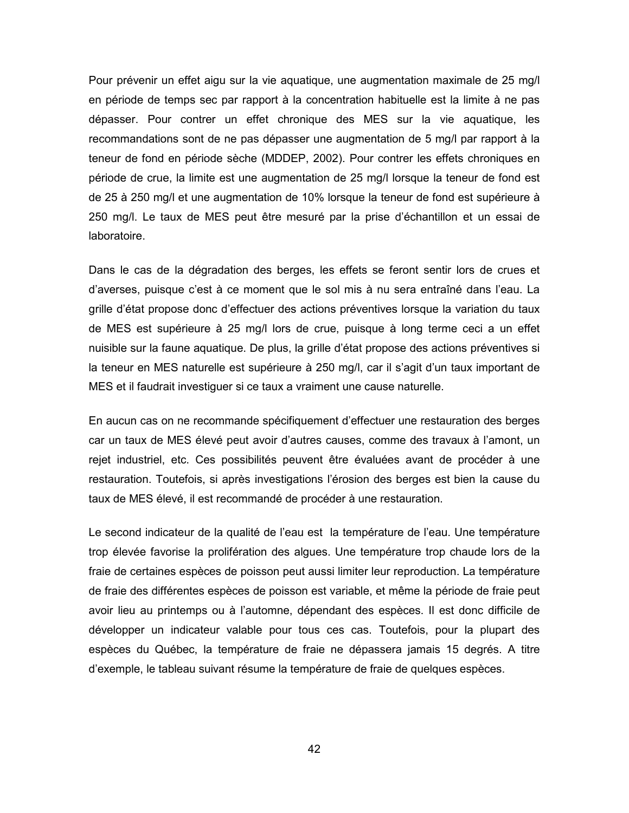Pour prévenir un effet aigu sur la vie aquatique, une augmentation maximale de 25 mg/l en période de temps sec par rapport à la concentration habituelle est la limite à ne pas dépasser. Pour contrer un effet chronique des MES sur la vie aquatique, les recommandations sont de ne pas dépasser une augmentation de 5 mg/l par rapport à la teneur de fond en période sèche (MDDEP, 2002). Pour contrer les effets chroniques en période de crue, la limite est une augmentation de 25 mg/l lorsque la teneur de fond est de 25 à 250 mg/l et une augmentation de 10% lorsque la teneur de fond est supérieure à 250 mg/l. Le taux de MES peut être mesuré par la prise d'échantillon et un essai de laboratoire.

Dans le cas de la dégradation des berges, les effets se feront sentir lors de crues et d'averses, puisque c'est à ce moment que le sol mis à nu sera entraîné dans l'eau. La grille d'état propose donc d'effectuer des actions préventives lorsque la variation du taux de MES est supérieure à 25 mg/l lors de crue, puisque à long terme ceci a un effet nuisible sur la faune aquatique. De plus, la grille d'état propose des actions préventives si la teneur en MES naturelle est supérieure à 250 mg/l, car il s'agit d'un taux important de MES et il faudrait investiguer si ce taux a vraiment une cause naturelle.

En aucun cas on ne recommande spécifiquement d'effectuer une restauration des berges car un taux de MES élevé peut avoir d'autres causes, comme des travaux à l'amont, un rejet industriel, etc. Ces possibilités peuvent être évaluées avant de procéder à une restauration. Toutefois, si après investigations l'érosion des berges est bien la cause du taux de MES élevé, il est recommandé de procéder à une restauration.

Le second indicateur de la qualité de l'eau est la température de l'eau. Une température trop élevée favorise la prolifération des algues. Une température trop chaude lors de la fraie de certaines espèces de poisson peut aussi limiter leur reproduction. La température de fraie des différentes espèces de poisson est variable, et même la période de fraie peut avoir lieu au printemps ou à l'automne, dépendant des espèces. Il est donc difficile de développer un indicateur valable pour tous ces cas. Toutefois, pour la plupart des espèces du Québec, la température de fraie ne dépassera jamais 15 degrés. A titre d'exemple, le tableau suivant résume la température de fraie de quelques espèces.

42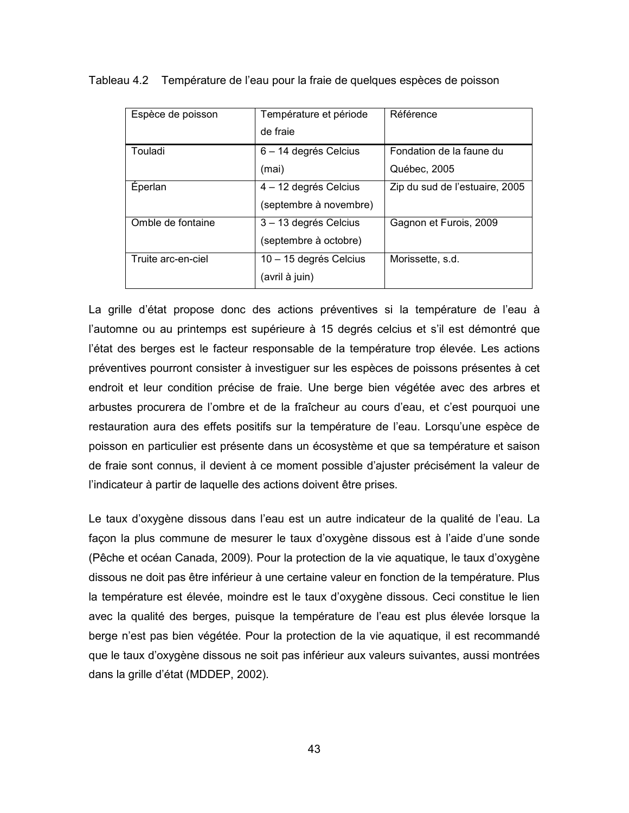| Espèce de poisson  | Température et période<br>de fraie | Référence                      |
|--------------------|------------------------------------|--------------------------------|
| Touladi            | 6 - 14 degrés Celcius              | Fondation de la faune du       |
|                    |                                    |                                |
|                    | (mai)                              | Québec, 2005                   |
| Éperlan            | 4 – 12 degrés Celcius              | Zip du sud de l'estuaire, 2005 |
|                    | (septembre à novembre)             |                                |
| Omble de fontaine  | 3 - 13 degrés Celcius              | Gagnon et Furois, 2009         |
|                    | (septembre à octobre)              |                                |
| Truite arc-en-ciel | 10 - 15 degrés Celcius             | Morissette, s.d.               |
|                    | (avril à juin)                     |                                |

Tableau 4.2 Température de l'eau pour la fraie de quelques espèces de poisson

La grille d'état propose donc des actions préventives si la température de l'eau à l'automne ou au printemps est supérieure à 15 degrés celcius et s'il est démontré que l'état des berges est le facteur responsable de la température trop élevée. Les actions préventives pourront consister à investiguer sur les espèces de poissons présentes à cet endroit et leur condition précise de fraie. Une berge bien végétée avec des arbres et arbustes procurera de l'ombre et de la fraîcheur au cours d'eau, et c'est pourquoi une restauration aura des effets positifs sur la température de l'eau. Lorsqu'une espèce de poisson en particulier est présente dans un écosystème et que sa température et saison de fraie sont connus, il devient à ce moment possible d'ajuster précisément la valeur de l'indicateur à partir de laquelle des actions doivent être prises.

Le taux d'oxygène dissous dans l'eau est un autre indicateur de la qualité de l'eau. La façon la plus commune de mesurer le taux d'oxygène dissous est à l'aide d'une sonde (Pêche et océan Canada, 2009). Pour la protection de la vie aquatique, le taux d'oxygène dissous ne doit pas être inférieur à une certaine valeur en fonction de la température. Plus la température est élevée, moindre est le taux d'oxygène dissous. Ceci constitue le lien avec la qualité des berges, puisque la température de l'eau est plus élevée lorsque la berge n'est pas bien végétée. Pour la protection de la vie aquatique, il est recommandé que le taux d'oxygène dissous ne soit pas inférieur aux valeurs suivantes, aussi montrées dans la grille d'état (MDDEP, 2002).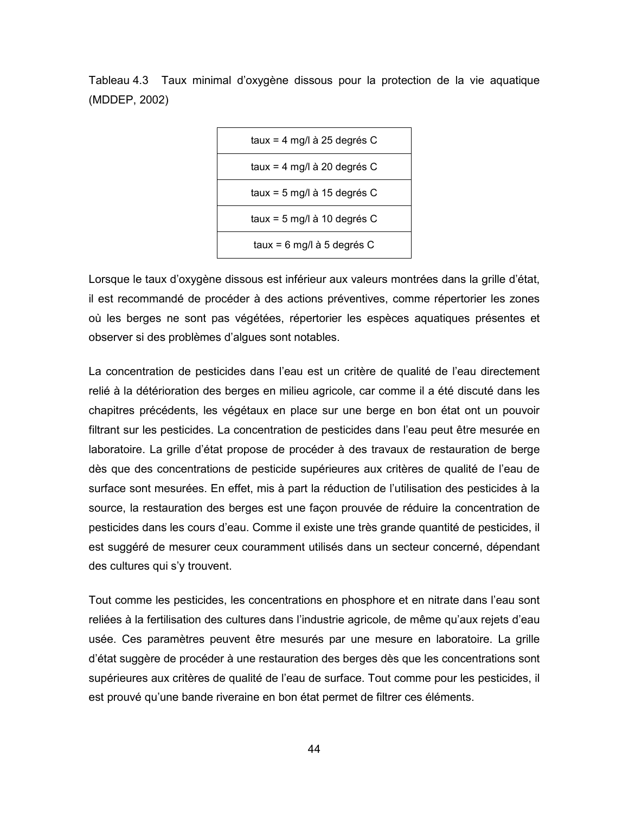Tableau 4.3 Taux minimal d'oxygène dissous pour la protection de la vie aquatique (MDDEP, 2002)



Lorsque le taux d'oxygène dissous est inférieur aux valeurs montrées dans la grille d'état, il est recommandé de procéder à des actions préventives, comme répertorier les zones où les berges ne sont pas végétées, répertorier les espèces aquatiques présentes et observer si des problèmes d'algues sont notables.

La concentration de pesticides dans l'eau est un critère de qualité de l'eau directement relié à la détérioration des berges en milieu agricole, car comme il a été discuté dans les chapitres précédents, les végétaux en place sur une berge en bon état ont un pouvoir filtrant sur les pesticides. La concentration de pesticides dans l'eau peut être mesurée en laboratoire. La grille d'état propose de procéder à des travaux de restauration de berge dès que des concentrations de pesticide supérieures aux critères de qualité de l'eau de surface sont mesurées. En effet, mis à part la réduction de l'utilisation des pesticides à la source, la restauration des berges est une façon prouvée de réduire la concentration de pesticides dans les cours d'eau. Comme il existe une très grande quantité de pesticides, il est suggéré de mesurer ceux couramment utilisés dans un secteur concerné, dépendant des cultures qui s'y trouvent.

Tout comme les pesticides, les concentrations en phosphore et en nitrate dans l'eau sont reliées à la fertilisation des cultures dans l'industrie agricole, de même qu'aux rejets d'eau usée. Ces paramètres peuvent être mesurés par une mesure en laboratoire. La grille d'état suggère de procéder à une restauration des berges dès que les concentrations sont supérieures aux critères de qualité de l'eau de surface. Tout comme pour les pesticides, il est prouvé qu'une bande riveraine en bon état permet de filtrer ces éléments.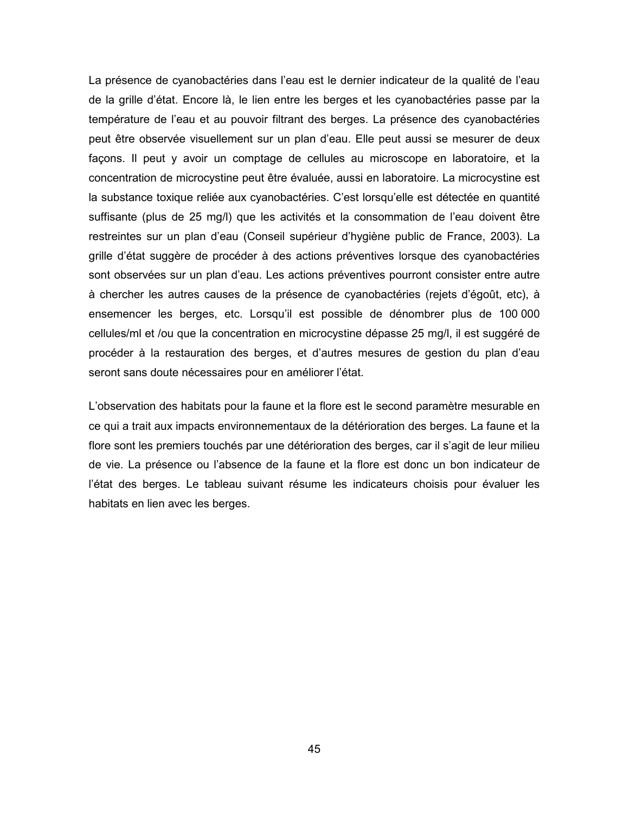La présence de cyanobactéries dans l'eau est le dernier indicateur de la qualité de l'eau de la grille d'état. Encore là, le lien entre les berges et les cyanobactéries passe par la température de l'eau et au pouvoir filtrant des berges. La présence des cyanobactéries peut être observée visuellement sur un plan d'eau. Elle peut aussi se mesurer de deux façons. Il peut y avoir un comptage de cellules au microscope en laboratoire, et la concentration de microcystine peut être évaluée, aussi en laboratoire. La microcystine est la substance toxique reliée aux cyanobactéries. C'est lorsqu'elle est détectée en quantité suffisante (plus de 25 mg/l) que les activités et la consommation de l'eau doivent être restreintes sur un plan d'eau (Conseil supérieur d'hygiène public de France, 2003). La grille d'état suggère de procéder à des actions préventives lorsque des cyanobactéries sont observées sur un plan d'eau. Les actions préventives pourront consister entre autre à chercher les autres causes de la présence de cyanobactéries (rejets d'égoût, etc), à ensemencer les berges, etc. Lorsqu'il est possible de dénombrer plus de 100 000 cellules/ml et /ou que la concentration en microcystine dépasse 25 mg/l, il est suggéré de procéder à la restauration des berges, et d'autres mesures de gestion du plan d'eau seront sans doute nécessaires pour en améliorer l'état.

L'observation des habitats pour la faune et la flore est le second paramètre mesurable en ce qui a trait aux impacts environnementaux de la détérioration des berges. La faune et la flore sont les premiers touchés par une détérioration des berges, car il s'agit de leur milieu de vie. La présence ou l'absence de la faune et la flore est donc un bon indicateur de l'état des berges. Le tableau suivant résume les indicateurs choisis pour évaluer les habitats en lien avec les berges.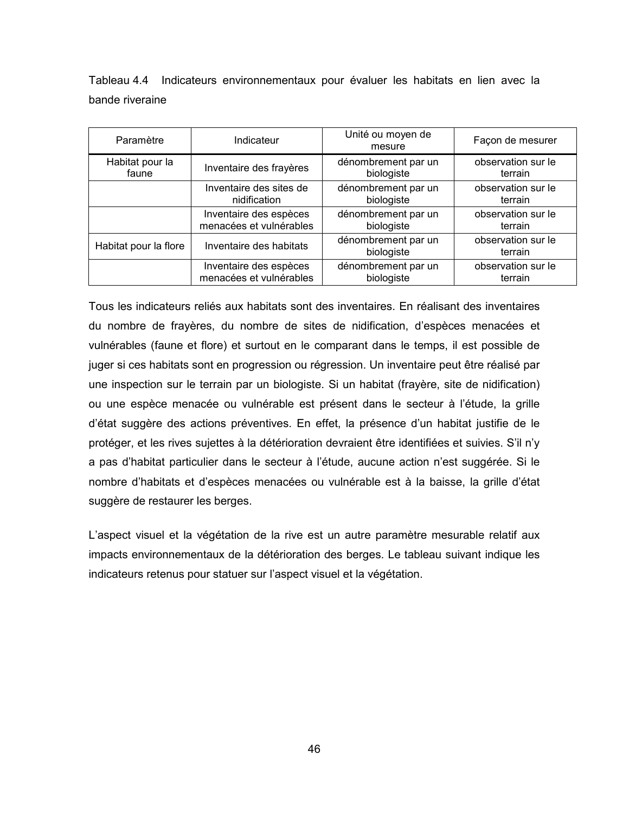Tableau 4.4 Indicateurs environnementaux pour évaluer les habitats en lien avec la bande riveraine

| Paramètre             | Indicateur              | Unité ou moyen de<br>mesure       | Façon de mesurer              |
|-----------------------|-------------------------|-----------------------------------|-------------------------------|
| Habitat pour la       | Inventaire des frayères | dénombrement par un               | observation sur le            |
| faune                 |                         | biologiste                        | terrain                       |
|                       | Inventaire des sites de | dénombrement par un               | observation sur le            |
|                       | nidification            | biologiste                        | terrain                       |
|                       | Inventaire des espèces  | dénombrement par un               | observation sur le            |
|                       | menacées et vulnérables | biologiste                        | terrain                       |
| Habitat pour la flore | Inventaire des habitats | dénombrement par un<br>biologiste | observation sur le<br>terrain |
|                       | Inventaire des espèces  | dénombrement par un               | observation sur le            |
|                       | menacées et vulnérables | biologiste                        | terrain                       |

Tous les indicateurs reliés aux habitats sont des inventaires. En réalisant des inventaires du nombre de frayères, du nombre de sites de nidification, d'espèces menacées et vulnérables (faune et flore) et surtout en le comparant dans le temps, il est possible de juger si ces habitats sont en progression ou régression. Un inventaire peut être réalisé par une inspection sur le terrain par un biologiste. Si un habitat (frayère, site de nidification) ou une espèce menacée ou vulnérable est présent dans le secteur à l'étude, la grille d'état suggère des actions préventives. En effet, la présence d'un habitat justifie de le protéger, et les rives sujettes à la détérioration devraient être identifiées et suivies. S'il n'y a pas d'habitat particulier dans le secteur à l'étude, aucune action n'est suggérée. Si le nombre d'habitats et d'espèces menacées ou vulnérable est à la baisse, la grille d'état suggère de restaurer les berges.

L'aspect visuel et la végétation de la rive est un autre paramètre mesurable relatif aux impacts environnementaux de la détérioration des berges. Le tableau suivant indique les indicateurs retenus pour statuer sur l'aspect visuel et la végétation.

46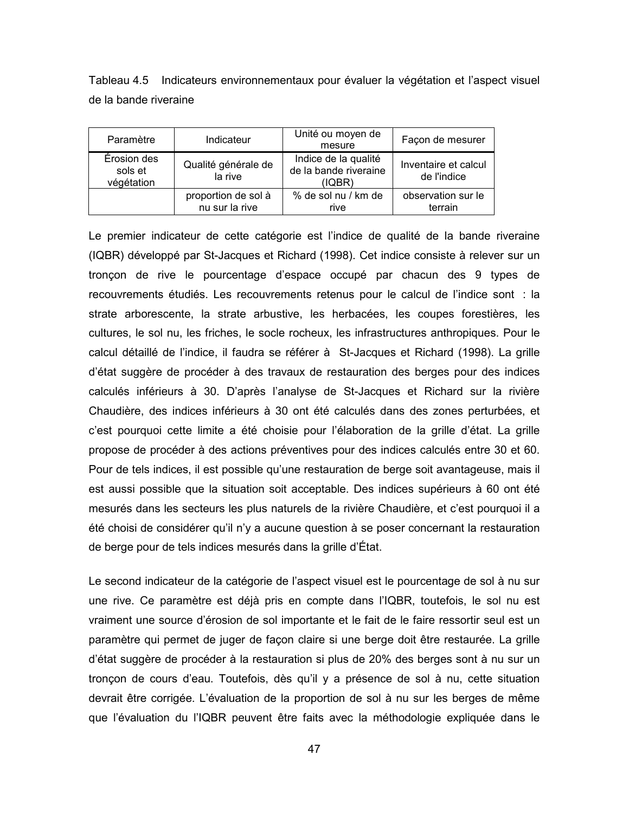Tableau 4.5 Indicateurs environnementaux pour évaluer la végétation et l'aspect visuel de la bande riveraine

| Paramètre                            | Indicateur                            | Unité ou moyen de<br>mesure                             | Façon de mesurer                    |
|--------------------------------------|---------------------------------------|---------------------------------------------------------|-------------------------------------|
| Érosion des<br>sols et<br>végétation | Qualité générale de<br>la rive        | Indice de la qualité<br>de la bande riveraine<br>(IQBR) | Inventaire et calcul<br>de l'indice |
|                                      | proportion de sol à<br>nu sur la rive | % de sol nu / km de<br>rive                             | observation sur le<br>terrain       |

Le premier indicateur de cette catégorie est l'indice de qualité de la bande riveraine (IQBR) développé par St-Jacques et Richard (1998). Cet indice consiste à relever sur un tronçon de rive le pourcentage d'espace occupé par chacun des 9 types de recouvrements étudiés. Les recouvrements retenus pour le calcul de l'indice sont : la strate arborescente, la strate arbustive, les herbacées, les coupes forestières, les cultures, le sol nu, les friches, le socle rocheux, les infrastructures anthropiques. Pour le calcul détaillé de l'indice, il faudra se référer à St-Jacques et Richard (1998). La grille d'état suggère de procéder à des travaux de restauration des berges pour des indices calculés inférieurs à 30. D'après l'analyse de St-Jacques et Richard sur la rivière Chaudière, des indices inférieurs à 30 ont été calculés dans des zones perturbées, et c'est pourquoi cette limite a été choisie pour l'élaboration de la grille d'état. La grille propose de procéder à des actions préventives pour des indices calculés entre 30 et 60. Pour de tels indices, il est possible qu'une restauration de berge soit avantageuse, mais il est aussi possible que la situation soit acceptable. Des indices supérieurs à 60 ont été mesurés dans les secteurs les plus naturels de la rivière Chaudière, et c'est pourquoi il a été choisi de considérer qu'il n'y a aucune question à se poser concernant la restauration de berge pour de tels indices mesurés dans la grille d'État.

Le second indicateur de la catégorie de l'aspect visuel est le pourcentage de sol à nu sur une rive. Ce paramètre est déjà pris en compte dans l'IQBR, toutefois, le sol nu est vraiment une source d'érosion de sol importante et le fait de le faire ressortir seul est un paramètre qui permet de juger de façon claire si une berge doit être restaurée. La grille d'état suggère de procéder à la restauration si plus de 20% des berges sont à nu sur un tronçon de cours d'eau. Toutefois, dès qu'il y a présence de sol à nu, cette situation devrait être corrigée. L'évaluation de la proportion de sol à nu sur les berges de même que l'évaluation du l'IQBR peuvent être faits avec la méthodologie expliquée dans le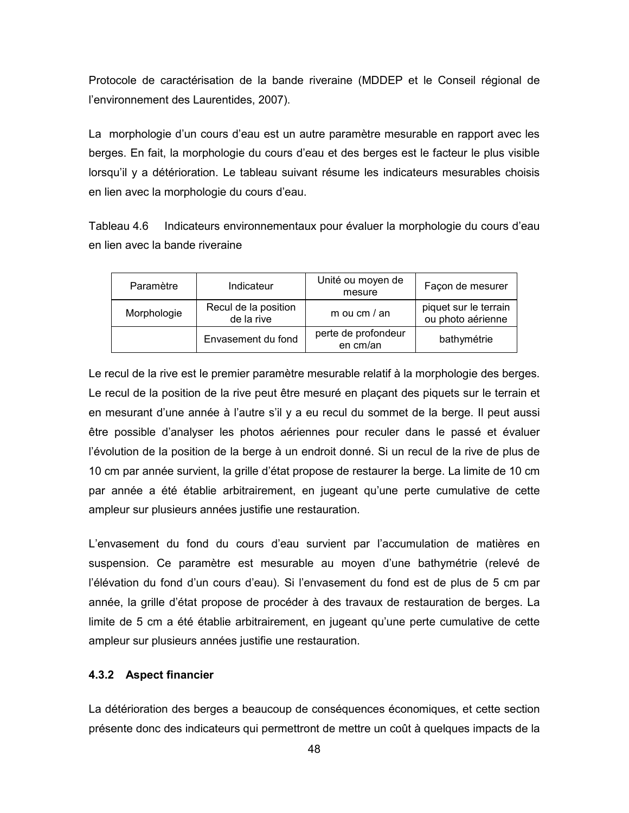Protocole de caractérisation de la bande riveraine (MDDEP et le Conseil régional de l'environnement des Laurentides, 2007).

La morphologie d'un cours d'eau est un autre paramètre mesurable en rapport avec les berges. En fait, la morphologie du cours d'eau et des berges est le facteur le plus visible lorsqu'il y a détérioration. Le tableau suivant résume les indicateurs mesurables choisis en lien avec la morphologie du cours d'eau.

Tableau 4.6 Indicateurs environnementaux pour évaluer la morphologie du cours d'eau en lien avec la bande riveraine

| Paramètre   | Indicateur                         | Unité ou moyen de<br>mesure     | Façon de mesurer                           |
|-------------|------------------------------------|---------------------------------|--------------------------------------------|
| Morphologie | Recul de la position<br>de la rive | m ou cm / an                    | piquet sur le terrain<br>ou photo aérienne |
|             | Envasement du fond                 | perte de profondeur<br>en cm/an | bathymétrie                                |

Le recul de la rive est le premier paramètre mesurable relatif à la morphologie des berges. Le recul de la position de la rive peut être mesuré en plaçant des piquets sur le terrain et en mesurant d'une année à l'autre s'il y a eu recul du sommet de la berge. Il peut aussi être possible d'analyser les photos aériennes pour reculer dans le passé et évaluer l'évolution de la position de la berge à un endroit donné. Si un recul de la rive de plus de 10 cm par année survient, la grille d'état propose de restaurer la berge. La limite de 10 cm par année a été établie arbitrairement, en jugeant qu'une perte cumulative de cette ampleur sur plusieurs années justifie une restauration.

L'envasement du fond du cours d'eau survient par l'accumulation de matières en suspension. Ce paramètre est mesurable au moyen d'une bathymétrie (relevé de l'élévation du fond d'un cours d'eau). Si l'envasement du fond est de plus de 5 cm par année, la grille d'état propose de procéder à des travaux de restauration de berges. La limite de 5 cm a été établie arbitrairement, en jugeant qu'une perte cumulative de cette ampleur sur plusieurs années justifie une restauration.

## 4.3.2 Aspect financier

La détérioration des berges a beaucoup de conséquences économiques, et cette section présente donc des indicateurs qui permettront de mettre un coût à quelques impacts de la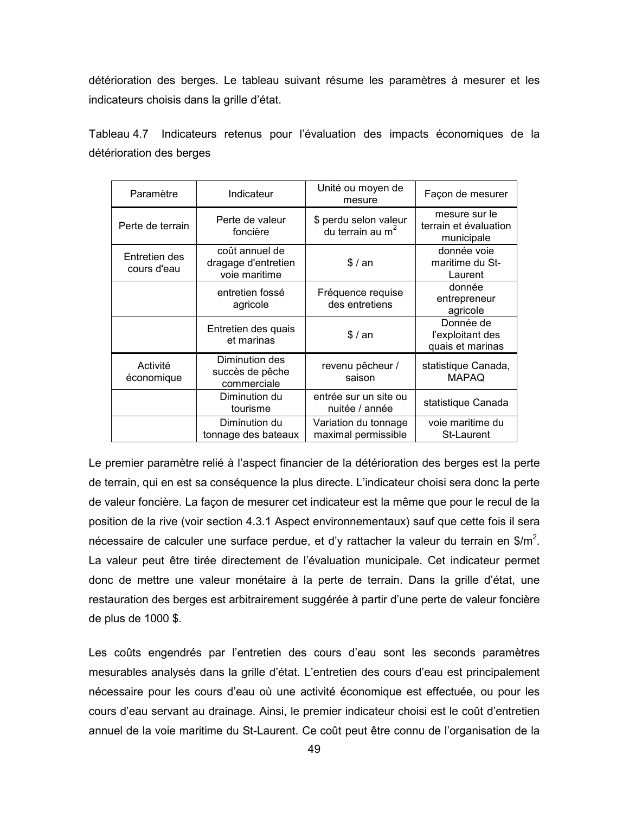détérioration des berges. Le tableau suivant résume les paramètres à mesurer et les indicateurs choisis dans la grille d'état.

|                          |  |  |  | Tableau 4.7 Indicateurs retenus pour l'évaluation des impacts économiques de la |  |
|--------------------------|--|--|--|---------------------------------------------------------------------------------|--|
| détérioration des berges |  |  |  |                                                                                 |  |

| Paramètre                    | Indicateur                                             | Unité ou moyen de<br>mesure                           | Façon de mesurer                                     |
|------------------------------|--------------------------------------------------------|-------------------------------------------------------|------------------------------------------------------|
| Perte de terrain             | Perte de valeur<br>foncière                            | \$ perdu selon valeur<br>du terrain au m <sup>2</sup> | mesure sur le<br>terrain et évaluation<br>municipale |
| Entretien des<br>cours d'eau | coût annuel de<br>dragage d'entretien<br>voie maritime | \$/an                                                 | donnée voie<br>maritime du St-<br>Laurent            |
|                              | entretien fossé<br>agricole                            | Fréquence requise<br>des entretiens                   | donnée<br>entrepreneur<br>agricole                   |
|                              | Entretien des quais<br>et marinas                      | \$/an                                                 | Donnée de<br>l'exploitant des<br>quais et marinas    |
| Activité<br>économique       | Diminution des<br>succès de pêche<br>commerciale       | revenu pêcheur /<br>saison                            | statistique Canada,<br><b>MAPAQ</b>                  |
|                              | Diminution du<br>tourisme                              | entrée sur un site ou<br>nuitée / année               | statistique Canada                                   |
|                              | Diminution du<br>tonnage des bateaux                   | Variation du tonnage<br>maximal permissible           | voie maritime du<br>St-Laurent                       |

Le premier paramètre relié à l'aspect financier de la détérioration des berges est la perte de terrain, qui en est sa conséquence la plus directe. L'indicateur choisi sera donc la perte de valeur foncière. La façon de mesurer cet indicateur est la même que pour le recul de la position de la rive (voir section 4.3.1 Aspect environnementaux) sauf que cette fois il sera nécessaire de calculer une surface perdue, et d'y rattacher la valeur du terrain en \$/m<sup>2</sup>. La valeur peut être tirée directement de l'évaluation municipale. Cet indicateur permet donc de mettre une valeur monétaire à la perte de terrain. Dans la grille d'état, une restauration des berges est arbitrairement suggérée à partir d'une perte de valeur foncière de plus de 1000 \$.

Les coûts engendrés par l'entretien des cours d'eau sont les seconds paramètres mesurables analysés dans la grille d'état. L'entretien des cours d'eau est principalement nécessaire pour les cours d'eau où une activité économique est effectuée, ou pour les cours d'eau servant au drainage. Ainsi, le premier indicateur choisi est le coût d'entretien annuel de la voie maritime du St-Laurent. Ce coût peut être connu de l'organisation de la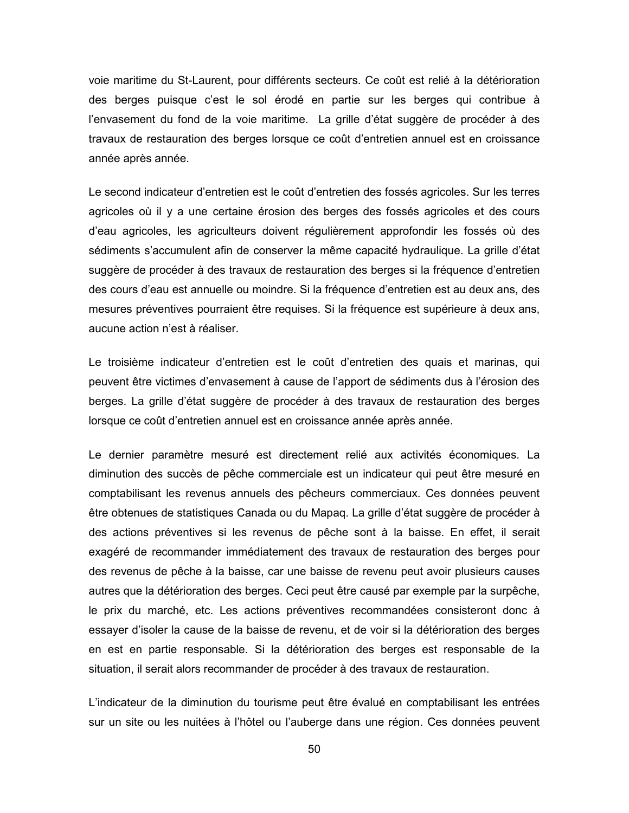voie maritime du St-Laurent, pour différents secteurs. Ce coût est relié à la détérioration des berges puisque c'est le sol érodé en partie sur les berges qui contribue à l'envasement du fond de la voie maritime. La grille d'état suggère de procéder à des travaux de restauration des berges lorsque ce coût d'entretien annuel est en croissance année après année.

Le second indicateur d'entretien est le coût d'entretien des fossés agricoles. Sur les terres agricoles où il y a une certaine érosion des berges des fossés agricoles et des cours d'eau agricoles, les agriculteurs doivent régulièrement approfondir les fossés où des sédiments s'accumulent afin de conserver la même capacité hydraulique. La grille d'état suggère de procéder à des travaux de restauration des berges si la fréquence d'entretien des cours d'eau est annuelle ou moindre. Si la fréquence d'entretien est au deux ans, des mesures préventives pourraient être requises. Si la fréquence est supérieure à deux ans, aucune action n'est à réaliser.

Le troisième indicateur d'entretien est le coût d'entretien des quais et marinas, qui peuvent être victimes d'envasement à cause de l'apport de sédiments dus à l'érosion des berges. La grille d'état suggère de procéder à des travaux de restauration des berges lorsque ce coût d'entretien annuel est en croissance année après année.

Le dernier paramètre mesuré est directement relié aux activités économiques. La diminution des succès de pêche commerciale est un indicateur qui peut être mesuré en comptabilisant les revenus annuels des pêcheurs commerciaux. Ces données peuvent être obtenues de statistiques Canada ou du Mapaq. La grille d'état suggère de procéder à des actions préventives si les revenus de pêche sont à la baisse. En effet, il serait exagéré de recommander immédiatement des travaux de restauration des berges pour des revenus de pêche à la baisse, car une baisse de revenu peut avoir plusieurs causes autres que la détérioration des berges. Ceci peut être causé par exemple par la surpêche, le prix du marché, etc. Les actions préventives recommandées consisteront donc à essayer d'isoler la cause de la baisse de revenu, et de voir si la détérioration des berges en est en partie responsable. Si la détérioration des berges est responsable de la situation, il serait alors recommander de procéder à des travaux de restauration.

L'indicateur de la diminution du tourisme peut être évalué en comptabilisant les entrées sur un site ou les nuitées à l'hôtel ou l'auberge dans une région. Ces données peuvent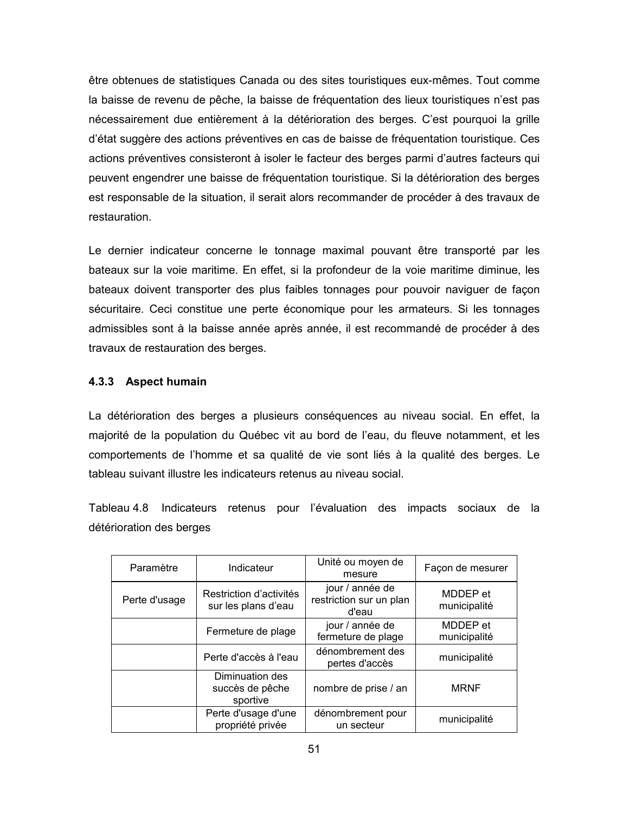être obtenues de statistiques Canada ou des sites touristiques eux-mêmes. Tout comme la baisse de revenu de pêche, la baisse de fréquentation des lieux touristiques n'est pas nécessairement due entièrement à la détérioration des berges. C'est pourquoi la grille d'état suggère des actions préventives en cas de baisse de fréquentation touristique. Ces actions préventives consisteront à isoler le facteur des berges parmi d'autres facteurs qui peuvent engendrer une baisse de fréquentation touristique. Si la détérioration des berges est responsable de la situation, il serait alors recommander de procéder à des travaux de restauration.

Le dernier indicateur concerne le tonnage maximal pouvant être transporté par les bateaux sur la voie maritime. En effet, si la profondeur de la voie maritime diminue, les bateaux doivent transporter des plus faibles tonnages pour pouvoir naviguer de façon sécuritaire. Ceci constitue une perte économique pour les armateurs. Si les tonnages admissibles sont à la baisse année après année, il est recommandé de procéder à des travaux de restauration des berges.

## 4.3.3 Aspect humain

La détérioration des berges a plusieurs conséquences au niveau social. En effet, la majorité de la population du Québec vit au bord de l'eau, du fleuve notamment, et les comportements de l'homme et sa qualité de vie sont liés à la qualité des berges. Le tableau suivant illustre les indicateurs retenus au niveau social.

Tableau 4.8 Indicateurs retenus pour l'évaluation des impacts sociaux de la détérioration des berges

| Paramètre     | Indicateur                                     | Unité ou moyen de<br>mesure                         | Façon de mesurer         |
|---------------|------------------------------------------------|-----------------------------------------------------|--------------------------|
| Perte d'usage | Restriction d'activités<br>sur les plans d'eau | jour / année de<br>restriction sur un plan<br>d'eau | MDDEP et<br>municipalité |
|               | Fermeture de plage                             | jour / année de<br>fermeture de plage               | MDDEP et<br>municipalité |
|               | Perte d'accès à l'eau                          | dénombrement des<br>pertes d'accès                  | municipalité             |
|               | Diminuation des<br>succès de pêche<br>sportive | nombre de prise / an                                | <b>MRNF</b>              |
|               | Perte d'usage d'une<br>propriété privée        | dénombrement pour<br>un secteur                     | municipalité             |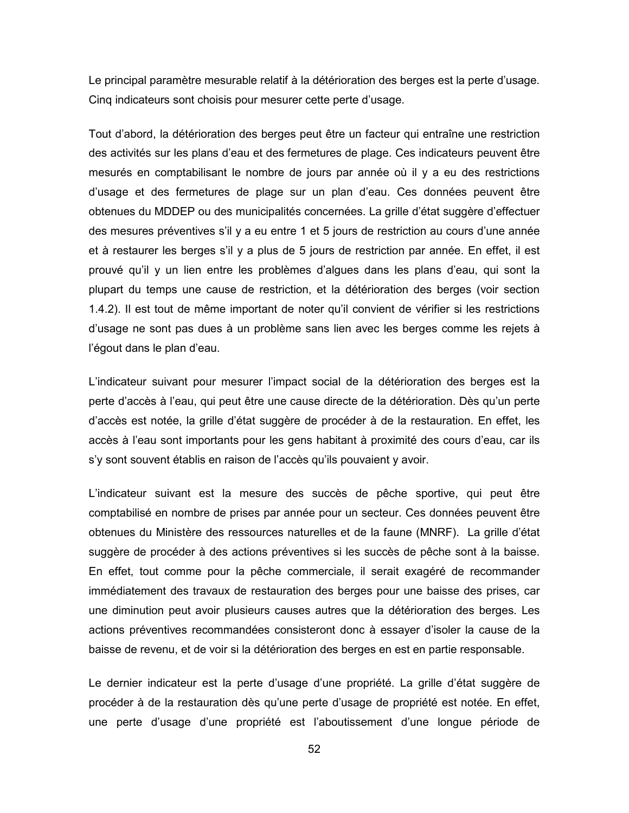Le principal paramètre mesurable relatif à la détérioration des berges est la perte d'usage. Cinq indicateurs sont choisis pour mesurer cette perte d'usage.

Tout d'abord, la détérioration des berges peut être un facteur qui entraîne une restriction des activités sur les plans d'eau et des fermetures de plage. Ces indicateurs peuvent être mesurés en comptabilisant le nombre de jours par année où il y a eu des restrictions d'usage et des fermetures de plage sur un plan d'eau. Ces données peuvent être obtenues du MDDEP ou des municipalités concernées. La grille d'état suggère d'effectuer des mesures préventives s'il y a eu entre 1 et 5 jours de restriction au cours d'une année et à restaurer les berges s'il y a plus de 5 jours de restriction par année. En effet, il est prouvé qu'il y un lien entre les problèmes d'algues dans les plans d'eau, qui sont la plupart du temps une cause de restriction, et la détérioration des berges (voir section 1.4.2). Il est tout de même important de noter qu'il convient de vérifier si les restrictions d'usage ne sont pas dues à un problème sans lien avec les berges comme les rejets à l'égout dans le plan d'eau.

L'indicateur suivant pour mesurer l'impact social de la détérioration des berges est la perte d'accès à l'eau, qui peut être une cause directe de la détérioration. Dès qu'un perte d'accès est notée, la grille d'état suggère de procéder à de la restauration. En effet, les accès à l'eau sont importants pour les gens habitant à proximité des cours d'eau, car ils s'y sont souvent établis en raison de l'accès qu'ils pouvaient y avoir.

L'indicateur suivant est la mesure des succès de pêche sportive, qui peut être comptabilisé en nombre de prises par année pour un secteur. Ces données peuvent être obtenues du Ministère des ressources naturelles et de la faune (MNRF). La grille d'état suggère de procéder à des actions préventives si les succès de pêche sont à la baisse. En effet, tout comme pour la pêche commerciale, il serait exagéré de recommander immédiatement des travaux de restauration des berges pour une baisse des prises, car une diminution peut avoir plusieurs causes autres que la détérioration des berges. Les actions préventives recommandées consisteront donc à essayer d'isoler la cause de la baisse de revenu, et de voir si la détérioration des berges en est en partie responsable.

Le dernier indicateur est la perte d'usage d'une propriété. La grille d'état suggère de procéder à de la restauration dès qu'une perte d'usage de propriété est notée. En effet, une perte d'usage d'une propriété est l'aboutissement d'une longue période de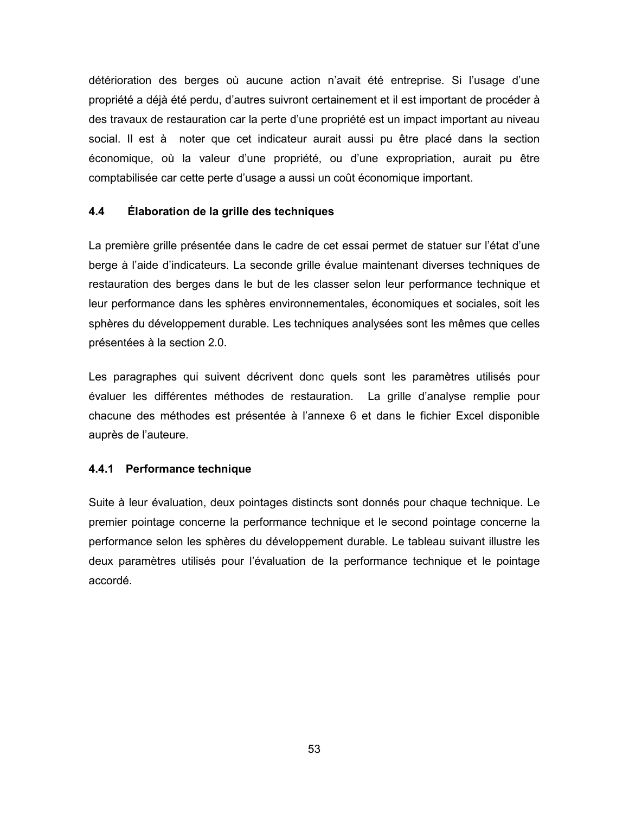détérioration des berges où aucune action n'avait été entreprise. Si l'usage d'une propriété a déjà été perdu, d'autres suivront certainement et il est important de procéder à des travaux de restauration car la perte d'une propriété est un impact important au niveau social. Il est à noter que cet indicateur aurait aussi pu être placé dans la section économique, où la valeur d'une propriété, ou d'une expropriation, aurait pu être comptabilisée car cette perte d'usage a aussi un coût économique important.

#### $4.4$ Élaboration de la grille des techniques

La première grille présentée dans le cadre de cet essai permet de statuer sur l'état d'une berge à l'aide d'indicateurs. La seconde grille évalue maintenant diverses techniques de restauration des berges dans le but de les classer selon leur performance technique et leur performance dans les sphères environnementales, économiques et sociales, soit les sphères du développement durable. Les techniques analysées sont les mêmes que celles présentées à la section 2.0.

Les paragraphes qui suivent décrivent donc quels sont les paramètres utilisés pour évaluer les différentes méthodes de restauration. La grille d'analyse remplie pour chacune des méthodes est présentée à l'annexe 6 et dans le fichier Excel disponible auprès de l'auteure.

# 4.4.1 Performance technique

Suite à leur évaluation, deux pointages distincts sont donnés pour chaque technique. Le premier pointage concerne la performance technique et le second pointage concerne la performance selon les sphères du développement durable. Le tableau suivant illustre les deux paramètres utilisés pour l'évaluation de la performance technique et le pointage accordé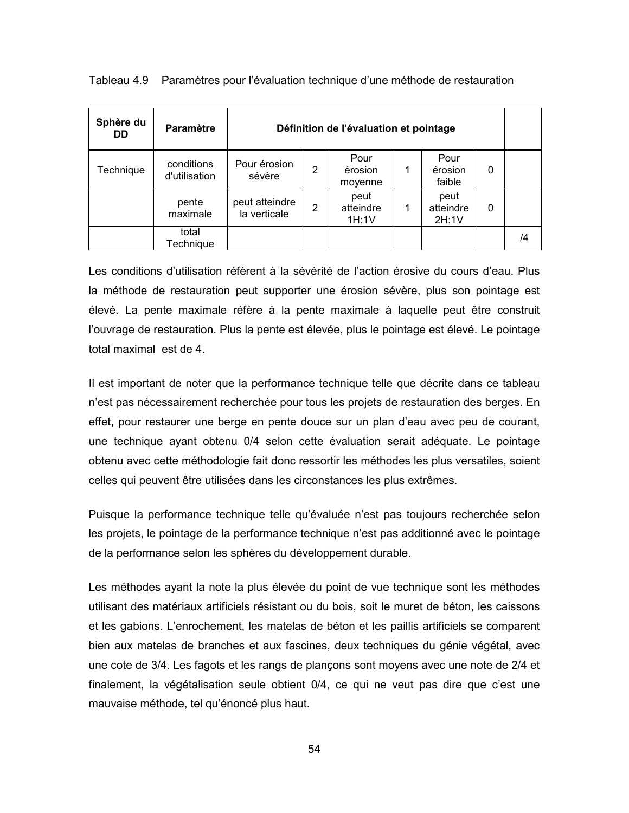| Sphère du<br>DD. | <b>Paramètre</b>            | Définition de l'évaluation et pointage |   |                            |   |                            |   |    |
|------------------|-----------------------------|----------------------------------------|---|----------------------------|---|----------------------------|---|----|
| Technique        | conditions<br>d'utilisation | Pour érosion<br>sévère                 | 2 | Pour<br>érosion<br>moyenne |   | Pour<br>érosion<br>faible  | 0 |    |
|                  | pente<br>maximale           | peut atteindre<br>la verticale         | 2 | peut<br>atteindre<br>1H:1V | 1 | peut<br>atteindre<br>2H:1V | 0 |    |
|                  | total<br>Technique          |                                        |   |                            |   |                            |   | /4 |

Tableau 4.9 Paramètres pour l'évaluation technique d'une méthode de restauration

Les conditions d'utilisation réfèrent à la sévérité de l'action érosive du cours d'eau. Plus la méthode de restauration peut supporter une érosion sévère, plus son pointage est élevé. La pente maximale réfère à la pente maximale à laquelle peut être construit l'ouvrage de restauration. Plus la pente est élevée, plus le pointage est élevé. Le pointage total maximal est de 4.

Il est important de noter que la performance technique telle que décrite dans ce tableau n'est pas nécessairement recherchée pour tous les projets de restauration des berges. En effet, pour restaurer une berge en pente douce sur un plan d'eau avec peu de courant, une technique ayant obtenu 0/4 selon cette évaluation serait adéquate. Le pointage obtenu avec cette méthodologie fait donc ressortir les méthodes les plus versatiles, soient celles qui peuvent être utilisées dans les circonstances les plus extrêmes.

Puisque la performance technique telle qu'évaluée n'est pas toujours recherchée selon les projets, le pointage de la performance technique n'est pas additionné avec le pointage de la performance selon les sphères du développement durable.

Les méthodes ayant la note la plus élevée du point de vue technique sont les méthodes utilisant des matériaux artificiels résistant ou du bois, soit le muret de béton, les caissons et les gabions. L'enrochement, les matelas de béton et les paillis artificiels se comparent bien aux matelas de branches et aux fascines, deux techniques du génie végétal, avec une cote de 3/4. Les fagots et les rangs de plançons sont moyens avec une note de 2/4 et finalement, la végétalisation seule obtient 0/4, ce qui ne veut pas dire que c'est une mauvaise méthode, tel qu'énoncé plus haut.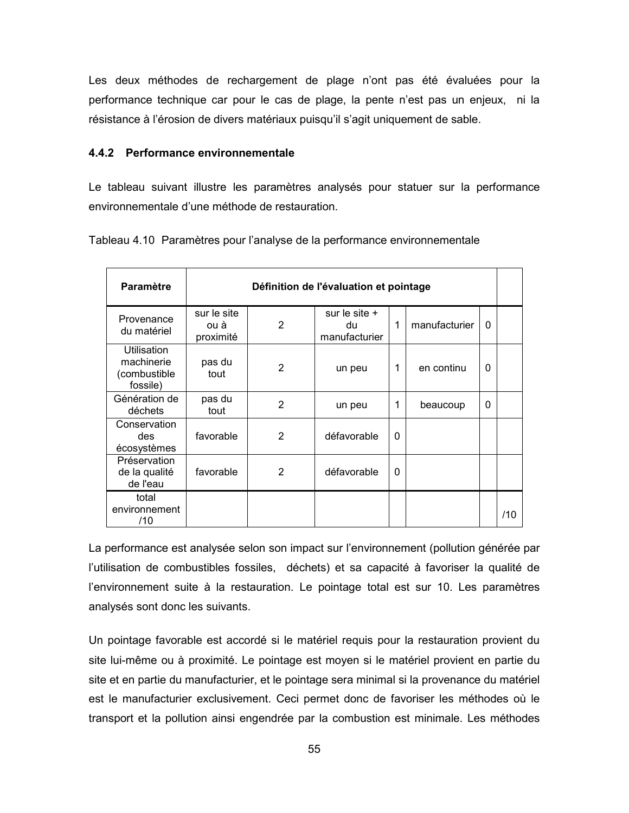Les deux méthodes de rechargement de plage n'ont pas été évaluées pour la performance technique car pour le cas de plage, la pente n'est pas un enjeux, ni la résistance à l'érosion de divers matériaux puisqu'il s'agit uniquement de sable.

#### 4.4.2 Performance environnementale

Le tableau suivant illustre les paramètres analysés pour statuer sur la performance environnementale d'une méthode de restauration.

| <b>Paramètre</b>                                      | Définition de l'évaluation et pointage |                |                                        |          |               |   |     |  |
|-------------------------------------------------------|----------------------------------------|----------------|----------------------------------------|----------|---------------|---|-----|--|
| Provenance<br>du matériel                             | sur le site<br>ou à<br>proximité       | $\overline{2}$ | sur le site $+$<br>du<br>manufacturier | 1        | manufacturier | 0 |     |  |
| Utilisation<br>machinerie<br>combustible)<br>fossile) | pas du<br>tout                         | $\overline{2}$ | un peu                                 | 1        | en continu    | 0 |     |  |
| Génération de<br>déchets                              | pas du<br>tout                         | 2              | un peu                                 | 1        | beaucoup      | 0 |     |  |
| Conservation<br>des<br>écosystèmes                    | favorable                              | $\overline{2}$ | défavorable                            | $\Omega$ |               |   |     |  |
| Préservation<br>de la qualité<br>de l'eau             | favorable                              | $\overline{2}$ | défavorable                            | 0        |               |   |     |  |
| total<br>environnement<br>/10                         |                                        |                |                                        |          |               |   | /10 |  |

Tableau 4.10 Paramètres pour l'analyse de la performance environnementale

La performance est analysée selon son impact sur l'environnement (pollution générée par l'utilisation de combustibles fossiles, déchets) et sa capacité à favoriser la qualité de l'environnement suite à la restauration. Le pointage total est sur 10. Les paramètres analysés sont donc les suivants.

Un pointage favorable est accordé si le matériel requis pour la restauration provient du site lui-même ou à proximité. Le pointage est moyen si le matériel provient en partie du site et en partie du manufacturier, et le pointage sera minimal si la provenance du matériel est le manufacturier exclusivement. Ceci permet donc de favoriser les méthodes où le transport et la pollution ainsi engendrée par la combustion est minimale. Les méthodes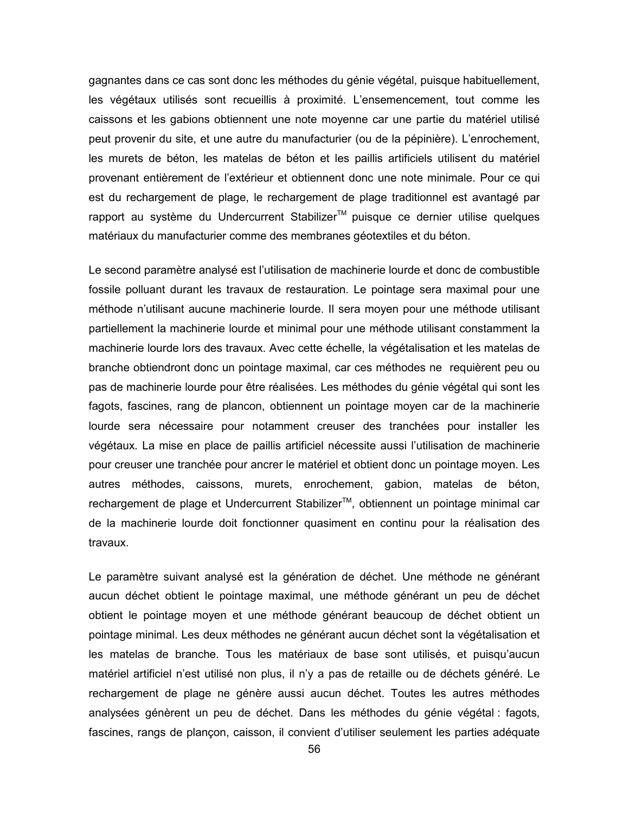gagnantes dans ce cas sont donc les méthodes du génie végétal, puisque habituellement, les végétaux utilisés sont recueillis à proximité. L'ensemencement, tout comme les caissons et les gabions obtiennent une note moyenne car une partie du matériel utilisé peut provenir du site, et une autre du manufacturier (ou de la pépinière). L'enrochement, les murets de béton, les matelas de béton et les paillis artificiels utilisent du matériel provenant entièrement de l'extérieur et obtiennent donc une note minimale. Pour ce qui est du rechargement de plage, le rechargement de plage traditionnel est avantagé par rapport au système du Undercurrent Stabilizer™ puisque ce dernier utilise quelques matériaux du manufacturier comme des membranes géotextiles et du béton.

Le second paramètre analysé est l'utilisation de machinerie lourde et donc de combustible fossile polluant durant les travaux de restauration. Le pointage sera maximal pour une méthode n'utilisant aucune machinerie lourde. Il sera moyen pour une méthode utilisant partiellement la machinerie lourde et minimal pour une méthode utilisant constamment la machinerie lourde lors des travaux. Avec cette échelle, la végétalisation et les matelas de branche obtiendront donc un pointage maximal, car ces méthodes ne requièrent peu ou pas de machinerie lourde pour être réalisées. Les méthodes du génie végétal qui sont les fagots, fascines, rang de plancon, obtiennent un pointage moyen car de la machinerie lourde sera nécessaire pour notamment creuser des tranchées pour installer les végétaux. La mise en place de paillis artificiel nécessite aussi l'utilisation de machinerie pour creuser une tranchée pour ancrer le matériel et obtient donc un pointage moyen. Les autres méthodes, caissons, murets, enrochement, gabion, matelas de béton, rechargement de plage et Undercurrent Stabilizer™, obtiennent un pointage minimal car de la machinerie lourde doit fonctionner quasiment en continu pour la réalisation des travaux.

Le paramètre suivant analysé est la génération de déchet. Une méthode ne générant aucun déchet obtient le pointage maximal, une méthode générant un peu de déchet obtient le pointage moyen et une méthode générant beaucoup de déchet obtient un pointage minimal. Les deux méthodes ne générant aucun déchet sont la végétalisation et les matelas de branche. Tous les matériaux de base sont utilisés, et puisqu'aucun matériel artificiel n'est utilisé non plus, il n'y a pas de retaille ou de déchets généré. Le rechargement de plage ne génère aussi aucun déchet. Toutes les autres méthodes analysées génèrent un peu de déchet. Dans les méthodes du génie végétal : fagots, fascines, rangs de plançon, caisson, il convient d'utiliser seulement les parties adéquate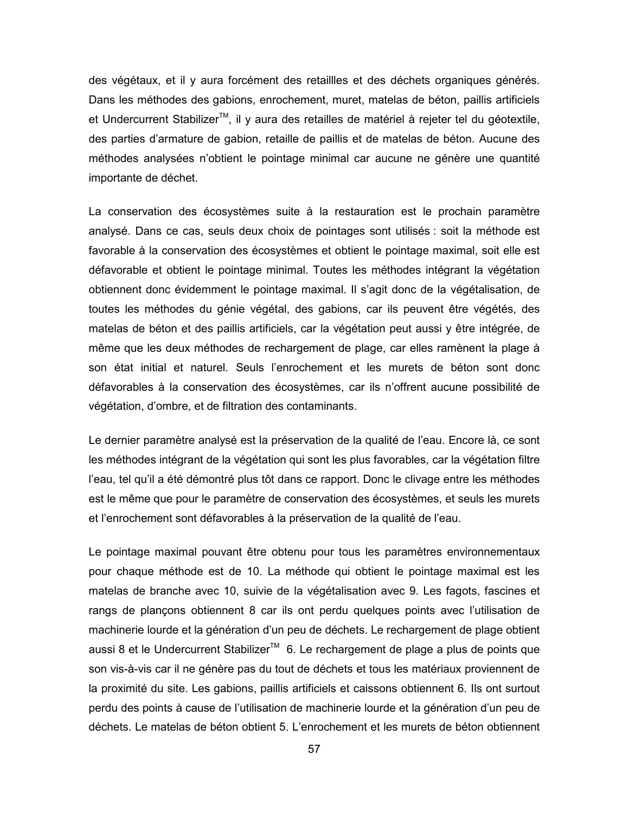des végétaux, et il y aura forcément des retailles et des déchets organiques générés. Dans les méthodes des gabions, enrochement, muret, matelas de béton, paillis artificiels et Undercurrent Stabilizer™, il y aura des retailles de matériel à rejeter tel du géotextile, des parties d'armature de gabion, retaille de paillis et de matelas de béton. Aucune des méthodes analysées n'obtient le pointage minimal car aucune ne génère une quantité importante de déchet.

La conservation des écosystèmes suite à la restauration est le prochain paramètre analysé. Dans ce cas, seuls deux choix de pointages sont utilisés : soit la méthode est favorable à la conservation des écosystèmes et obtient le pointage maximal, soit elle est défavorable et obtient le pointage minimal. Toutes les méthodes intégrant la végétation obtiennent donc évidemment le pointage maximal. Il s'agit donc de la végétalisation, de toutes les méthodes du génie végétal, des gabions, car ils peuvent être végétés, des matelas de béton et des paillis artificiels, car la végétation peut aussi y être intégrée, de même que les deux méthodes de rechargement de plage, car elles ramènent la plage à son état initial et naturel. Seuls l'enrochement et les murets de béton sont donc défavorables à la conservation des écosystèmes, car ils n'offrent aucune possibilité de végétation, d'ombre, et de filtration des contaminants.

Le dernier paramètre analysé est la préservation de la qualité de l'eau. Encore là, ce sont les méthodes intégrant de la végétation qui sont les plus favorables, car la végétation filtre l'eau, tel qu'il a été démontré plus tôt dans ce rapport. Donc le clivage entre les méthodes est le même que pour le paramètre de conservation des écosystèmes, et seuls les murets et l'enrochement sont défavorables à la préservation de la qualité de l'eau.

Le pointage maximal pouvant être obtenu pour tous les paramètres environnementaux pour chaque méthode est de 10. La méthode qui obtient le pointage maximal est les matelas de branche avec 10, suivie de la végétalisation avec 9. Les fagots, fascines et rangs de plançons obtiennent 8 car ils ont perdu quelques points avec l'utilisation de machinerie lourde et la génération d'un peu de déchets. Le rechargement de plage obtient aussi 8 et le Undercurrent Stabilizer<sup>™</sup> 6. Le rechargement de plage a plus de points que son vis-à-vis car il ne génère pas du tout de déchets et tous les matériaux proviennent de la proximité du site. Les gabions, paillis artificiels et caissons obtiennent 6. Ils ont surtout perdu des points à cause de l'utilisation de machinerie lourde et la génération d'un peu de déchets. Le matelas de béton obtient 5. L'enrochement et les murets de béton obtiennent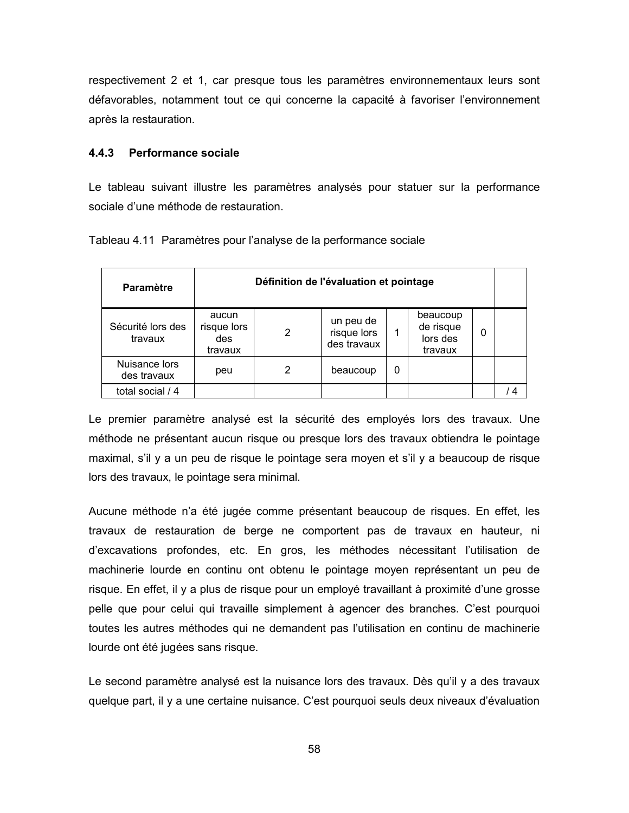respectivement 2 et 1, car presque tous les paramètres environnementaux leurs sont défavorables, notamment tout ce qui concerne la capacité à favoriser l'environnement après la restauration.

### 4.4.3 Performance sociale

Le tableau suivant illustre les paramètres analysés pour statuer sur la performance sociale d'une méthode de restauration.

| <b>Paramètre</b>             | Définition de l'évaluation et pointage |   |                                         |   |                                              |   |  |
|------------------------------|----------------------------------------|---|-----------------------------------------|---|----------------------------------------------|---|--|
| Sécurité lors des<br>travaux | aucun<br>risque lors<br>des<br>travaux | 2 | un peu de<br>risque lors<br>des travaux |   | beaucoup<br>de risque<br>lors des<br>travaux | 0 |  |
| Nuisance lors<br>des travaux | peu                                    | 2 | beaucoup                                | 0 |                                              |   |  |
| total social / 4             |                                        |   |                                         |   |                                              |   |  |

Tableau 4.11 Paramètres pour l'analyse de la performance sociale

Le premier paramètre analysé est la sécurité des employés lors des travaux. Une méthode ne présentant aucun risque ou presque lors des travaux obtiendra le pointage maximal, s'il y a un peu de risque le pointage sera moyen et s'il y a beaucoup de risque lors des travaux, le pointage sera minimal.

Aucune méthode n'a été jugée comme présentant beaucoup de risques. En effet, les travaux de restauration de berge ne comportent pas de travaux en hauteur, ni d'excavations profondes, etc. En gros, les méthodes nécessitant l'utilisation de machinerie lourde en continu ont obtenu le pointage moyen représentant un peu de risque. En effet, il y a plus de risque pour un employé travaillant à proximité d'une grosse pelle que pour celui qui travaille simplement à agencer des branches. C'est pourquoi toutes les autres méthodes qui ne demandent pas l'utilisation en continu de machinerie lourde ont été jugées sans risque.

Le second paramètre analysé est la nuisance lors des travaux. Dès qu'il y a des travaux quelque part, il y a une certaine nuisance. C'est pourquoi seuls deux niveaux d'évaluation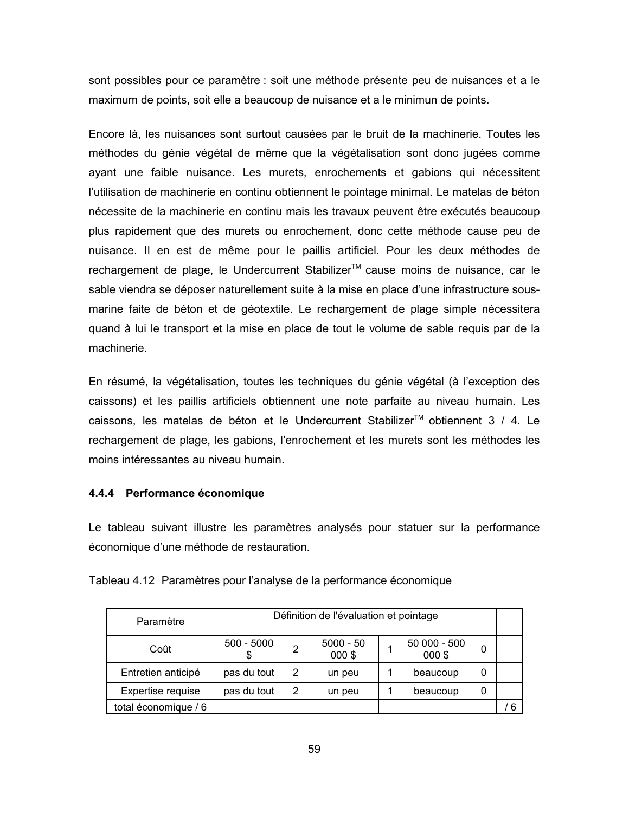sont possibles pour ce paramètre : soit une méthode présente peu de nuisances et a le maximum de points, soit elle a beaucoup de nuisance et a le minimun de points.

Encore là, les nuisances sont surtout causées par le bruit de la machinerie. Toutes les méthodes du génie végétal de même que la végétalisation sont donc jugées comme ayant une faible nuisance. Les murets, enrochements et gabions qui nécessitent l'utilisation de machinerie en continu obtiennent le pointage minimal. Le matelas de béton nécessite de la machinerie en continu mais les travaux peuvent être exécutés beaucoup plus rapidement que des murets ou enrochement, donc cette méthode cause peu de nuisance. Il en est de même pour le paillis artificiel. Pour les deux méthodes de rechargement de plage, le Undercurrent Stabilizer™ cause moins de nuisance, car le sable viendra se déposer naturellement suite à la mise en place d'une infrastructure sousmarine faite de béton et de géotextile. Le rechargement de plage simple nécessitera quand à lui le transport et la mise en place de tout le volume de sable requis par de la machinerie.

En résumé, la végétalisation, toutes les techniques du génie végétal (à l'exception des caissons) et les paillis artificiels obtiennent une note parfaite au niveau humain. Les caissons, les matelas de béton et le Undercurrent Stabilizer™ obtiennent 3 / 4. Le rechargement de plage, les gabions, l'enrochement et les murets sont les méthodes les moins intéressantes au niveau humain.

## 4.4.4 Performance économique

Le tableau suivant illustre les paramètres analysés pour statuer sur la performance économique d'une méthode de restauration.

| Paramètre            | Définition de l'évaluation et pointage |   |                      |  |                       |   |  |
|----------------------|----------------------------------------|---|----------------------|--|-----------------------|---|--|
| Coût                 | $500 - 5000$                           | 2 | $5000 - 50$<br>000\$ |  | 50 000 - 500<br>000\$ | 0 |  |
| Entretien anticipé   | pas du tout                            | 2 | un peu               |  | beaucoup              | 0 |  |
| Expertise requise    | pas du tout                            | 2 | un peu               |  | beaucoup              | 0 |  |
| total économique / 6 |                                        |   |                      |  |                       |   |  |

Tableau 4.12 Paramètres pour l'analyse de la performance économique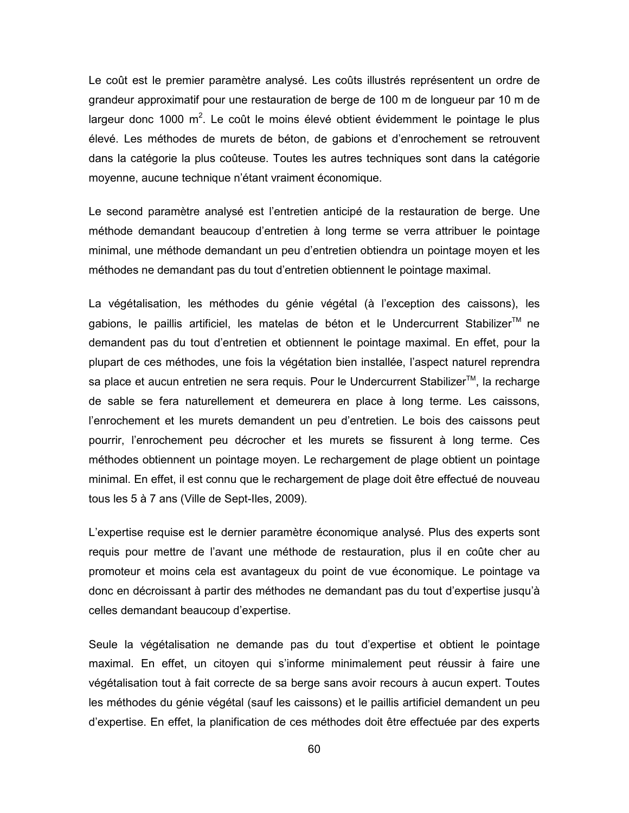Le coût est le premier paramètre analysé. Les coûts illustrés représentent un ordre de grandeur approximatif pour une restauration de berge de 100 m de longueur par 10 m de largeur donc 1000 m<sup>2</sup>. Le coût le moins élevé obtient évidemment le pointage le plus élevé. Les méthodes de murets de béton, de gabions et d'enrochement se retrouvent dans la catégorie la plus coûteuse. Toutes les autres techniques sont dans la catégorie moyenne, aucune technique n'étant vraiment économique.

Le second paramètre analysé est l'entretien anticipé de la restauration de berge. Une méthode demandant beaucoup d'entretien à long terme se verra attribuer le pointage minimal, une méthode demandant un peu d'entretien obtiendra un pointage moyen et les méthodes ne demandant pas du tout d'entretien obtiennent le pointage maximal.

La végétalisation, les méthodes du génie végétal (à l'exception des caissons), les gabions, le paillis artificiel, les matelas de béton et le Undercurrent Stabilizer™ ne demandent pas du tout d'entretien et obtiennent le pointage maximal. En effet, pour la plupart de ces méthodes, une fois la végétation bien installée, l'aspect naturel reprendra sa place et aucun entretien ne sera requis. Pour le Undercurrent Stabilizer™, la recharge de sable se fera naturellement et demeurera en place à long terme. Les caissons, l'enrochement et les murets demandent un peu d'entretien. Le bois des caissons peut pourrir, l'enrochement peu décrocher et les murets se fissurent à long terme. Ces méthodes obtiennent un pointage moyen. Le rechargement de plage obtient un pointage minimal. En effet, il est connu que le rechargement de plage doit être effectué de nouveau tous les 5 à 7 ans (Ville de Sept-Iles, 2009).

L'expertise requise est le dernier paramètre économique analysé. Plus des experts sont requis pour mettre de l'avant une méthode de restauration, plus il en coûte cher au promoteur et moins cela est avantageux du point de vue économique. Le pointage va donc en décroissant à partir des méthodes ne demandant pas du tout d'expertise jusqu'à celles demandant beaucoup d'expertise.

Seule la végétalisation ne demande pas du tout d'expertise et obtient le pointage maximal. En effet, un citoyen qui s'informe minimalement peut réussir à faire une végétalisation tout à fait correcte de sa berge sans avoir recours à aucun expert. Toutes les méthodes du génie végétal (sauf les caissons) et le paillis artificiel demandent un peu d'expertise. En effet, la planification de ces méthodes doit être effectuée par des experts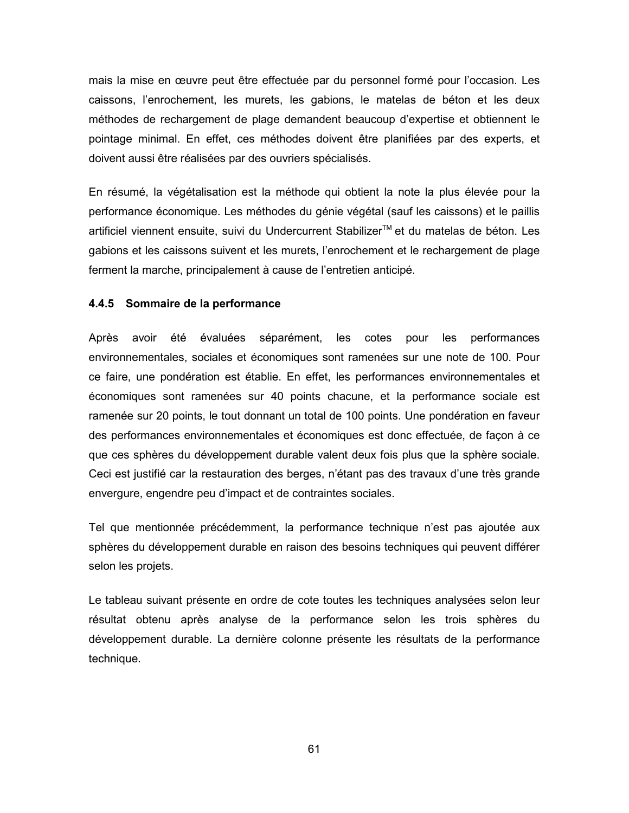mais la mise en œuvre peut être effectuée par du personnel formé pour l'occasion. Les caissons, l'enrochement, les murets, les gabions, le matelas de béton et les deux méthodes de rechargement de plage demandent beaucoup d'expertise et obtiennent le pointage minimal. En effet, ces méthodes doivent être planifiées par des experts, et doivent aussi être réalisées par des ouvriers spécialisés.

En résumé, la végétalisation est la méthode qui obtient la note la plus élevée pour la performance économique. Les méthodes du génie végétal (sauf les caissons) et le paillis artificiel viennent ensuite, suivi du Undercurrent Stabilizer™ et du matelas de béton. Les gabions et les caissons suivent et les murets, l'enrochement et le rechargement de plage ferment la marche, principalement à cause de l'entretien anticipé.

#### 4.4.5 Sommaire de la performance

Après avoir été évaluées séparément, les cotes pour les performances environnementales, sociales et économiques sont ramenées sur une note de 100. Pour ce faire, une pondération est établie. En effet, les performances environnementales et économiques sont ramenées sur 40 points chacune, et la performance sociale est ramenée sur 20 points, le tout donnant un total de 100 points. Une pondération en faveur des performances environnementales et économiques est donc effectuée, de façon à ce que ces sphères du développement durable valent deux fois plus que la sphère sociale. Ceci est justifié car la restauration des berges, n'étant pas des travaux d'une très grande envergure, engendre peu d'impact et de contraintes sociales.

Tel que mentionnée précédemment, la performance technique n'est pas ajoutée aux sphères du développement durable en raison des besoins techniques qui peuvent différer selon les projets.

Le tableau suivant présente en ordre de cote toutes les techniques analysées selon leur résultat obtenu après analyse de la performance selon les trois sphères du développement durable. La dernière colonne présente les résultats de la performance technique.

61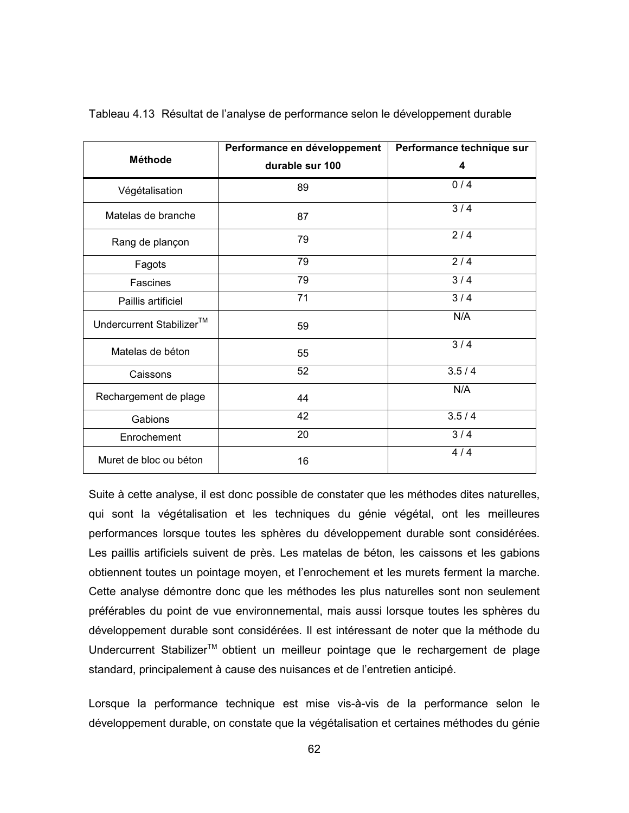|                          | Performance en développement | Performance technique sur |  |  |  |  |
|--------------------------|------------------------------|---------------------------|--|--|--|--|
| <b>Méthode</b>           | durable sur 100              | 4                         |  |  |  |  |
| Végétalisation           | 89                           | 0/4                       |  |  |  |  |
| Matelas de branche       | 87                           | 3/4                       |  |  |  |  |
| Rang de plançon          | 79                           | 2/4                       |  |  |  |  |
| Fagots                   | 79                           | 2/4                       |  |  |  |  |
| <b>Fascines</b>          | 79                           | 3/4                       |  |  |  |  |
| Paillis artificiel       | 71                           | 3/4                       |  |  |  |  |
| Undercurrent Stabilizer™ | 59                           | N/A                       |  |  |  |  |
| Matelas de béton         | 55                           | 3/4                       |  |  |  |  |
| Caissons                 | 52                           | 3.5/4                     |  |  |  |  |
| Rechargement de plage    | 44                           | N/A                       |  |  |  |  |
| Gabions                  | 42                           | 3.5/4                     |  |  |  |  |
| Enrochement              | 20                           | 3/4                       |  |  |  |  |
| Muret de bloc ou béton   | 16                           | 4/4                       |  |  |  |  |

Tableau 4.13 Résultat de l'analyse de performance selon le développement durable

Suite à cette analyse, il est donc possible de constater que les méthodes dites naturelles, qui sont la végétalisation et les techniques du génie végétal, ont les meilleures performances lorsque toutes les sphères du développement durable sont considérées. Les paillis artificiels suivent de près. Les matelas de béton, les caissons et les gabions obtiennent toutes un pointage moyen, et l'enrochement et les murets ferment la marche. Cette analyse démontre donc que les méthodes les plus naturelles sont non seulement préférables du point de vue environnemental, mais aussi lorsque toutes les sphères du développement durable sont considérées. Il est intéressant de noter que la méthode du Undercurrent Stabilizer™ obtient un meilleur pointage que le rechargement de plage standard, principalement à cause des nuisances et de l'entretien anticipé.

Lorsque la performance technique est mise vis-à-vis de la performance selon le développement durable, on constate que la végétalisation et certaines méthodes du génie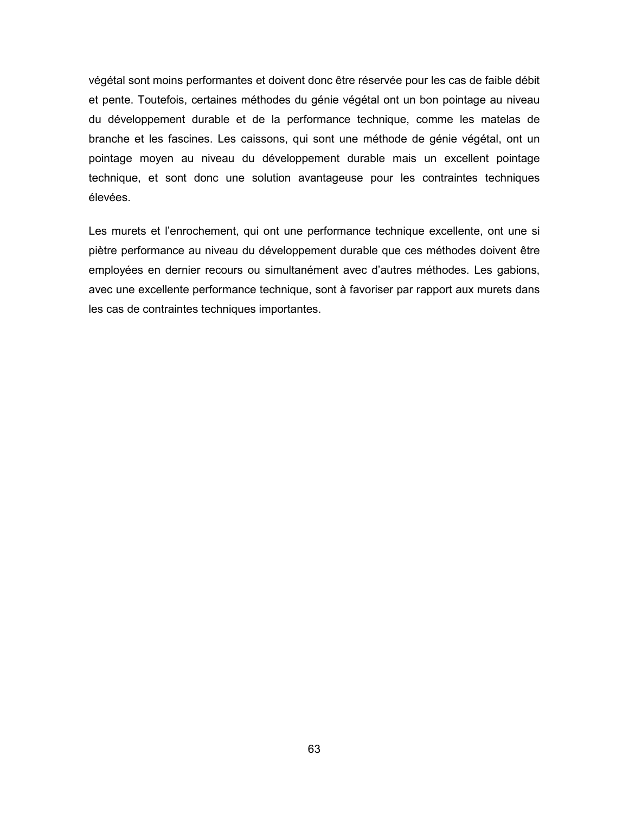végétal sont moins performantes et doivent donc être réservée pour les cas de faible débit et pente. Toutefois, certaines méthodes du génie végétal ont un bon pointage au niveau du développement durable et de la performance technique, comme les matelas de branche et les fascines. Les caissons, qui sont une méthode de génie végétal, ont un pointage moyen au niveau du développement durable mais un excellent pointage technique, et sont donc une solution avantageuse pour les contraintes techniques élevées.

Les murets et l'enrochement, qui ont une performance technique excellente, ont une si piètre performance au niveau du développement durable que ces méthodes doivent être employées en dernier recours ou simultanément avec d'autres méthodes. Les gabions, avec une excellente performance technique, sont à favoriser par rapport aux murets dans les cas de contraintes techniques importantes.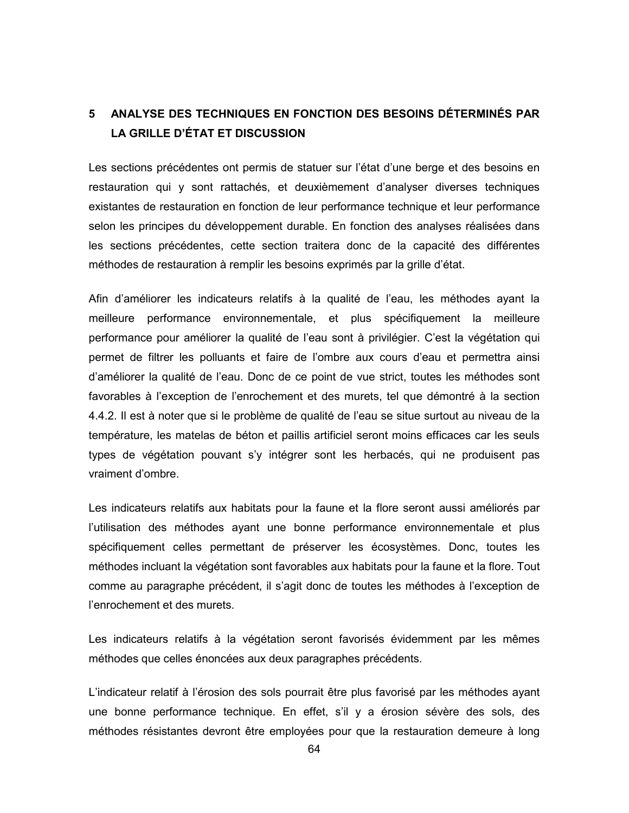### 5 ANALYSE DES TECHNIQUES EN FONCTION DES BESOINS DÉTERMINÉS PAR **LA GRILLE D'ÉTAT ET DISCUSSION**

Les sections précédentes ont permis de statuer sur l'état d'une berge et des besoins en restauration qui y sont rattachés, et deuxièmement d'analyser diverses techniques existantes de restauration en fonction de leur performance technique et leur performance selon les principes du développement durable. En fonction des analyses réalisées dans les sections précédentes, cette section traitera donc de la capacité des différentes méthodes de restauration à remplir les besoins exprimés par la grille d'état.

Afin d'améliorer les indicateurs relatifs à la qualité de l'eau, les méthodes ayant la meilleure performance environnementale, et plus spécifiquement la meilleure performance pour améliorer la qualité de l'eau sont à privilégier. C'est la végétation qui permet de filtrer les polluants et faire de l'ombre aux cours d'eau et permettra ainsi d'améliorer la qualité de l'eau. Donc de ce point de vue strict, toutes les méthodes sont favorables à l'exception de l'enrochement et des murets, tel que démontré à la section 4.4.2. Il est à noter que si le problème de qualité de l'eau se situe surtout au niveau de la température, les matelas de béton et paillis artificiel seront moins efficaces car les seuls types de végétation pouvant s'y intégrer sont les herbacés, qui ne produisent pas vraiment d'ombre.

Les indicateurs relatifs aux habitats pour la faune et la flore seront aussi améliorés par l'utilisation des méthodes ayant une bonne performance environnementale et plus spécifiquement celles permettant de préserver les écosystèmes. Donc, toutes les méthodes incluant la végétation sont favorables aux habitats pour la faune et la flore. Tout comme au paragraphe précédent, il s'agit donc de toutes les méthodes à l'exception de l'enrochement et des murets.

Les indicateurs relatifs à la végétation seront favorisés évidemment par les mêmes méthodes que celles énoncées aux deux paragraphes précédents.

L'indicateur relatif à l'érosion des sols pourrait être plus favorisé par les méthodes ayant une bonne performance technique. En effet, s'il y a érosion sévère des sols, des méthodes résistantes devront être employées pour que la restauration demeure à long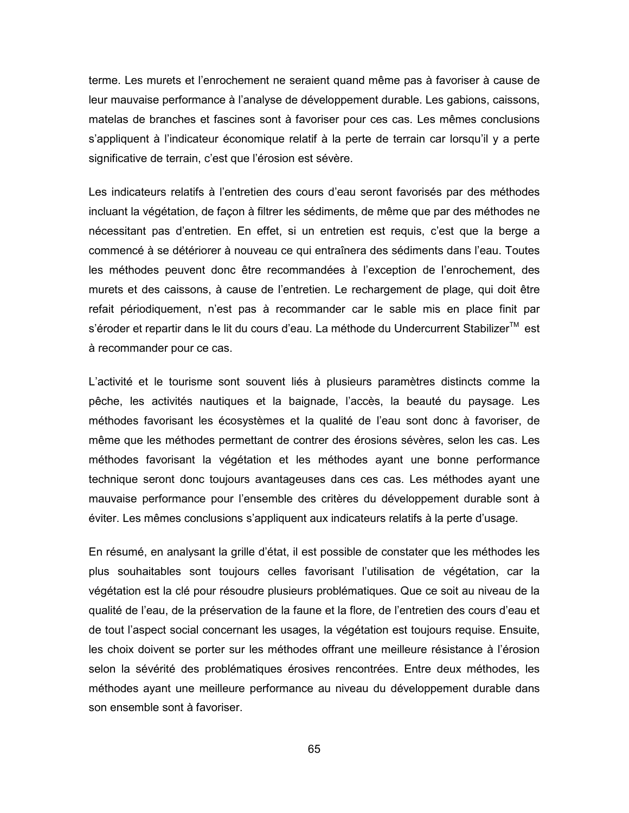terme. Les murets et l'enrochement ne seraient quand même pas à favoriser à cause de leur mauvaise performance à l'analyse de développement durable. Les gabions, caissons, matelas de branches et fascines sont à favoriser pour ces cas. Les mêmes conclusions s'appliquent à l'indicateur économique relatif à la perte de terrain car lorsqu'il y a perte significative de terrain, c'est que l'érosion est sévère.

Les indicateurs relatifs à l'entretien des cours d'eau seront favorisés par des méthodes incluant la végétation, de façon à filtrer les sédiments, de même que par des méthodes ne nécessitant pas d'entretien. En effet, si un entretien est requis, c'est que la berge a commencé à se détériorer à nouveau ce qui entraînera des sédiments dans l'eau. Toutes les méthodes peuvent donc être recommandées à l'exception de l'enrochement, des murets et des caissons, à cause de l'entretien. Le rechargement de plage, qui doit être refait périodiquement, n'est pas à recommander car le sable mis en place finit par s'éroder et repartir dans le lit du cours d'eau. La méthode du Undercurrent Stabilizer™ est à recommander pour ce cas.

L'activité et le tourisme sont souvent liés à plusieurs paramètres distincts comme la pêche, les activités nautiques et la baignade, l'accès, la beauté du paysage. Les méthodes favorisant les écosystèmes et la qualité de l'eau sont donc à favoriser, de même que les méthodes permettant de contrer des érosions sévères, selon les cas. Les méthodes favorisant la végétation et les méthodes ayant une bonne performance technique seront donc toujours avantageuses dans ces cas. Les méthodes ayant une mauvaise performance pour l'ensemble des critères du développement durable sont à éviter. Les mêmes conclusions s'appliquent aux indicateurs relatifs à la perte d'usage.

En résumé, en analysant la grille d'état, il est possible de constater que les méthodes les plus souhaitables sont toujours celles favorisant l'utilisation de végétation, car la végétation est la clé pour résoudre plusieurs problématiques. Que ce soit au niveau de la qualité de l'eau, de la préservation de la faune et la flore, de l'entretien des cours d'eau et de tout l'aspect social concernant les usages, la végétation est toujours requise. Ensuite, les choix doivent se porter sur les méthodes offrant une meilleure résistance à l'érosion selon la sévérité des problématiques érosives rencontrées. Entre deux méthodes, les méthodes ayant une meilleure performance au niveau du développement durable dans son ensemble sont à favoriser.

65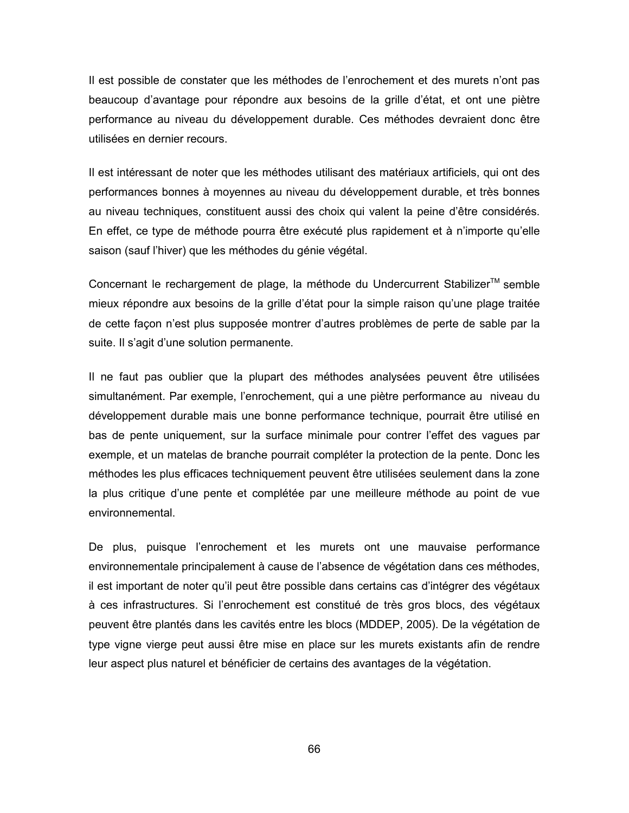Il est possible de constater que les méthodes de l'enrochement et des murets n'ont pas beaucoup d'avantage pour répondre aux besoins de la grille d'état, et ont une piètre performance au niveau du développement durable. Ces méthodes devraient donc être utilisées en dernier recours.

Il est intéressant de noter que les méthodes utilisant des matériaux artificiels, qui ont des performances bonnes à moyennes au niveau du développement durable, et très bonnes au niveau techniques, constituent aussi des choix qui valent la peine d'être considérés. En effet, ce type de méthode pourra être exécuté plus rapidement et à n'importe qu'elle saison (sauf l'hiver) que les méthodes du génie végétal.

Concernant le rechargement de plage, la méthode du Undercurrent Stabilizer™ semble mieux répondre aux besoins de la grille d'état pour la simple raison qu'une plage traitée de cette façon n'est plus supposée montrer d'autres problèmes de perte de sable par la suite. Il s'agit d'une solution permanente.

Il ne faut pas oublier que la plupart des méthodes analysées peuvent être utilisées simultanément. Par exemple, l'enrochement, qui a une piètre performance au niveau du développement durable mais une bonne performance technique, pourrait être utilisé en bas de pente uniquement, sur la surface minimale pour contrer l'effet des vagues par exemple, et un matelas de branche pourrait compléter la protection de la pente. Donc les méthodes les plus efficaces techniquement peuvent être utilisées seulement dans la zone la plus critique d'une pente et complétée par une meilleure méthode au point de vue environnemental.

De plus, puisque l'enrochement et les murets ont une mauvaise performance environnementale principalement à cause de l'absence de végétation dans ces méthodes, il est important de noter qu'il peut être possible dans certains cas d'intégrer des végétaux à ces infrastructures. Si l'enrochement est constitué de très gros blocs, des végétaux peuvent être plantés dans les cavités entre les blocs (MDDEP, 2005). De la végétation de type vigne vierge peut aussi être mise en place sur les murets existants afin de rendre leur aspect plus naturel et bénéficier de certains des avantages de la végétation.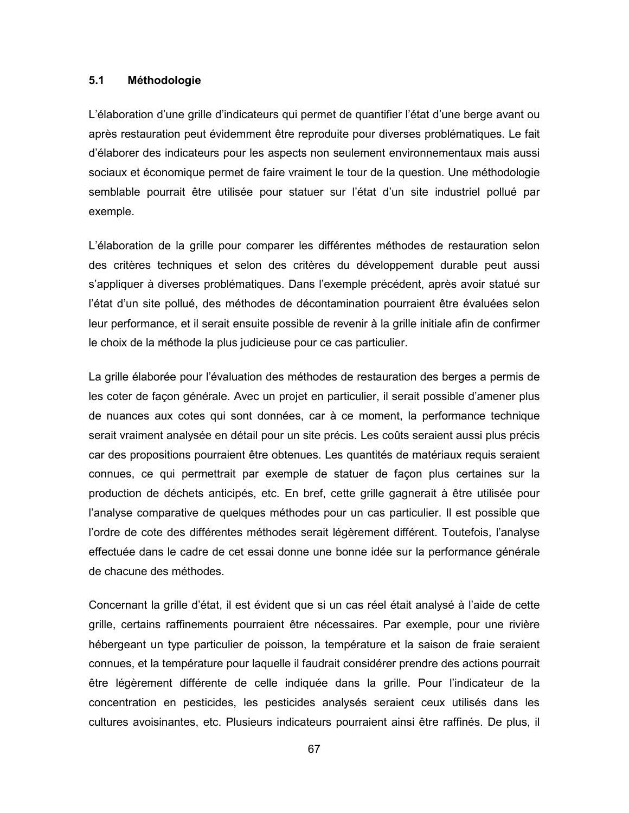#### $5.1$ Méthodologie

L'élaboration d'une grille d'indicateurs qui permet de quantifier l'état d'une berge avant ou après restauration peut évidemment être reproduite pour diverses problématiques. Le fait d'élaborer des indicateurs pour les aspects non seulement environnementaux mais aussi sociaux et économique permet de faire vraiment le tour de la question. Une méthodologie semblable pourrait être utilisée pour statuer sur l'état d'un site industriel pollué par exemple.

L'élaboration de la grille pour comparer les différentes méthodes de restauration selon des critères techniques et selon des critères du développement durable peut aussi s'appliquer à diverses problématiques. Dans l'exemple précédent, après avoir statué sur l'état d'un site pollué, des méthodes de décontamination pourraient être évaluées selon leur performance, et il serait ensuite possible de revenir à la grille initiale afin de confirmer le choix de la méthode la plus judicieuse pour ce cas particulier.

La grille élaborée pour l'évaluation des méthodes de restauration des berges a permis de les coter de façon générale. Avec un projet en particulier, il serait possible d'amener plus de nuances aux cotes qui sont données, car à ce moment, la performance technique serait vraiment analysée en détail pour un site précis. Les coûts seraient aussi plus précis car des propositions pourraient être obtenues. Les quantités de matériaux requis seraient connues, ce qui permettrait par exemple de statuer de façon plus certaines sur la production de déchets anticipés, etc. En bref, cette grille gagnerait à être utilisée pour l'analyse comparative de quelques méthodes pour un cas particulier. Il est possible que l'ordre de cote des différentes méthodes serait légèrement différent. Toutefois, l'analyse effectuée dans le cadre de cet essai donne une bonne idée sur la performance générale de chacune des méthodes.

Concernant la grille d'état, il est évident que si un cas réel était analysé à l'aide de cette grille, certains raffinements pourraient être nécessaires. Par exemple, pour une rivière hébergeant un type particulier de poisson, la température et la saison de fraie seraient connues, et la température pour laquelle il faudrait considérer prendre des actions pourrait être légèrement différente de celle indiquée dans la grille. Pour l'indicateur de la concentration en pesticides, les pesticides analysés seraient ceux utilisés dans les cultures avoisinantes, etc. Plusieurs indicateurs pourraient ainsi être raffinés. De plus, il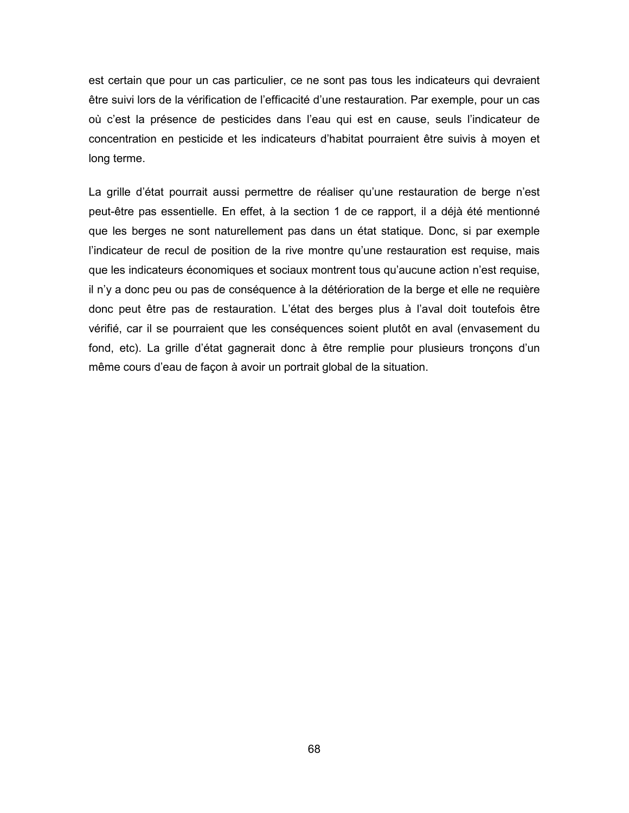est certain que pour un cas particulier, ce ne sont pas tous les indicateurs qui devraient être suivi lors de la vérification de l'efficacité d'une restauration. Par exemple, pour un cas où c'est la présence de pesticides dans l'eau qui est en cause, seuls l'indicateur de concentration en pesticide et les indicateurs d'habitat pourraient être suivis à moyen et long terme.

La grille d'état pourrait aussi permettre de réaliser qu'une restauration de berge n'est peut-être pas essentielle. En effet, à la section 1 de ce rapport, il a déjà été mentionné que les berges ne sont naturellement pas dans un état statique. Donc, si par exemple l'indicateur de recul de position de la rive montre qu'une restauration est requise, mais que les indicateurs économiques et sociaux montrent tous qu'aucune action n'est requise, il n'y a donc peu ou pas de conséquence à la détérioration de la berge et elle ne requière donc peut être pas de restauration. L'état des berges plus à l'aval doit toutefois être vérifié, car il se pourraient que les conséquences soient plutôt en aval (envasement du fond, etc). La grille d'état gagnerait donc à être remplie pour plusieurs tronçons d'un même cours d'eau de façon à avoir un portrait global de la situation.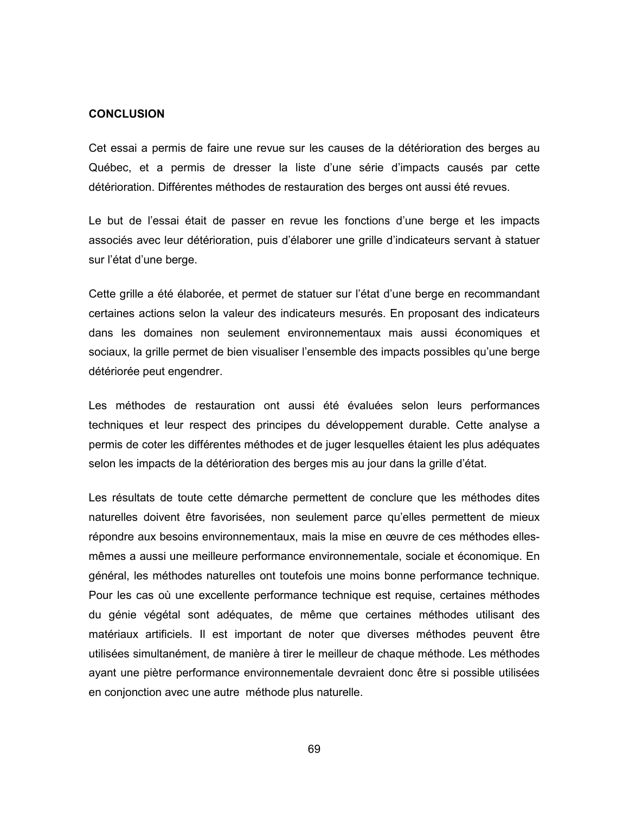#### **CONCLUSION**

Cet essai a permis de faire une revue sur les causes de la détérioration des berges au Québec, et a permis de dresser la liste d'une série d'impacts causés par cette détérioration. Différentes méthodes de restauration des berges ont aussi été revues.

Le but de l'essai était de passer en revue les fonctions d'une berge et les impacts associés avec leur détérioration, puis d'élaborer une grille d'indicateurs servant à statuer sur l'état d'une berge.

Cette grille a été élaborée, et permet de statuer sur l'état d'une berge en recommandant certaines actions selon la valeur des indicateurs mesurés. En proposant des indicateurs dans les domaines non seulement environnementaux mais aussi économiques et sociaux, la grille permet de bien visualiser l'ensemble des impacts possibles qu'une berge détériorée peut engendrer.

Les méthodes de restauration ont aussi été évaluées selon leurs performances techniques et leur respect des principes du développement durable. Cette analyse a permis de coter les différentes méthodes et de juger lesquelles étaient les plus adéquates selon les impacts de la détérioration des berges mis au jour dans la grille d'état.

Les résultats de toute cette démarche permettent de conclure que les méthodes dites naturelles doivent être favorisées, non seulement parce qu'elles permettent de mieux répondre aux besoins environnementaux, mais la mise en œuvre de ces méthodes ellesmêmes a aussi une meilleure performance environnementale, sociale et économique. En général, les méthodes naturelles ont toutefois une moins bonne performance technique. Pour les cas où une excellente performance technique est requise, certaines méthodes du génie végétal sont adéquates, de même que certaines méthodes utilisant des matériaux artificiels. Il est important de noter que diverses méthodes peuvent être utilisées simultanément, de manière à tirer le meilleur de chaque méthode. Les méthodes avant une piètre performance environnementale devraient donc être si possible utilisées en conjonction avec une autre méthode plus naturelle.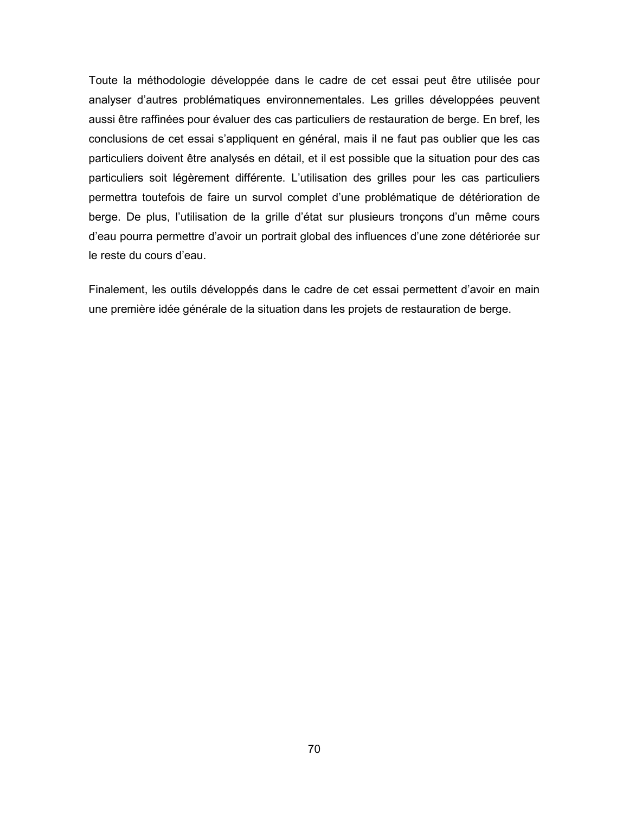Toute la méthodologie développée dans le cadre de cet essai peut être utilisée pour analyser d'autres problématiques environnementales. Les grilles développées peuvent aussi être raffinées pour évaluer des cas particuliers de restauration de berge. En bref, les conclusions de cet essai s'appliquent en général, mais il ne faut pas oublier que les cas particuliers doivent être analysés en détail, et il est possible que la situation pour des cas particuliers soit légèrement différente. L'utilisation des grilles pour les cas particuliers permettra toutefois de faire un survol complet d'une problématique de détérioration de berge. De plus, l'utilisation de la grille d'état sur plusieurs tronçons d'un même cours d'eau pourra permettre d'avoir un portrait global des influences d'une zone détériorée sur le reste du cours d'eau.

Finalement, les outils développés dans le cadre de cet essai permettent d'avoir en main une première idée générale de la situation dans les projets de restauration de berge.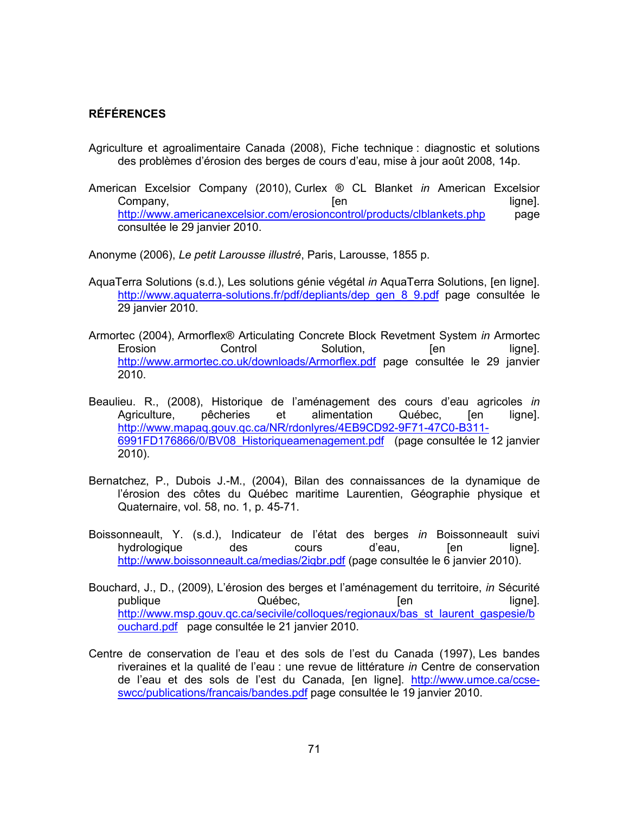#### **RÉFÉRENCES**

- Agriculture et agroalimentaire Canada (2008). Fiche technique : diagnostic et solutions des problèmes d'érosion des berges de cours d'eau, mise à jour août 2008, 14p.
- American Excelsior Company (2010), Curlex ® CL Blanket in American Excelsior Company, [en ligne]. http://www.americanexcelsior.com/erosioncontrol/products/clblankets.php page consultée le 29 janvier 2010.

Anonyme (2006), Le petit Larousse illustré, Paris, Larousse, 1855 p.

- AquaTerra Solutions (s.d.), Les solutions génie végétal in AquaTerra Solutions, [en ligne]. http://www.aquaterra-solutions.fr/pdf/depliants/dep gen 8 9.pdf page consultée le 29 janvier 2010.
- Armortec (2004), Armorflex® Articulating Concrete Block Revetment System in Armortec Erosion Control Solution, **Ten** ligne]. http://www.armortec.co.uk/downloads/Armorflex.pdf page consultée le 29 janvier 2010.
- Beaulieu. R., (2008), Historique de l'aménagement des cours d'eau agricoles in Agriculture. pêcheries  $et$ alimentation Québec. **Ten** ligne]. http://www.mapaq.gouv.qc.ca/NR/rdonlyres/4EB9CD92-9F71-47C0-B311-6991FD176866/0/BV08 Historiqueamenagement.pdf (page consultée le 12 janvier  $2010$ ).
- Bernatchez, P., Dubois J.-M., (2004), Bilan des connaissances de la dynamique de l'érosion des côtes du Québec maritime Laurentien, Géographie physique et Quaternaire, vol. 58, no. 1, p. 45-71.
- Boissonneault, Y. (s.d.), Indicateur de l'état des berges in Boissonneault suivi hydrologique des cours d'eau. **Ten** ligne]. http://www.boissonneault.ca/medias/2igbr.pdf (page consultée le 6 janvier 2010).
- Bouchard, J., D., (2009), L'érosion des berges et l'aménagement du territoire, in Sécurité publique Québec. lianel. **Ten** http://www.msp.gouv.gc.ca/secivile/collogues/regionaux/bas st laurent gaspesie/b ouchard.pdf page consultée le 21 janvier 2010.
- Centre de conservation de l'eau et des sols de l'est du Canada (1997), Les bandes riveraines et la qualité de l'eau : une revue de littérature in Centre de conservation de l'eau et des sols de l'est du Canada, [en ligne]. http://www.umce.ca/ccseswcc/publications/francais/bandes.pdf page consultée le 19 janvier 2010.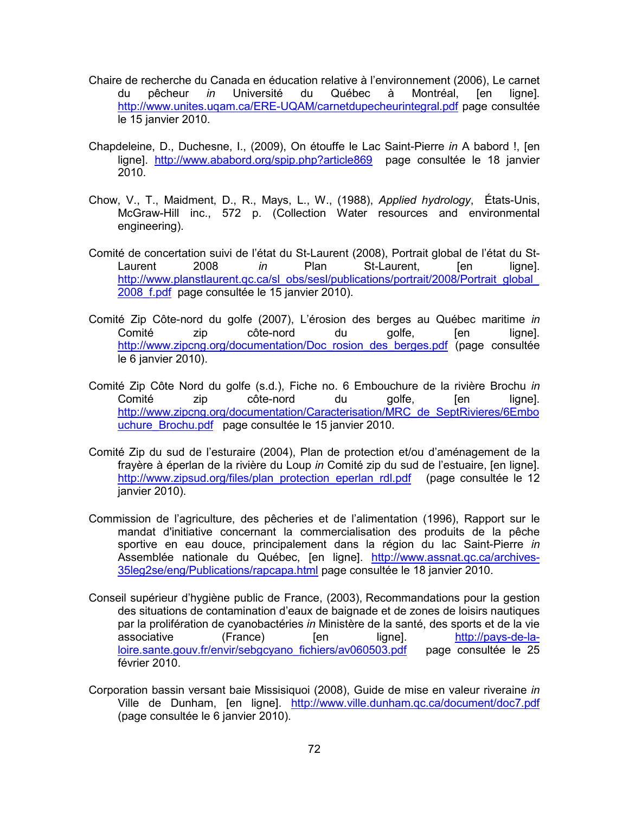- Chaire de recherche du Canada en éducation relative à l'environnement (2006). Le carnet du pêcheur in Université du Québec à Montréal. **Ten** lianel. http://www.unites.ugam.ca/ERE-UQAM/carnetdupecheurintegral.pdf page consultée le 15 janvier 2010.
- Chapdeleine, D., Duchesne, I., (2009), On étouffe le Lac Saint-Pierre in A babord !, [en lignel. http://www.ababord.org/spip.php?article869 page consultée le 18 janvier 2010.
- Chow, V., T., Maidment, D., R., Mays, L., W., (1988), Applied hydrology, États-Unis, McGraw-Hill inc., 572 p. (Collection Water resources and environmental engineering).
- Comité de concertation suivi de l'état du St-Laurent (2008), Portrait global de l'état du St-Laurent 2008 Plan St-Laurent. in **Ten** ligne]. http://www.planstlaurent.gc.ca/sl\_obs/sesl/publications/portrait/2008/Portrait\_global 2008 f.pdf page consultée le 15 janvier 2010).
- Comité Zip Côte-nord du golfe (2007). L'érosion des berges au Québec maritime in Comité côte-nord du golfe, ligne]. zip [en http://www.zipcng.org/documentation/Doc rosion des berges.pdf (page consultée le 6 janvier 2010).
- Comité Zip Côte Nord du golfe (s.d.), Fiche no. 6 Embouchure de la rivière Brochu in lignel. Comité côte-nord zip du qolfe, [en http://www.zipcng.org/documentation/Caracterisation/MRC de SeptRivieres/6Embo uchure Brochu.pdf page consultée le 15 janvier 2010.
- Comité Zip du sud de l'esturaire (2004), Plan de protection et/ou d'aménagement de la fravère à éperlan de la rivière du Loup in Comité zip du sud de l'estuaire, [en ligne]. http://www.zipsud.org/files/plan\_protection\_eperlan\_rdl.pdf (page\_consultée\_le\_12 janvier 2010).
- Commission de l'agriculture, des pêcheries et de l'alimentation (1996), Rapport sur le mandat d'initiative concernant la commercialisation des produits de la pêche sportive en eau douce, principalement dans la région du lac Saint-Pierre in Assemblée nationale du Québec, [en ligne]. http://www.assnat.qc.ca/archives-35leg2se/eng/Publications/rapcapa.html page consultée le 18 janvier 2010.
- Conseil supérieur d'hygiène public de France, (2003), Recommandations pour la gestion des situations de contamination d'eaux de baignade et de zones de loisirs nautiques par la prolifération de cyanobactéries in Ministère de la santé, des sports et de la vie associative (France) **Ten** ligne]. http://pays-de-laloire.sante.gouv.fr/envir/sebgcyano\_fichiers/av060503.pdf page consultée le 25 février 2010.
- Corporation bassin versant baie Missisiquoi (2008). Guide de mise en valeur riveraine in Ville de Dunham, [en ligne]. http://www.ville.dunham.gc.ca/document/doc7.pdf (page consultée le 6 janvier 2010).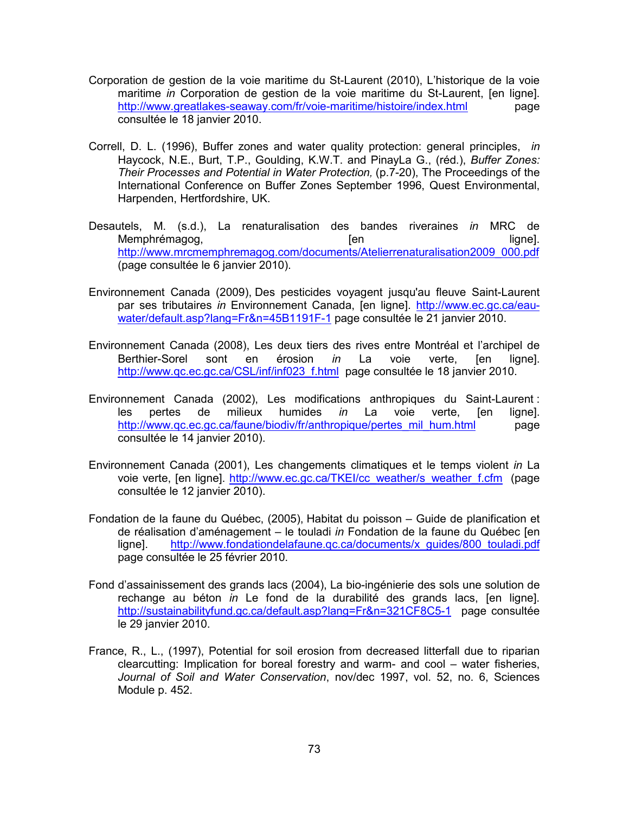- Corporation de gestion de la voie maritime du St-Laurent (2010), L'historique de la voie maritime in Corporation de gestion de la voie maritime du St-Laurent, [en ligne]. http://www.greatlakes-seaway.com/fr/voie-maritime/histoire/index.html page consultée le 18 janvier 2010.
- Correll, D. L. (1996), Buffer zones and water quality protection: general principles, in Haycock, N.E., Burt, T.P., Goulding, K.W.T. and PinayLa G., (réd.), Buffer Zones: Their Processes and Potential in Water Protection. (p.7-20). The Proceedings of the International Conference on Buffer Zones September 1996, Quest Environmental, Harpenden, Hertfordshire, UK.
- Desautels, M. (s.d.), La renaturalisation des bandes riveraines in MRC de Memphrémagog, lianel. **Ten** http://www.mrcmemphremagog.com/documents/Atelierrenaturalisation2009\_000.pdf (page consultée le 6 janvier 2010).
- Environnement Canada (2009), Des pesticides voyagent jusqu'au fleuve Saint-Laurent par ses tributaires in Environnement Canada, [en ligne]. http://www.ec.gc.ca/eauwater/default.asp?lang=Fr&n=45B1191F-1 page consultée le 21 janvier 2010.
- Environnement Canada (2008), Les deux tiers des rives entre Montréal et l'archipel de Berthier-Sorel sont en érosion in La voie verte. **Ten** lianel. http://www.gc.ec.gc.ca/CSL/inf/inf023 f.html page consultée le 18 janvier 2010.
- Environnement Canada (2002), Les modifications anthropiques du Saint-Laurent : humides les pertes de milieux  $in$ La voie verte. [en ligne]. http://www.gc.ec.gc.ca/faune/biodiv/fr/anthropique/pertes\_mil\_hum.html page consultée le 14 janvier 2010).
- Environnement Canada (2001). Les changements climatiques et le temps violent in La voie verte, [en ligne], http://www.ec.gc.ca/TKEI/cc\_weather/s\_weather\_f.cfm\_(page consultée le 12 janvier 2010).
- Fondation de la faune du Québec, (2005), Habitat du poisson Guide de planification et de réalisation d'aménagement - le touladi in Fondation de la faune du Québec [en http://www.fondationdelafaune.gc.ca/documents/x quides/800 touladi.pdf lianel. page consultée le 25 février 2010.
- Fond d'assainissement des grands lacs (2004), La bio-ingénierie des sols une solution de rechange au béton in Le fond de la durabilité des grands lacs, [en ligne]. http://sustainabilityfund.gc.ca/default.asp?lang=Fr&n=321CF8C5-1 page consultée le 29 janvier 2010.
- France, R., L., (1997), Potential for soil erosion from decreased litterfall due to riparian clearcutting: Implication for boreal forestry and warm- and cool – water fisheries, Journal of Soil and Water Conservation, nov/dec 1997, vol. 52, no. 6, Sciences Module p. 452.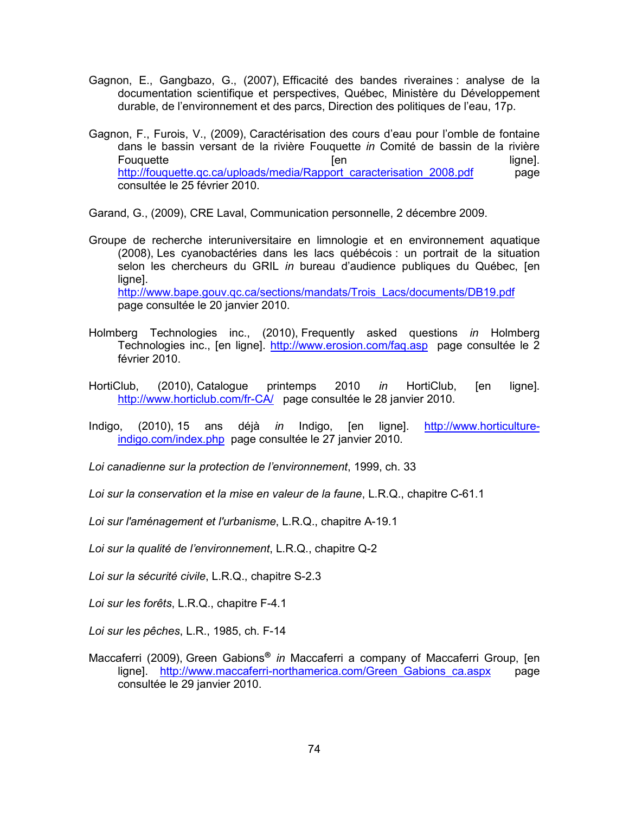- Gagnon, E., Gangbazo, G., (2007), Efficacité des bandes riveraines : analyse de la documentation scientifique et perspectives, Québec, Ministère du Développement durable, de l'environnement et des parcs, Direction des politiques de l'eau, 17p.
- Gagnon, F., Furois, V., (2009), Caractérisation des cours d'eau pour l'omble de fontaine dans le bassin versant de la rivière Fouquette in Comité de bassin de la rivière Fouguette ligne]. len. http://fouquette.qc.ca/uploads/media/Rapport caracterisation 2008.pdf page consultée le 25 février 2010

Garand, G., (2009), CRE Laval, Communication personnelle, 2 décembre 2009.

Groupe de recherche interuniversitaire en limnologie et en environnement aquatique (2008), Les cyanobactéries dans les lacs québécois : un portrait de la situation selon les chercheurs du GRIL in bureau d'audience publiques du Québec, [en lianel. http://www.bape.gouv.gc.ca/sections/mandats/Trois\_Lacs/documents/DB19.pdf

page consultée le 20 janvier 2010.

- Holmberg Technologies inc., (2010), Frequently asked questions in Holmberg Technologies inc., [en ligne]. http://www.erosion.com/faq.asp page consultée le 2 février 2010.
- HortiClub,  $(2010)$ , Catalogue printemps 2010 in HortiClub, **Ten** ligne]. http://www.horticlub.com/fr-CA/ page consultée le 28 janvier 2010.
- Indigo, (2010), 15 ans déjà *in* Indigo, [en ligne]. http://www.horticultureindigo.com/index.php page consultée le 27 janvier 2010.

Loi canadienne sur la protection de l'environnement, 1999, ch. 33

Loi sur la conservation et la mise en valeur de la faune, L.R.Q., chapitre C-61.1

Loi sur l'aménagement et l'urbanisme, L.R.Q., chapitre A-19.1

Loi sur la qualité de l'environnement, L.R.Q., chapitre Q-2

Loi sur la sécurité civile, L.R.Q., chapitre S-2.3

Loi sur les forêts, L.R.Q., chapitre F-4.1

Loi sur les pêches, L.R., 1985, ch. F-14

Maccaferri (2009), Green Gabions<sup>®</sup> in Maccaferri a company of Maccaferri Group, [en ligne]. http://www.maccaferri-northamerica.com/Green Gabions ca.aspx page consultée le 29 janvier 2010.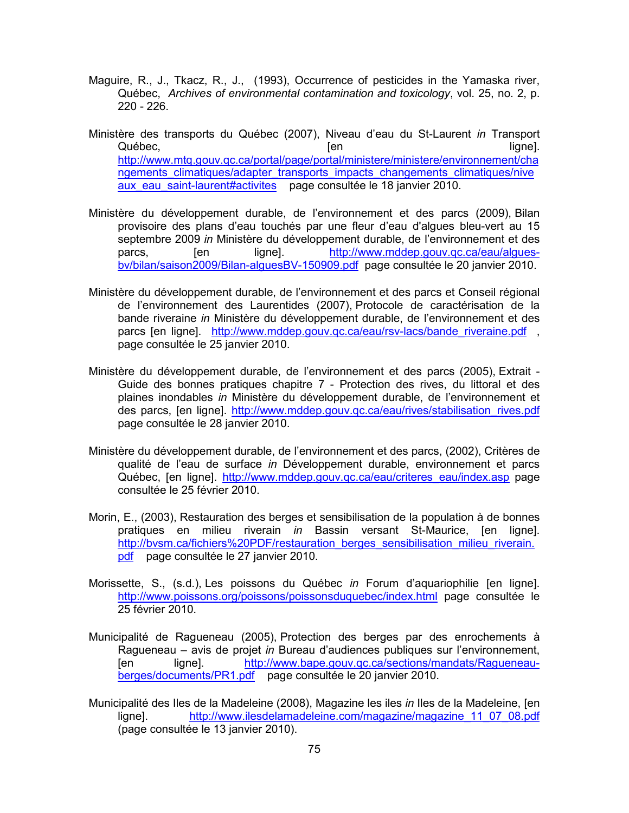- Maguire, R., J., Tkacz, R., J., (1993), Occurrence of pesticides in the Yamaska river, Québec, Archives of environmental contamination and toxicology, vol. 25, no. 2, p.  $220 - 226.$
- Ministère des transports du Québec (2007), Niveau d'eau du St-Laurent in Transport Québec. **Ten** ligne]. http://www.mtg.gouv.gc.ca/portal/page/portal/ministere/ministere/environnement/cha ngements climatiques/adapter transports impacts changements climatiques/nive aux eau saint-laurent#activites page consultée le 18 janvier 2010.
- Ministère du développement durable, de l'environnement et des parcs (2009), Bilan provisoire des plans d'eau touchés par une fleur d'eau d'algues bleu-vert au 15 septembre 2009 in Ministère du développement durable, de l'environnement et des ligne]. http://www.mddep.gouv.gc.ca/eau/alquesparcs. **Ten** bv/bilan/saison2009/Bilan-alquesBV-150909.pdf page consultée le 20 janvier 2010.
- Ministère du développement durable, de l'environnement et des parcs et Conseil régional de l'environnement des Laurentides (2007), Protocole de caractérisation de la bande riveraine in Ministère du développement durable, de l'environnement et des parcs [en ligne]. http://www.mddep.gouv.gc.ca/eau/rsv-lacs/bande riveraine.pdf, page consultée le 25 janvier 2010.
- Ministère du développement durable, de l'environnement et des parcs (2005), Extrait -Guide des bonnes pratiques chapitre 7 - Protection des rives, du littoral et des plaines inondables in Ministère du développement durable, de l'environnement et des parcs, [en ligne]. http://www.mddep.gouv.gc.ca/eau/rives/stabilisation rives.pdf page consultée le 28 janvier 2010.
- Ministère du développement durable, de l'environnement et des parcs, (2002), Critères de qualité de l'eau de surface in Développement durable, environnement et parcs Québec, [en ligne]. http://www.mddep.gouv.gc.ca/eau/criteres\_eau/index.asp\_page consultée le 25 février 2010.
- Morin, E., (2003), Restauration des berges et sensibilisation de la population à de bonnes pratiques en milieu riverain in Bassin versant St-Maurice, [en ligne]. http://bysm.ca/fichiers%20PDF/restauration berges sensibilisation milieu riverain. pdf page consultée le 27 janvier 2010.
- Morissette, S., (s.d.), Les poissons du Québec in Forum d'aquariophilie [en ligne]. http://www.poissons.org/poissons/poissonsduquebec/index.html page consultée le 25 février 2010.
- Municipalité de Ragueneau (2005), Protection des berges par des enrochements à Ragueneau – avis de projet in Bureau d'audiences publiques sur l'environnement, http://www.bape.gouv.gc.ca/sections/mandats/Ragueneau-**Ten** lianel. berges/documents/PR1.pdf page consultée le 20 janvier 2010.
- Municipalité des lles de la Madeleine (2008), Magazine les iles *in* lles de la Madeleine, [en lianel. http://www.ilesdelamadeleine.com/magazine/magazine 11 07 08.pdf (page consultée le 13 janvier 2010).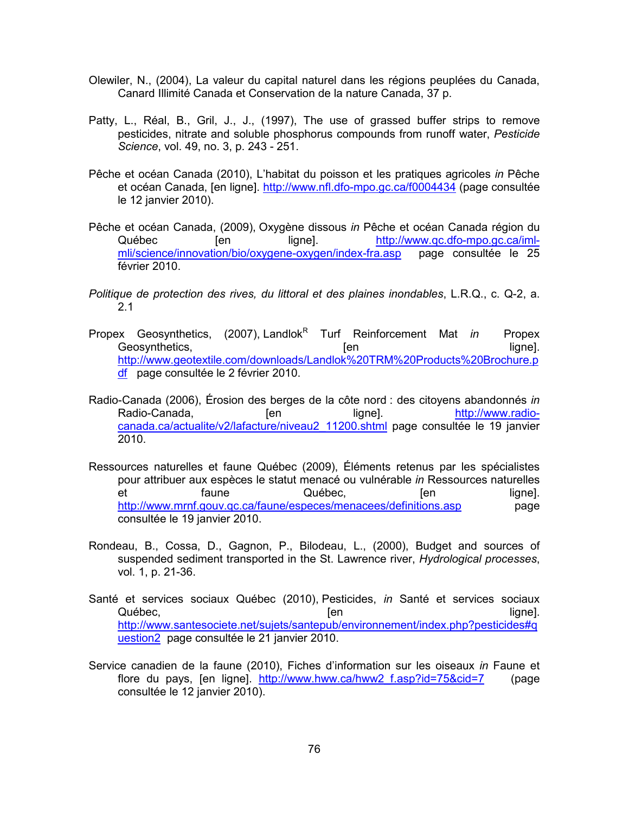- Olewiler, N., (2004), La valeur du capital naturel dans les régions peuplées du Canada, Canard Illimité Canada et Conservation de la nature Canada, 37 p.
- Patty, L., Réal, B., Gril, J., J., (1997), The use of grassed buffer strips to remove pesticides, nitrate and soluble phosphorus compounds from runoff water, Pesticide Science, vol. 49, no. 3, p. 243 - 251.
- Pêche et océan Canada (2010), L'habitat du poisson et les pratiques agricoles in Pêche et océan Canada, [en ligne]. http://www.nfl.dfo-mpo.gc.ca/f0004434 (page consultée le 12 janvier 2010).
- Pêche et océan Canada, (2009), Oxygène dissous in Pêche et océan Canada région du http://www.gc.dfo-mpo.gc.ca/iml-Québec **Ten** ligne]. mli/science/innovation/bio/oxygene-oxygen/index-fra.asp page consultée le 25 février 2010.
- Politique de protection des rives, du littoral et des plaines inondables, L.R.Q., c. Q-2, a.  $2.1$
- Propex Geosynthetics, (2007), Landlok<sup>R</sup> Turf Reinforcement Mat in Propex Geosynthetics. ligne]. [en http://www.geotextile.com/downloads/Landlok%20TRM%20Products%20Brochure.p df page consultée le 2 février 2010.
- Radio-Canada (2006), Érosion des berges de la côte nord : des citoyens abandonnés in Radio-Canada. http://www.radio-**Ten** lianel. canada.ca/actualite/v2/lafacture/niveau2 11200.shtml page consultée le 19 janvier  $2010.$
- Ressources naturelles et faune Québec (2009), Éléments retenus par les spécialistes pour attribuer aux espèces le statut menacé ou vulnérable in Ressources naturelles et faune Québec. lianel. len l http://www.mrnf.gouv.gc.ca/faune/especes/menacees/definitions.asp page consultée le 19 janvier 2010.
- Rondeau, B., Cossa, D., Gagnon, P., Bilodeau, L., (2000), Budget and sources of suspended sediment transported in the St. Lawrence river, Hydrological processes, vol. 1, p. 21-36.
- Santé et services sociaux Québec (2010), Pesticides, in Santé et services sociaux Québec. **Ten** lianel. http://www.santesociete.net/sujets/santepub/environnement/index.php?pesticides#q uestion2 page consultée le 21 janvier 2010.
- Service canadien de la faune (2010), Fiches d'information sur les oiseaux in Faune et flore du pays, [en ligne]. http://www.hww.ca/hww2 f.asp?id=75&cid=7 (page consultée le 12 janvier 2010).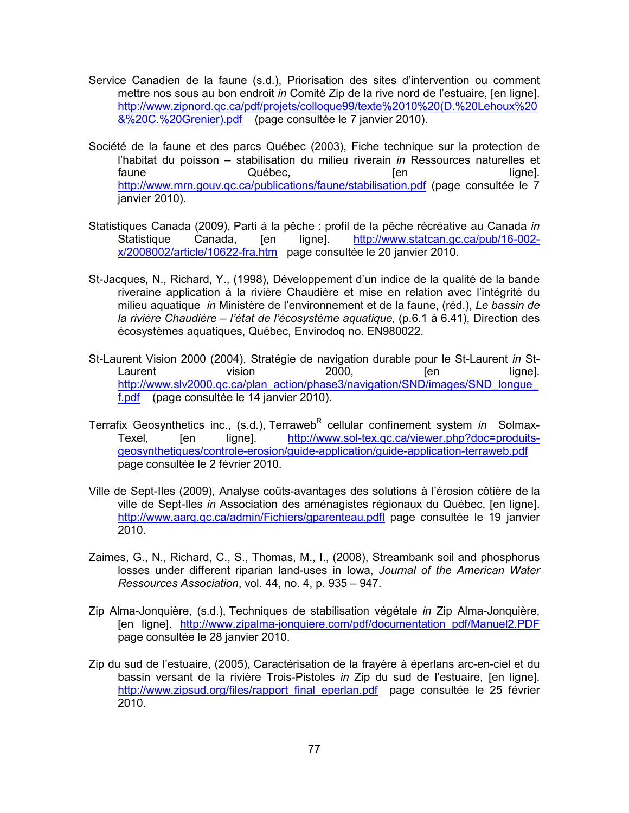- Service Canadien de la faune (s.d.), Priorisation des sites d'intervention ou comment mettre nos sous au bon endroit in Comité Zip de la rive nord de l'estuaire. [en ligne]. http://www.zipnord.gc.ca/pdf/projets/colloque99/texte%2010%20(D.%20Lehoux%20 &%20C.%20Grenier).pdf (page consultée le 7 janvier 2010).
- Société de la faune et des parcs Québec (2003), Fiche technique sur la protection de l'habitat du poisson – stabilisation du milieu riverain in Ressources naturelles et faune Québec. **Ten** lignel. http://www.mrn.gouv.gc.ca/publications/faune/stabilisation.pdf (page consultée le 7 janvier 2010).
- Statistiques Canada (2009), Parti à la pêche : profil de la pêche récréative au Canada in Statistique Canada. **Ten** ligne]. http://www.statcan.gc.ca/pub/16-002x/2008002/article/10622-fra.htm page consultée le 20 janvier 2010.
- St-Jacques, N., Richard, Y., (1998), Développement d'un indice de la qualité de la bande riveraine application à la rivière Chaudière et mise en relation avec l'intégrité du milieu aquatique in Ministère de l'environnement et de la faune, (réd.), Le bassin de la rivière Chaudière - l'état de l'écosystème aquatique, (p.6.1 à 6.41), Direction des écosystèmes aquatiques, Québec, Envirodog no. EN980022.
- St-Laurent Vision 2000 (2004), Stratégie de navigation durable pour le St-Laurent in St-Laurent vision 2000. [en ligne]. http://www.slv2000.qc.ca/plan\_action/phase3/navigation/SND/images/SND\_longue f.pdf (page consultée le 14 janvier 2010).
- Terrafix Geosynthetics inc., (s.d.). Terraweb<sup>R</sup> cellular confinement system *in* Solmaxlianel. http://www.sol-tex.gc.ca/viewer.php?doc=produits-Texel. **Ten** geosynthetiques/controle-erosion/guide-application/guide-application-terraweb.pdf page consultée le 2 février 2010.
- Ville de Sept-Iles (2009), Analyse coûts-avantages des solutions à l'érosion côtière de la ville de Sept-Iles in Association des aménagistes régionaux du Québec, [en ligne]. http://www.aarg.gc.ca/admin/Fichiers/gparenteau.pdfl page consultée le 19 janvier 2010.
- Zaimes, G., N., Richard, C., S., Thomas, M., I., (2008), Streambank soil and phosphorus losses under different riparian land-uses in Iowa, Journal of the American Water Ressources Association, vol. 44, no. 4, p. 935 - 947.
- Zip Alma-Jonquière, (s.d.), Techniques de stabilisation végétale in Zip Alma-Jonquière, [en ligne]. http://www.zipalma-jonguiere.com/pdf/documentation pdf/Manuel2.PDF page consultée le 28 janvier 2010.
- Zip du sud de l'estuaire, (2005), Caractérisation de la frayère à éperlans arc-en-ciel et du bassin versant de la rivière Trois-Pistoles in Zip du sud de l'estuaire, [en ligne]. http://www.zipsud.org/files/rapport final eperlan.pdf page consultée le 25 février 2010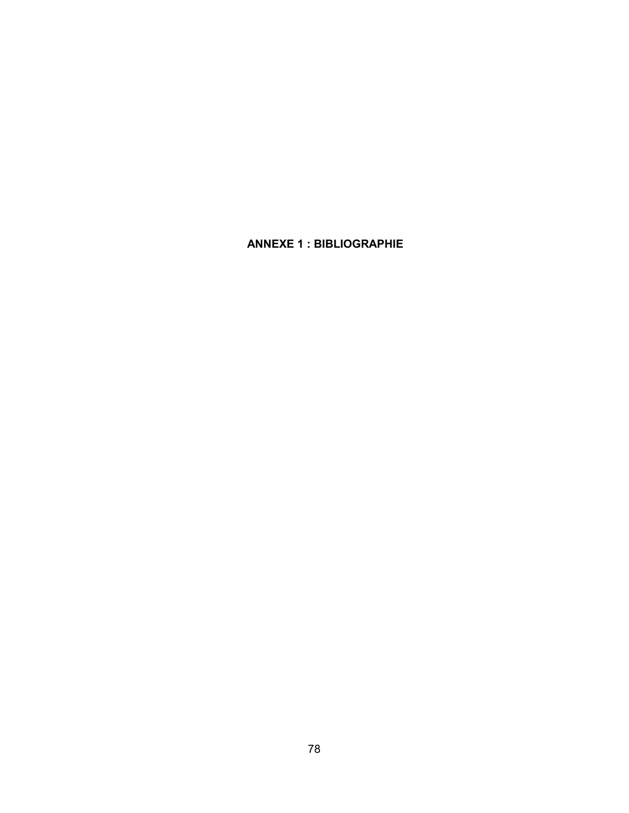#### **ANNEXE 1 : BIBLIOGRAPHIE**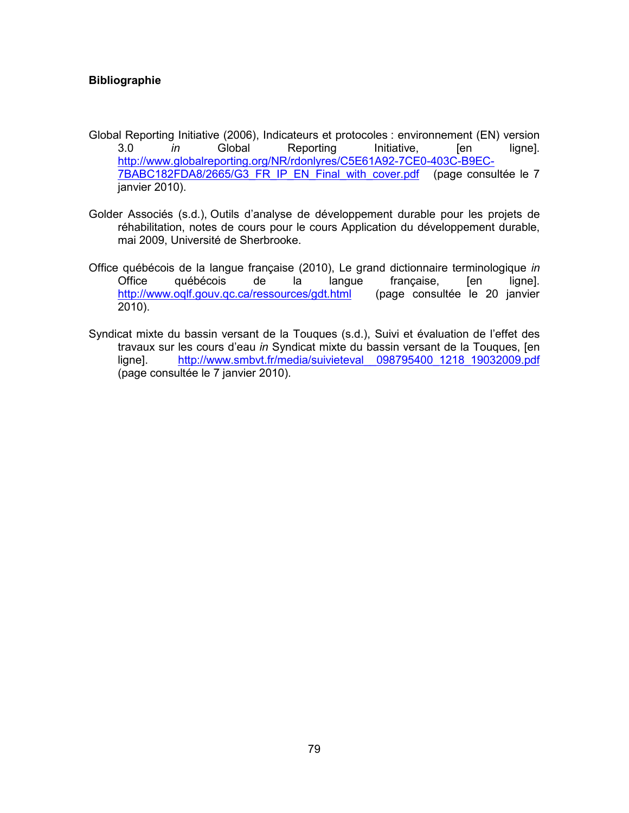#### **Bibliographie**

- Global Reporting Initiative (2006), Indicateurs et protocoles : environnement (EN) version  $3.0$ Global Reporting Initiative, in **Ten** ligne]. http://www.globalreporting.org/NR/rdonlyres/C5E61A92-7CE0-403C-B9EC-7BABC182FDA8/2665/G3 FR IP EN Final with cover.pdf (page consultée le 7 janvier 2010).
- Golder Associés (s.d.), Outils d'analyse de développement durable pour les projets de réhabilitation, notes de cours pour le cours Application du développement durable, mai 2009. Université de Sherbrooke.
- Office québécois de la langue française (2010), Le grand dictionnaire terminologique in québécois Office de la langue française, [en ligne]. http://www.oqlf.gouv.gc.ca/ressources/gdt.html (page consultée le 20 janvier  $2010$ ).
- Syndicat mixte du bassin versant de la Touques (s.d.), Suivi et évaluation de l'effet des travaux sur les cours d'eau in Syndicat mixte du bassin versant de la Touques, [en http://www.smbvt.fr/media/suivieteval 098795400 1218 19032009.pdf lianel. (page consultée le 7 janvier 2010).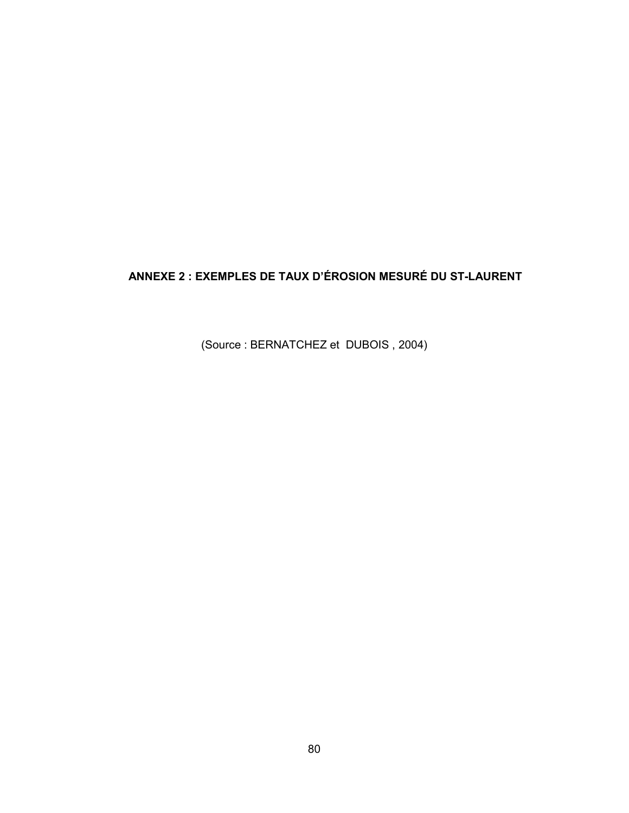## ANNEXE 2 : EXEMPLES DE TAUX D'ÉROSION MESURÉ DU ST-LAURENT

(Source: BERNATCHEZ et DUBOIS, 2004)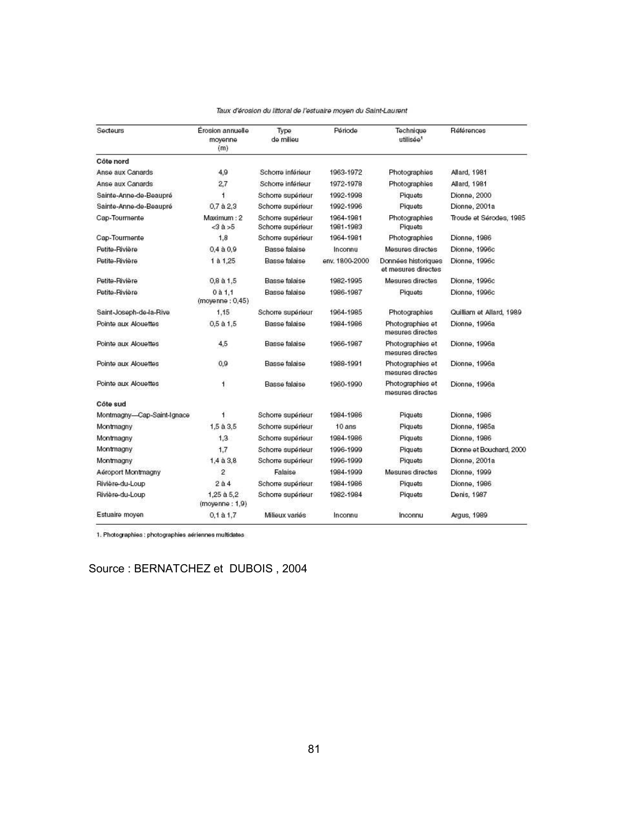| Secteurs                   | Erosion annuelle<br>movenne<br>(m) | Type<br>de milieu                      | Période                | Technique<br>utilisée <sup>1</sup>         | Références               |  |
|----------------------------|------------------------------------|----------------------------------------|------------------------|--------------------------------------------|--------------------------|--|
| Côte nord                  |                                    |                                        |                        |                                            |                          |  |
| Anse aux Canards           | 4,9                                | Schorre inférieur                      | 1963-1972              | Photographies                              | Allard, 1981             |  |
| Anse aux Canards           | 2,7                                | Schorre inférieur                      | 1972-1978              | Photographies                              | Allard, 1981             |  |
| Sainte-Anne-de-Beaupré     | 1                                  | Schorre supérieur                      | 1992-1998              | Piguets                                    | Dionne, 2000             |  |
| Sainte-Anne-de-Beaupré     | $0.7$ à $2.3$                      | Schorre supérieur                      | 1992-1996              | Piguets                                    | Dionne, 2001a            |  |
| Cap-Tourmente              | Maximum : 2<br><3a>5               | Schorre supérieur<br>Schorre supérieur | 1964-1981<br>1981-1983 | Photographies<br>Piquets                   | Troude et Sérodes, 1985  |  |
| Cap-Tourmente              | 1,8                                | Schorre supérieur                      | 1964-1981              | Photographies                              | Dionne, 1986             |  |
| Petite-Rivière             | $0,4$ à $0,9$                      | Basse falaise                          | Inconnu                | Mesures directes                           | Dionne, 1996c            |  |
| Petite-Rivière             | 1 à 1,25                           | Basse falaise                          | env. 1800-2000         | Données historiques<br>et mesures directes | Dionne, 1996c            |  |
| Petite-Rivière             | $0.8$ à 1.5                        | Basse falaise                          | 1982-1995              | Mesures directes                           | Dionne, 1996c            |  |
| Petite-Rivière             | 0a1.1<br>(moyenne: 0,45)           | Basse falaise                          | 1986-1987              | Piquets                                    | Dionne, 1996c            |  |
| Saint-Joseph-de-la-Rive    | 1.15                               | Schorre supérieur                      | 1964-1985              | Photographies                              | Quilliam et Allard, 1989 |  |
| Pointe aux Alouettes       | $0.5$ à $1.5$                      | Basse falaise                          | 1984-1986              | Photographies et<br>mesures directes       | Dionne, 1996a            |  |
| Pointe aux Alouettes       | 4.5                                | Basse falaise                          | 1966-1987              | Photographies et<br>mesures directes       | Dionne, 1996a            |  |
| Pointe aux Alouettes       | 0.9                                | Basse falaise                          | 1988-1991              | Photographies et<br>mesures directes       | Dionne, 1996a            |  |
| Pointe aux Alouettes       | Ť                                  | Basse falaise                          | 1960-1990              | Photographies et<br>mesures directes       | Dionne, 1996a            |  |
| Côte sud                   |                                    |                                        |                        |                                            |                          |  |
| Montmagny-Cap-Saint-Ignace | 1                                  | Schorre supérieur                      | 1984-1986              | Piquets                                    | Dionne, 1986             |  |
| Montmagny                  | 1.5a3.5                            | Schorre supérieur                      | 10ans                  | Piquets                                    | Dionne, 1985a            |  |
| Montmagny                  | 1,3                                | Schorre supérieur                      | 1984-1986              | Piquets                                    | Dionne, 1986             |  |
| Montmagny                  | 1,7                                | Schorre supérieur                      | 1996-1999              | Piquets                                    | Dionne et Bouchard, 2000 |  |
| Montmagny                  | $1.4$ à $3.8$                      | Schorre supérieur                      | 1996-1999              | Piquets                                    | Dionne, 2001a            |  |
| Aéroport Montmagny         | $\overline{c}$                     | Falaise                                | 1984-1999              | Mesures directes                           | Dionne, 1999             |  |
| Rivière-du-Loup            | 2a4                                | Schorre supérieur                      | 1984-1986              | Piquets                                    | Dionne, 1986             |  |
| Rivière-du-Loup            | 1,25a5.2<br>(moyenne: 1,9)         | Schorre supérieur                      | 1982-1984              | Piquets                                    | Denis, 1987              |  |
| Estuaire moyen             | $0, 1$ à $1, 7$                    | Milieux variés                         | Inconnu                | Inconnu                                    | Argus, 1989              |  |

#### Taux d'érosion du littoral de l'estuaire moyen du Saint-Laurent

1. Photographies : photographies aériennes multidates

Source: BERNATCHEZ et DUBOIS, 2004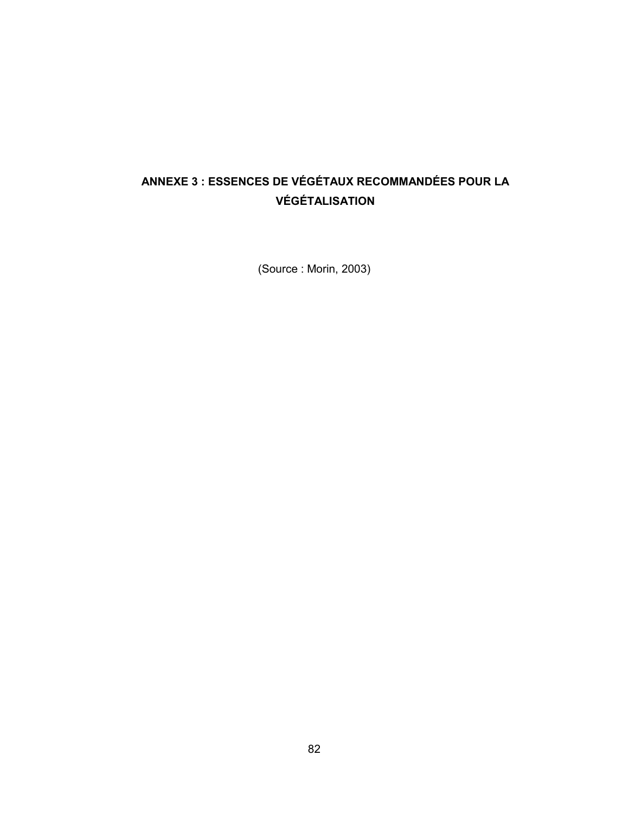# ANNEXE 3 : ESSENCES DE VÉGÉTAUX RECOMMANDÉES POUR LA **VÉGÉTALISATION**

(Source: Morin, 2003)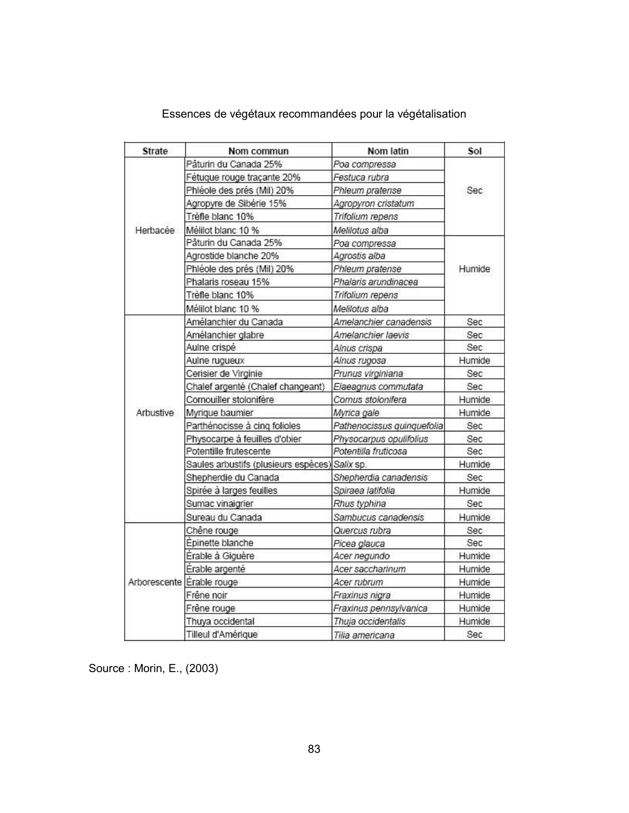| <b>Strate</b> | Nom commun                                     | Nom latin                  | Sol    |  |  |
|---------------|------------------------------------------------|----------------------------|--------|--|--|
|               | Pâturin du Canada 25%                          | Poa compressa              |        |  |  |
|               | Fétuque rouge tracante 20%                     | Festuca rubra              |        |  |  |
|               | Phléole des prés (Mil) 20%                     | Phleum pratense            | Sec    |  |  |
|               | Agropyre de Sibérie 15%                        | Agropyron cristatum        |        |  |  |
|               | Trèfle blanc 10%                               | Trifolium repens           |        |  |  |
| Herbacée      | Mélilot blanc 10 %                             | Melilotus alba             |        |  |  |
|               | Pâturin du Canada 25%                          | Poa compressa              |        |  |  |
|               | Agrostide blanche 20%                          | Agrostis alba              |        |  |  |
|               | Phléole des prés (Mil) 20%                     | Phleum pratense            | Humide |  |  |
|               | Phalaris roseau 15%                            | Phalaris arundinacea       |        |  |  |
|               | Trèfle blanc 10%                               | Trifolium repens           |        |  |  |
|               | Mélilot blanc 10 %                             | Melilotus alba             |        |  |  |
|               | Amélanchier du Canada                          | Amelanchier canadensis     | Sec    |  |  |
|               | Amélanchier glabre                             | Amelanchier laevis         | Sec    |  |  |
|               | Aulne crispé                                   | Alnus crispa               | Sec    |  |  |
|               | Aulne rugueux                                  | Alnus rugosa               | Humide |  |  |
|               | Cerisier de Virginie                           | Prunus virginiana          | Sec    |  |  |
|               | Chalef argenté (Chalef changeant)              | Elaeagnus commutata        | Sec    |  |  |
|               | Cornouiller stolonifère                        | Cornus stolonifera         | Humide |  |  |
| Arbustive     | Myrique baumier                                | Myrica gale                | Humide |  |  |
|               | Parthénocisse à cinq folioles                  | Pathenocissus quinquefolia | Sec    |  |  |
|               | Physocarpe à feuilles d'obier                  | Physocarpus opulifolius    | Sec    |  |  |
|               | Potentille frutescente                         | Potentilla fruticosa       | Sec.   |  |  |
|               | Saules arbustifs (plusieurs espèces) Salix sp. |                            | Humide |  |  |
|               | Shepherdie du Canada                           | Shepherdia canadensis      | Sec    |  |  |
|               | Spirée à larges feuilles                       | Spiraea latifolia          | Humide |  |  |
|               | Sumac vinaigrier                               | Rhus typhina               | Sec    |  |  |
|               | Sureau du Canada                               | Sambucus canadensis        | Humide |  |  |
|               | Chêne rouge                                    | Quercus rubra              | Sec    |  |  |
|               | Epinette blanche                               | Picea glauca               | Sec    |  |  |
|               | Érable à Giguère                               | Acer negundo               | Humide |  |  |
|               | Érable argenté                                 | Acer saccharinum           | Humide |  |  |
|               | Arborescente Erable rouge                      | Acer rubrum                | Humide |  |  |
|               | Frêne noir                                     | Fraxinus nigra             | Humide |  |  |
|               | Frêne rouge                                    | Fraxinus pennsylvanica     | Humide |  |  |
|               | Thuya occidental                               | Thuja occidentalis         | Humide |  |  |
|               | Tilleul d'Amérique                             | Tilia americana            | Sec    |  |  |

Essences de végétaux recommandées pour la végétalisation

Source: Morin, E., (2003)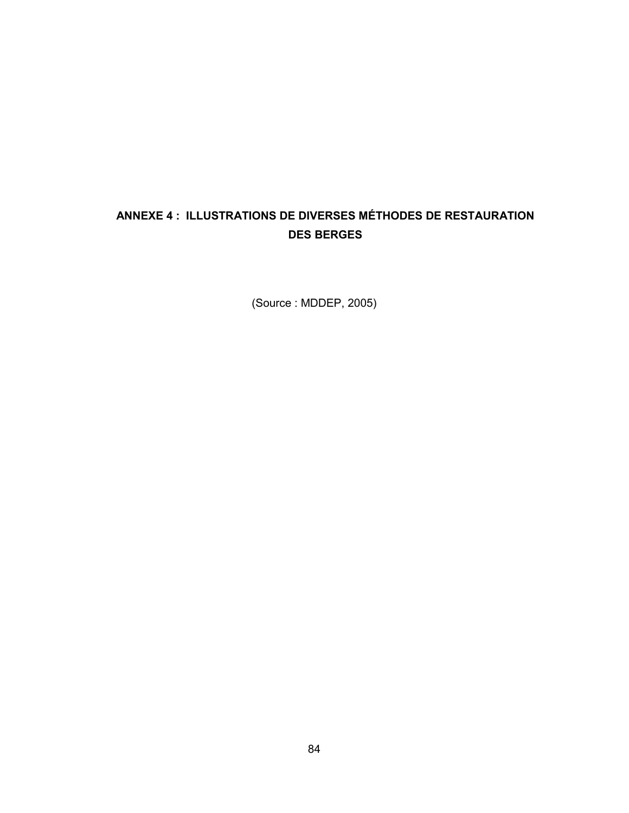# ANNEXE 4 : ILLUSTRATIONS DE DIVERSES MÉTHODES DE RESTAURATION **DES BERGES**

(Source: MDDEP, 2005)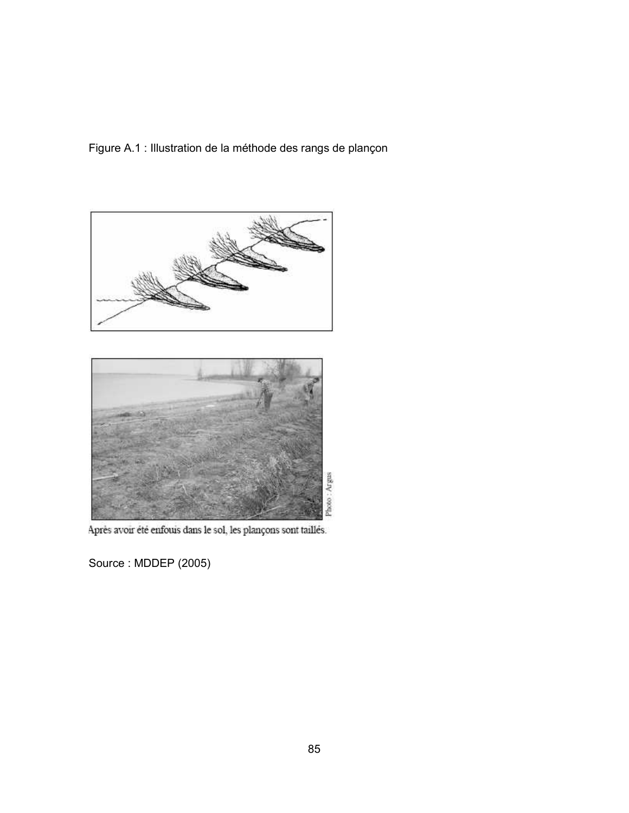Figure A.1 : Illustration de la méthode des rangs de plançon





Après avoir été enfouis dans le sol, les plançons sont taillés.

Source: MDDEP (2005)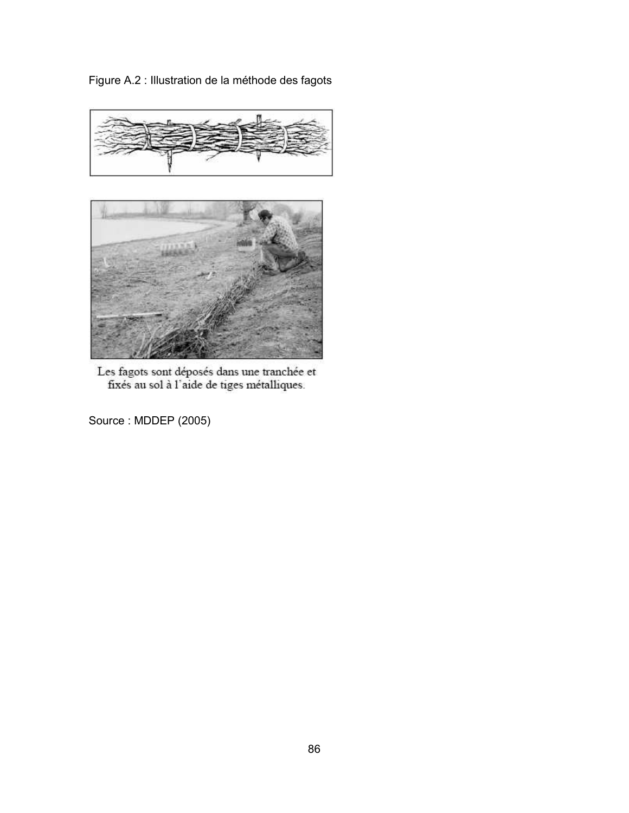Figure A.2 : Illustration de la méthode des fagots





 $\label{eq:loss} \begin{small} \text{Les fagots sont déposés dans une tranché et}\text{ fix\'es au sol à l'aide de tiges métalliques.} \end{small}$ 

Source: MDDEP (2005)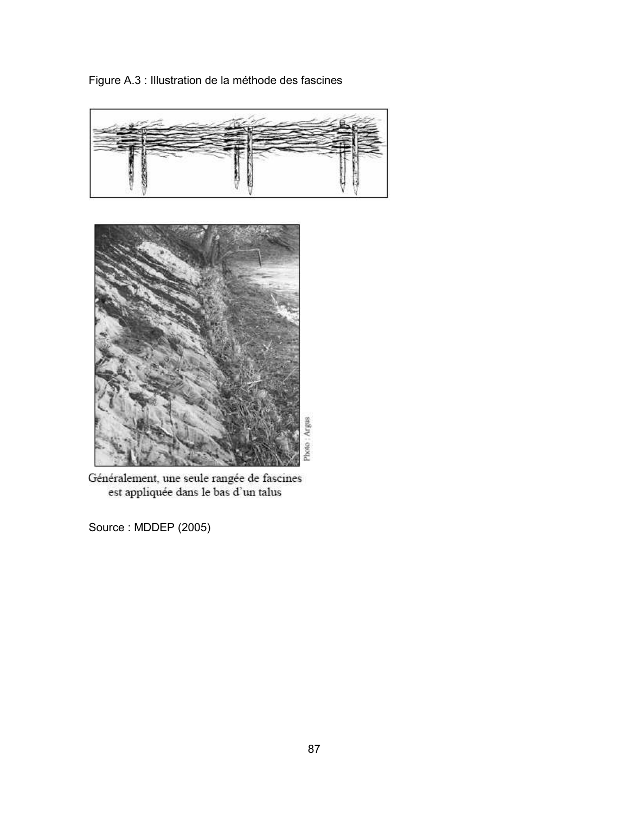Figure A.3 : Illustration de la méthode des fascines





Généralement, une seule rangée de fascines<br>est appliquée dans le bas d'un talus

Source: MDDEP (2005)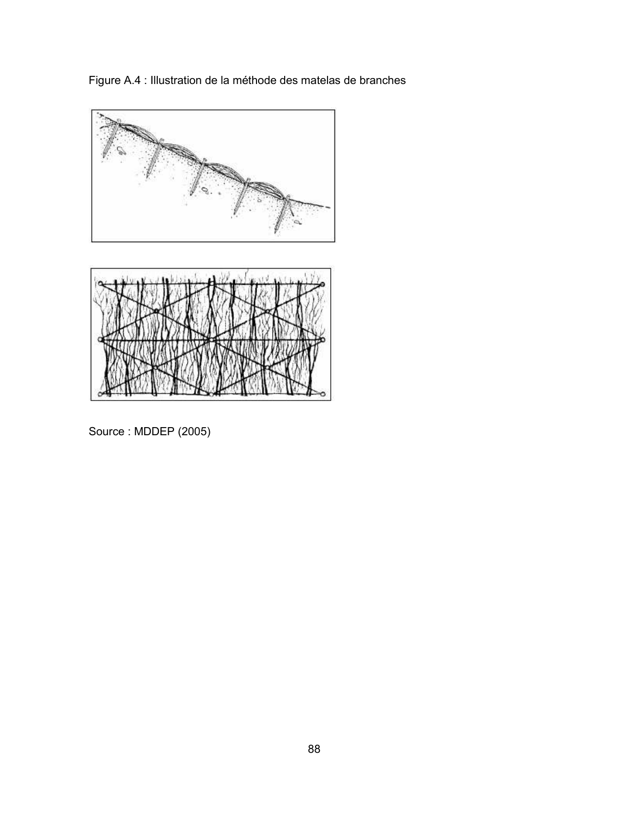Figure A.4 : Illustration de la méthode des matelas de branches



Source: MDDEP (2005)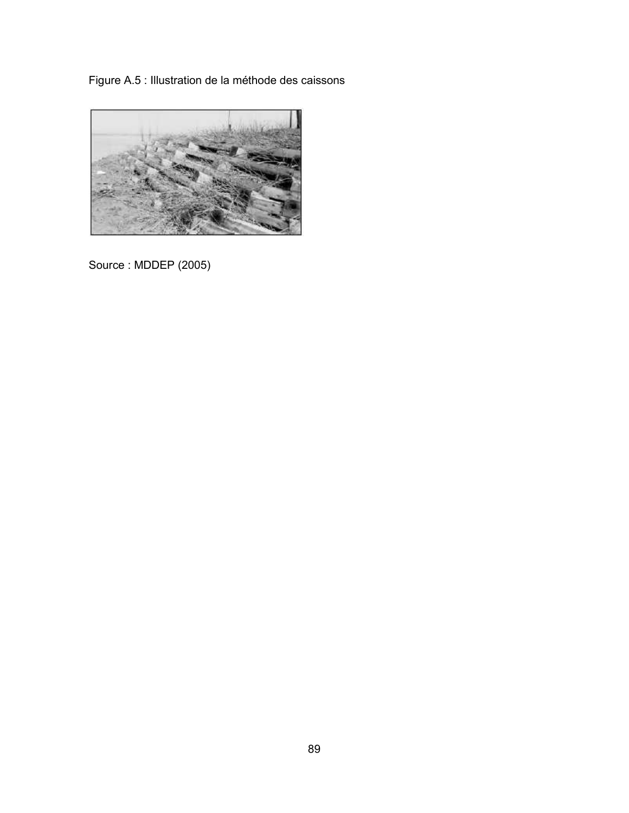Figure A.5 : Illustration de la méthode des caissons



Source: MDDEP (2005)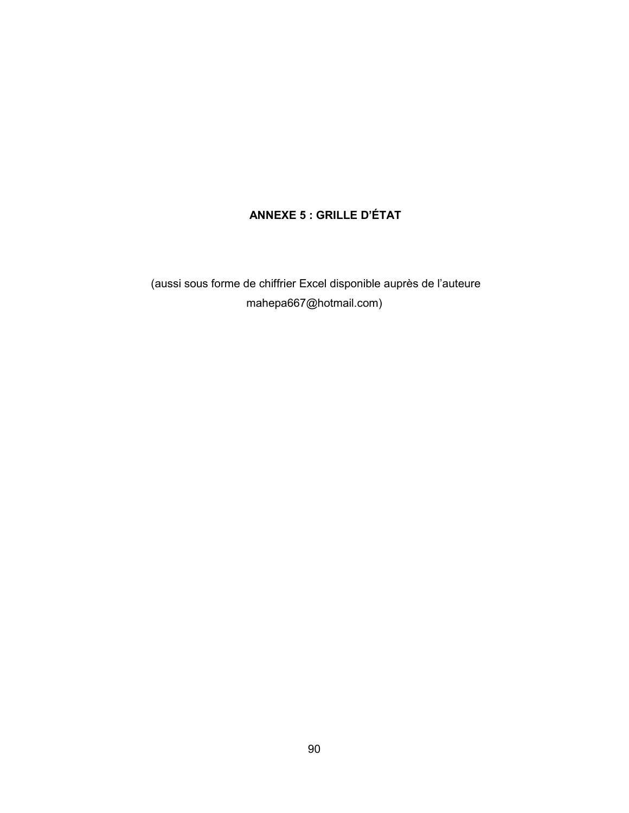# **ANNEXE 5 : GRILLE D'ÉTAT**

(aussi sous forme de chiffrier Excel disponible auprès de l'auteure mahepa667@hotmail.com)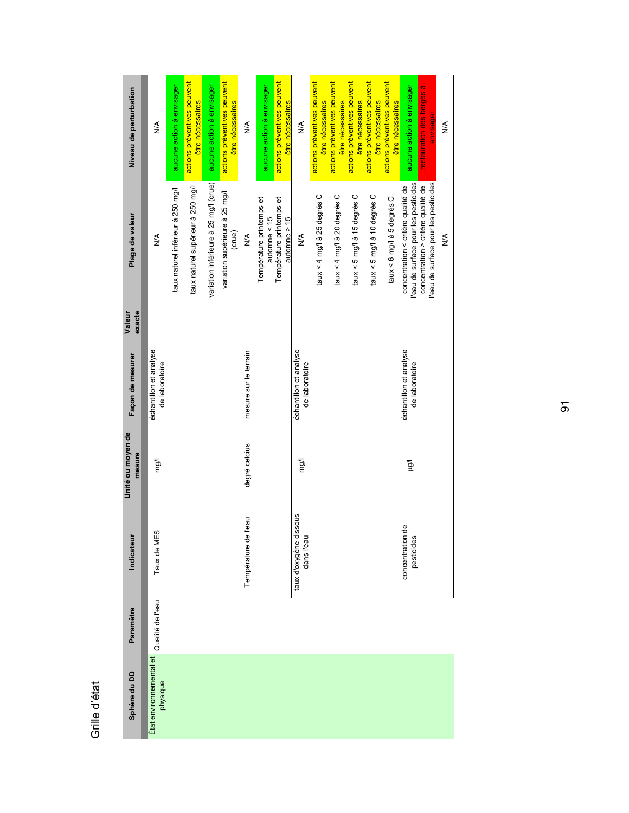| Niveau de perturbation      | $\frac{1}{2}$                            | aucune action à envisager         | actions préventives peuvent<br>être nécessaires | aucune action à envisager             | actions préventives peuvent<br>être nécessaires | ≸                     | aucune action à envisager                | actions préventives peuvent<br>être nécessaires | $\frac{1}{2}$                            | actions préventives peuvent<br>être nécessaires | actions préventives peuvent<br>être nécessaires | actions préventives peuvent<br>être nécessaires | actions préventives peuvent<br>être nécessaires | actions préventives peuvent<br>être nécessaires | aucune action à envisager                                                | restauration des berges à<br>envisager                                    | $\frac{4}{5}$ |
|-----------------------------|------------------------------------------|-----------------------------------|-------------------------------------------------|---------------------------------------|-------------------------------------------------|-----------------------|------------------------------------------|-------------------------------------------------|------------------------------------------|-------------------------------------------------|-------------------------------------------------|-------------------------------------------------|-------------------------------------------------|-------------------------------------------------|--------------------------------------------------------------------------|---------------------------------------------------------------------------|---------------|
| Plage de valeur             | $\frac{1}{2}$                            | taux naturel inférieur à 250 mg/l | taux naturel supérieur à 250 mg/l               | variation inférieure à 25 mg/l (crue) | variation supérieure à 25 mg/l<br>(crue)        | ≸                     | Température printemps et<br>automne < 15 | Température printemps et<br>automne $\geq$ 15   | ≸                                        | taux < 4 mg/l à 25 degrés C                     | taux < 4 mg/l à 20 degrés C                     | taux < 5 mg/l à 15 degrés C                     | taux < 5 mg/l à 10 degrés C                     | taux < 6 mg/l à 5 degrés C                      | eau de surface pour les pesticides<br>concentration < critère qualité de | leau de surface pour les pesticides<br>concentration > critère qualité de | $\frac{1}{2}$ |
| exacte<br>Valeur            |                                          |                                   |                                                 |                                       |                                                 |                       |                                          |                                                 |                                          |                                                 |                                                 |                                                 |                                                 |                                                 |                                                                          |                                                                           |               |
| Façon de mesurer            | échantillon et analyse<br>de laboratoire |                                   |                                                 |                                       |                                                 | mesure sur le terrain |                                          |                                                 | échantillon et analyse<br>de laboratoire |                                                 |                                                 |                                                 |                                                 |                                                 | échantillon et analyse<br>de laboratoire                                 |                                                                           |               |
| Unité ou moyen de<br>mesure | mg/l                                     |                                   |                                                 |                                       |                                                 | degré celcius         |                                          |                                                 | mg/l                                     |                                                 |                                                 |                                                 |                                                 |                                                 | Ρãπ                                                                      |                                                                           |               |
| Indicateu                   | 53<br>Taux de MI                         |                                   |                                                 |                                       |                                                 | Température de l'eau  |                                          |                                                 | taux d'oxygène dissous<br>dans l'eau     |                                                 |                                                 |                                                 |                                                 |                                                 | concentration de<br>pesticides                                           |                                                                           |               |
| Paramètre                   | Qualité de l'eau                         |                                   |                                                 |                                       |                                                 |                       |                                          |                                                 |                                          |                                                 |                                                 |                                                 |                                                 |                                                 |                                                                          |                                                                           |               |
| Sphère du DD                | Etat environnemental et<br>physique      |                                   |                                                 |                                       |                                                 |                       |                                          |                                                 |                                          |                                                 |                                                 |                                                 |                                                 |                                                 |                                                                          |                                                                           |               |

Grille d'état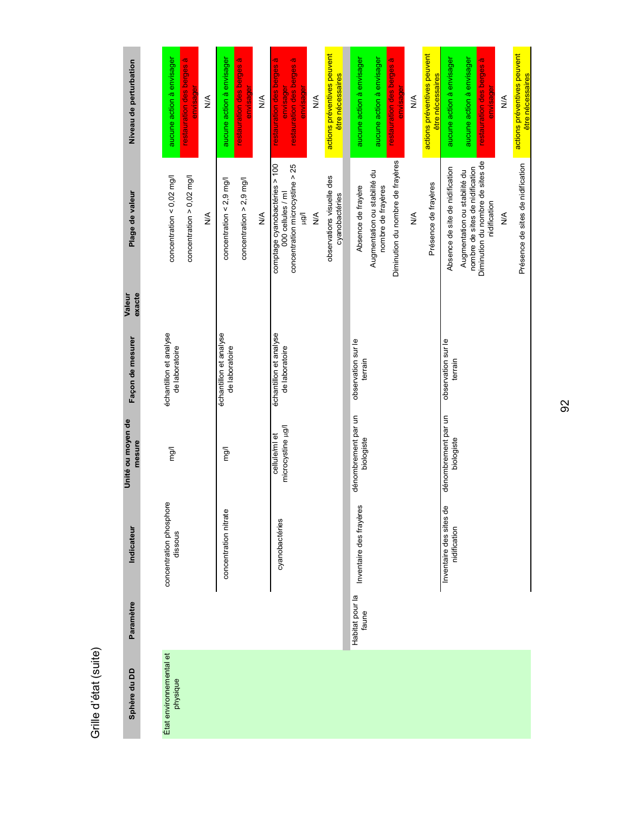| i<br>Ω<br>Ū<br>đ |
|------------------|
| ۳                |
|                  |
|                  |
|                  |
|                  |
|                  |

| Niveau de perturbation      | aucune action à envisager<br>restauration des berges à<br>envisager<br>$\frac{1}{2}$         | aucune action à envisager<br>restauration des berges à<br>envisager<br>$\frac{1}{2}$   | actions préventives peuvent<br>restauration des berges à<br>restauration des berges à<br>être nécessaires<br>envisager<br>envisager<br>≸                      | actions préventives peuvent<br>aucune action à envisager<br>aucune action à envisager<br>restauration des berges à<br>être nécessaires<br>envisager<br>≸        | actions préventives peuvent<br>aucune action à envisager<br>aucune action à envisager<br>restauration des berges à<br>être nécessaires<br>envisager<br>$\frac{1}{2}$                                                   |
|-----------------------------|----------------------------------------------------------------------------------------------|----------------------------------------------------------------------------------------|---------------------------------------------------------------------------------------------------------------------------------------------------------------|-----------------------------------------------------------------------------------------------------------------------------------------------------------------|------------------------------------------------------------------------------------------------------------------------------------------------------------------------------------------------------------------------|
| Plage de valeur             | concentration $> 0.02$ mg/<br>concentration < $0,02 \text{ mg}/1$<br>$\stackrel{\leq}{\geq}$ | concentration $>$ 2,9 mg/l<br>concentration $\leq$ 2,9 mg/l<br>$\stackrel{\leq}{\geq}$ | comptage cyanobactéries > 100<br>concentration microcystine > 25<br>observations visuelle des<br>000 cellules / ml<br>cyanobactéries<br>$\frac{4}{2}$<br>liği | Diminution du nombre de frayères<br>Augmentation ou stabilité du<br>Présence de frayères<br>nombre de frayères<br>Absence de frayère<br>$\stackrel{\leq}{\geq}$ | Diminution du nombre de sites de<br>Présence de sites de nidification<br>Absence de site de nidification<br>nombre de sites de nidification<br>Augmentation ou stabilité du<br>nidification<br>$\stackrel{\leq}{\geq}$ |
| exacte<br>Valeur            |                                                                                              |                                                                                        |                                                                                                                                                               |                                                                                                                                                                 |                                                                                                                                                                                                                        |
| Façon de mesurer            | échantillon et analyse<br>de laboratoire                                                     | échantillon et analyse<br>de laboratoire                                               | échantillon et analyse<br>de laboratoire                                                                                                                      | observation sur le<br>terrain                                                                                                                                   | observation sur le<br>terrain                                                                                                                                                                                          |
| Unité ou moyen de<br>mesure | lou                                                                                          | mg/l                                                                                   | microcystine µg/l<br>cellule/ml et                                                                                                                            | dénombrement par un<br>biologiste                                                                                                                               | dénombrement par un<br>biologiste                                                                                                                                                                                      |
| Indicateur                  | ഉ<br>concentration phosphor<br>dissous                                                       | concentration nitrate                                                                  | cyanobactéries                                                                                                                                                | Inventaire des frayères                                                                                                                                         | Inventaire des sites de<br>nidification                                                                                                                                                                                |
| Paramètre                   |                                                                                              |                                                                                        |                                                                                                                                                               | Habitat pour la<br>faune                                                                                                                                        |                                                                                                                                                                                                                        |
| Sphère du DD                | État environnemental et<br>physique                                                          |                                                                                        |                                                                                                                                                               |                                                                                                                                                                 |                                                                                                                                                                                                                        |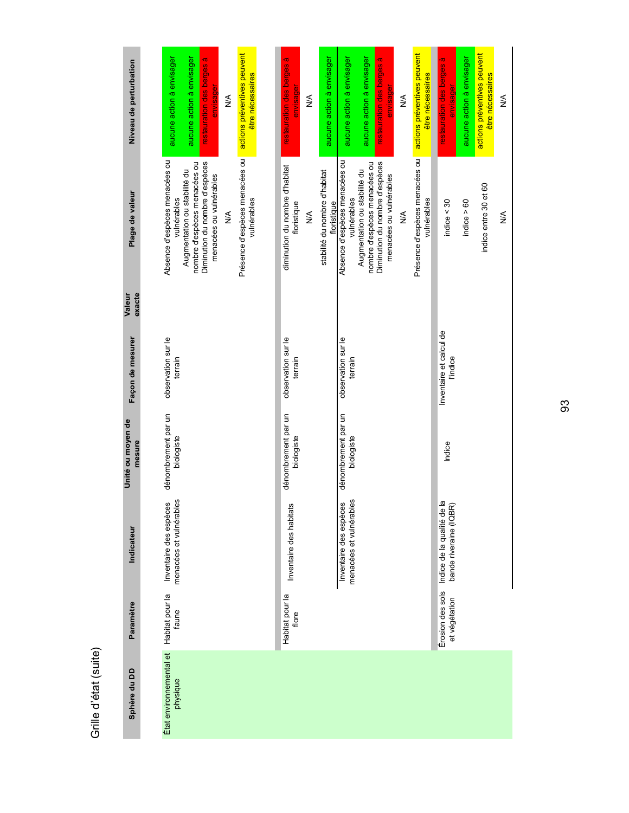Grille d'état (suite)

| Niveau de perturbation      | actions préventives peuvent<br>aucune action à envisager<br>restauration des berges à<br>aucune action à envisager<br>être nécessaires<br>envisager<br>⋚                                                                        | aucune action à envisager<br>restauration des berges à<br>envisager<br>⋚                           | actions préventives peuvent<br>aucune action à envisager<br>aucune action à envisager<br>restauration des berges à<br>être nécessaires<br>envisagei<br>⋚                                                                        | actions préventives peuvent<br>aucune action à envisager<br>restauration des berges à<br>être nécessaires<br>envisager<br>≸ |
|-----------------------------|---------------------------------------------------------------------------------------------------------------------------------------------------------------------------------------------------------------------------------|----------------------------------------------------------------------------------------------------|---------------------------------------------------------------------------------------------------------------------------------------------------------------------------------------------------------------------------------|-----------------------------------------------------------------------------------------------------------------------------|
| Plage de valeur             | Présence d'espèces menacées ou<br>Absence d'espèces menacées ou<br>Diminution du nombre d'espèces<br>nombre d'espèces menacées ou<br>Augmentation ou stabilité du<br>menacées ou vulnérables<br>vulnérables<br>vulnérables<br>≸ | diminution du nombre d'habitat<br>stabilité du nombre d'habitat<br>floristique<br>floristique<br>≸ | Présence d'espèces menacées ou<br>Absence d'espèces menacées ou<br>Diminution du nombre d'espèces<br>nombre d'espèces menacées ou<br>Augmentation ou stabilité du<br>menacées ou vulnérables<br>vulnérables<br>vulnérables<br>≸ | indice entre 30 et 60<br>indice > 60<br>indice < 30<br>≸                                                                    |
| exacte<br>Valeur            |                                                                                                                                                                                                                                 |                                                                                                    |                                                                                                                                                                                                                                 |                                                                                                                             |
| Façon de mesurer            | observation sur le<br>terrain                                                                                                                                                                                                   | observation sur le<br>terrain                                                                      | observation sur le<br>terrain                                                                                                                                                                                                   | Inventaire et calcul de<br>l'indice                                                                                         |
| Unité ou moyen de<br>mesure | dénombrement par un<br>biologiste                                                                                                                                                                                               | dénombrement par un<br>biologiste                                                                  | dénombrement par un<br>biologiste                                                                                                                                                                                               | Indice                                                                                                                      |
| Indicateur                  | menacées et vulnérables<br>Inventaire des espèces                                                                                                                                                                               | Inventaire des habitats                                                                            | menacées et vulnérables<br>Inventaire des espèces                                                                                                                                                                               | Indice de la qualité de la<br>bande riveraine (IQBR)                                                                        |
| Paramètre                   | Habitat pour la<br>faune                                                                                                                                                                                                        | Habitat pour la<br>flore                                                                           |                                                                                                                                                                                                                                 | Érosion des sols<br>et végétation                                                                                           |
| Sphère du DD                | État environnemental et<br>physique                                                                                                                                                                                             |                                                                                                    |                                                                                                                                                                                                                                 |                                                                                                                             |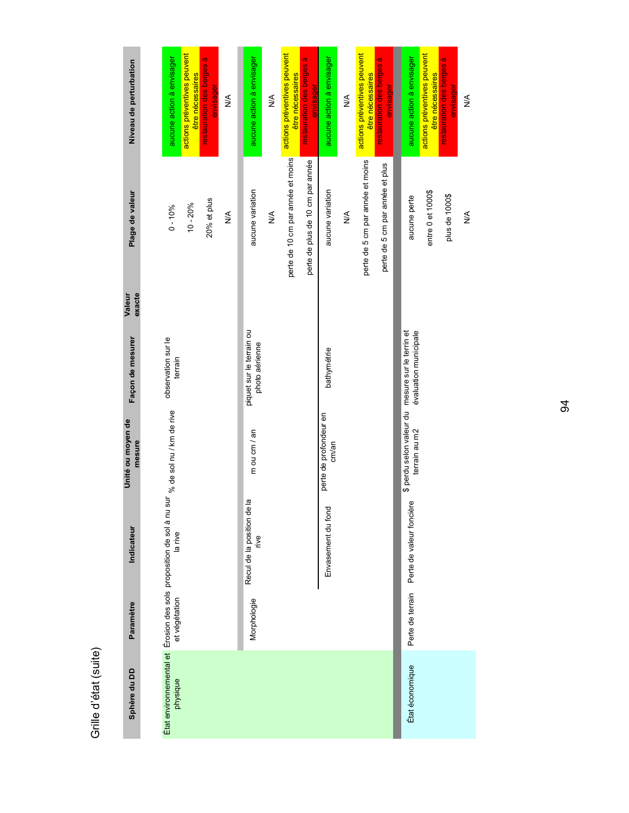Grille d'état (suite)

| Niveau de perturbation      | actions préventives peuvent<br>aucune action à envisager<br>restauration des berges à<br>être nécessaires<br>envisager<br>$\frac{4}{5}$ | actions préventives peuvent<br>aucune action à envisager<br>restauration des berges à<br>être nécessaires<br>envisager<br>≸ | actions préventives peuvent<br>aucune action à envisager<br>restauration des berges à<br>être nécessaires<br>envisager<br>$\frac{4}{2}$ | actions préventives peuvent<br>aucune action à envisager<br>restauration des berges à<br>être nécessaires<br>envisager<br>⋚ |
|-----------------------------|-----------------------------------------------------------------------------------------------------------------------------------------|-----------------------------------------------------------------------------------------------------------------------------|-----------------------------------------------------------------------------------------------------------------------------------------|-----------------------------------------------------------------------------------------------------------------------------|
| Plage de valeur             | 20% et plus<br>$10 - 20%$<br>$0 - 10%$<br>$\frac{1}{2}$                                                                                 | perte de 10 cm par année et moins<br>perte de plus de 10 cm par année<br>aucune variation<br>$\stackrel{\leq}{\geq}$        | perte de 5 cm par année et moins<br>perte de 5 cm par année et plus<br>aucune variation<br>$\frac{4}{2}$                                | entre 0 et 1000\$<br>plus de 1000\$<br>aucune perte<br>$\frac{1}{2}$                                                        |
| exacte<br>Valeur            |                                                                                                                                         |                                                                                                                             |                                                                                                                                         |                                                                                                                             |
| Façon de mesurer            | observation sur le<br>terrain                                                                                                           | piquet sur le terrain ou<br>photo aérienne                                                                                  | bathymétrie                                                                                                                             | évaluation municipale                                                                                                       |
| Unité ou moyen de<br>mesure |                                                                                                                                         | m ou cm / an                                                                                                                | perte de profondeur en<br>cm/an                                                                                                         | \$ perdu selon valeur du mesure sur le terrin et<br>terrain au m2                                                           |
| Indicateur                  | Érosion des sols proposition de sol à nu sur % de sol nu / km de rive<br>la rive                                                        | $\overline{a}$<br>Recul de la position de<br>rive                                                                           | Envasement du fond                                                                                                                      | Perte de valeur foncière                                                                                                    |
| Paramètre                   | et végétation                                                                                                                           | Morphologie                                                                                                                 |                                                                                                                                         | Perte de terrain                                                                                                            |
| Sphère du DD                | État environnemental et<br>physique                                                                                                     |                                                                                                                             |                                                                                                                                         | État économique                                                                                                             |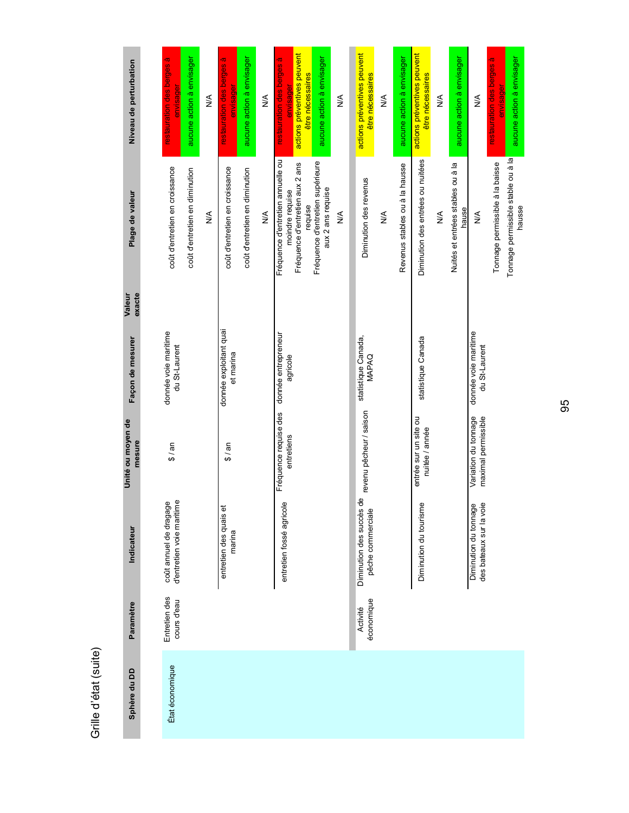| í      |
|--------|
|        |
|        |
| ı      |
|        |
| ï      |
|        |
|        |
|        |
| ١      |
|        |
|        |
|        |
|        |
| l<br>ŕ |
|        |
|        |
| ŗ      |
|        |
|        |
|        |
|        |
|        |
|        |
|        |

| Niveau de perturbation      | restauration des berges à                        | aucune action à envisager<br>envisager | $\stackrel{\leq}{\geq}$ | restauration des berges à<br>envisager | aucune action à envisager      | $\frac{4}{2}$ | restauration des berges à<br>envisager               | actions préventives peuvent<br>être nécessaires | aucune action à envisager                             | $\frac{4}{2}$ | actions préventives peuvent<br>être nécessaires | ⋚ | aucune action à envisager      | actions préventives peuvent<br>être nécessaires | $\frac{4}{2}$ | aucune action à envisager                  | ⋚                                                | restauration des berges à<br>envisager | aucune action à envisager                    |
|-----------------------------|--------------------------------------------------|----------------------------------------|-------------------------|----------------------------------------|--------------------------------|---------------|------------------------------------------------------|-------------------------------------------------|-------------------------------------------------------|---------------|-------------------------------------------------|---|--------------------------------|-------------------------------------------------|---------------|--------------------------------------------|--------------------------------------------------|----------------------------------------|----------------------------------------------|
| Plage de valeur             | coût d'entretien en croissance                   | coût d'entretien en diminution         | $\frac{1}{2}$           | coût d'entretien en croissance         | coût d'entretien en diminution | $\frac{1}{2}$ | Fréquence d'entretien annuelle ou<br>moindre requise | Fréquence d'entretien aux 2 ans<br>requise      | Fréquence d'entretien supérieure<br>aux 2 ans requise | ⋚             | Diminution des revenus                          | ≸ | Revenus stables ou à la hausse | Diminution des entrées ou nuitées               | $\frac{4}{2}$ | Nuités et entrées stables ou à la<br>hause | ≸                                                | Tonnage permissible à la baisse        | Tonnage permissible stable ou à la<br>hausse |
| exacte<br>valeur            |                                                  |                                        |                         |                                        |                                |               |                                                      |                                                 |                                                       |               |                                                 |   |                                |                                                 |               |                                            |                                                  |                                        |                                              |
| Façon de mesurer            | donnée voie maritime                             | du St-Laurent                          |                         | donnée exploitant quai<br>et marina    |                                |               | donnée entrepreneur<br>agricole                      |                                                 |                                                       |               | statistique Canada,<br>MAPAQ                    |   |                                | statistique Canada                              |               |                                            | donnée voie maritime<br>du St-Laurent            |                                        |                                              |
| Unite ou moyen de<br>mesure | \$/ an                                           |                                        |                         | \$/ an                                 |                                |               | Fréquence requise des<br>entretiens                  |                                                 |                                                       |               | revenu pêcheur / saison                         |   |                                | entrée sur un site ou<br>nuitée / année         |               |                                            | Variation du tonnage<br>maximal permissible      |                                        |                                              |
| Indicateur                  | $\overline{\mathbf{C}}$<br>coût annuel de dragag | d'entretien voie maritime              |                         | entretien des quais et<br>marina       |                                |               | Φ<br>entretien fossé agricol                         |                                                 |                                                       |               | Diminution des succès de<br>pêche commerciale   |   |                                | Φ<br>Diminution du tourism                      |               |                                            | des bateaux sur la voie<br>Diminution du tonnage |                                        |                                              |
| Paramètre                   | Entretien des                                    | cours d'eau                            |                         |                                        |                                |               |                                                      |                                                 |                                                       |               | économique<br>Activité                          |   |                                |                                                 |               |                                            |                                                  |                                        |                                              |
| Sphère du DD                | État économique                                  |                                        |                         |                                        |                                |               |                                                      |                                                 |                                                       |               |                                                 |   |                                |                                                 |               |                                            |                                                  |                                        |                                              |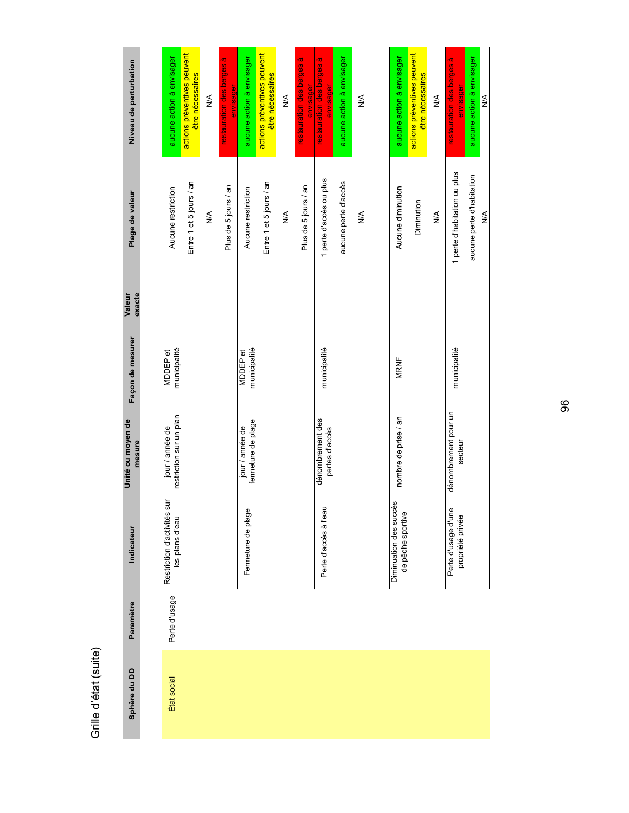Grille d'état (suite)

| Niveau de perturbation      | aucune action à envisager                      | actions préventives peuvent<br>être nécessaires | ⋚                       | restauration des berges à<br>envisager | aucune action à envisager             | actions préventives peuvent<br>être nécessaires | $\frac{4}{2}$           | restauration des berges à<br>envisager | restauration des berges à<br>envisager | aucune action à envisager | ⋚ | aucune action à envisager                   | actions préventives peuvent<br>être nécessaires | ≸                       | restauration des berges à<br>envisager  | aucune action à envisager<br>≸ |
|-----------------------------|------------------------------------------------|-------------------------------------------------|-------------------------|----------------------------------------|---------------------------------------|-------------------------------------------------|-------------------------|----------------------------------------|----------------------------------------|---------------------------|---|---------------------------------------------|-------------------------------------------------|-------------------------|-----------------------------------------|--------------------------------|
| Plage de valeur             | Aucune restriction                             | Entre 1 et 5 jours / an                         | $\stackrel{\leq}{\geq}$ | Plus de 5 jours / an                   | Aucune restriction                    | Entre 1 et 5 jours / an                         | $\stackrel{\leq}{\geq}$ | Plus de 5 jours / an                   | 1 perte d'accès ou plus                | aucune perte d'accès      | ⋚ | Aucune diminution                           | Diminution                                      | $\stackrel{\leq}{\geq}$ | 1 perte d'habitation ou plus            | aucune perte d'habitation<br>≸ |
| exacte<br>Valeur            |                                                |                                                 |                         |                                        |                                       |                                                 |                         |                                        |                                        |                           |   |                                             |                                                 |                         |                                         |                                |
| Façon de mesurer            | municipalité<br>MDDEP <sub>et</sub>            |                                                 |                         |                                        | municipalité<br>MDDEP <sub>et</sub>   |                                                 |                         |                                        | municipalité                           |                           |   | MRNF                                        |                                                 |                         | municipalité                            |                                |
| Unité ou moyen de<br>mesure | restriction sur un plan<br>jour / année de     |                                                 |                         |                                        | fermeture de plage<br>jour / année de |                                                 |                         |                                        | dénombrement des<br>pertes d'accès     |                           |   | nombre de prise / an                        |                                                 |                         | dénombrement pour un<br>secteur         |                                |
| <b>Indicateur</b>           | Restriction d'activités sur<br>les plans d'eau |                                                 |                         |                                        | Fermeture de plage                    |                                                 |                         |                                        | Perte d'accès à l'eau                  |                           |   | Diminuation des succès<br>de pêche sportive |                                                 |                         | Perte d'usage d'une<br>propriété privée |                                |
| Paramètre                   | Perte d'usage                                  |                                                 |                         |                                        |                                       |                                                 |                         |                                        |                                        |                           |   |                                             |                                                 |                         |                                         |                                |
| Sphère du DD                | État social                                    |                                                 |                         |                                        |                                       |                                                 |                         |                                        |                                        |                           |   |                                             |                                                 |                         |                                         |                                |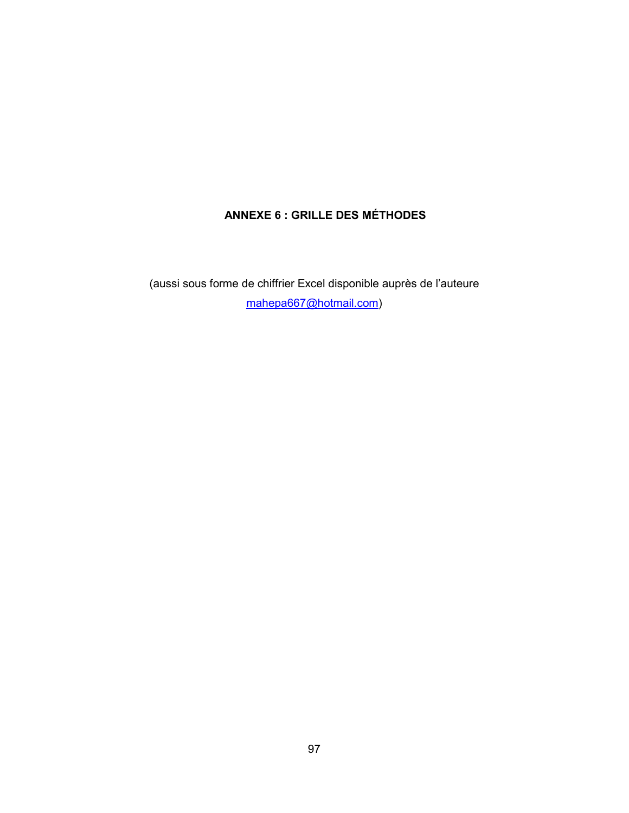## **ANNEXE 6 : GRILLE DES MÉTHODES**

(aussi sous forme de chiffrier Excel disponible auprès de l'auteure mahepa667@hotmail.com)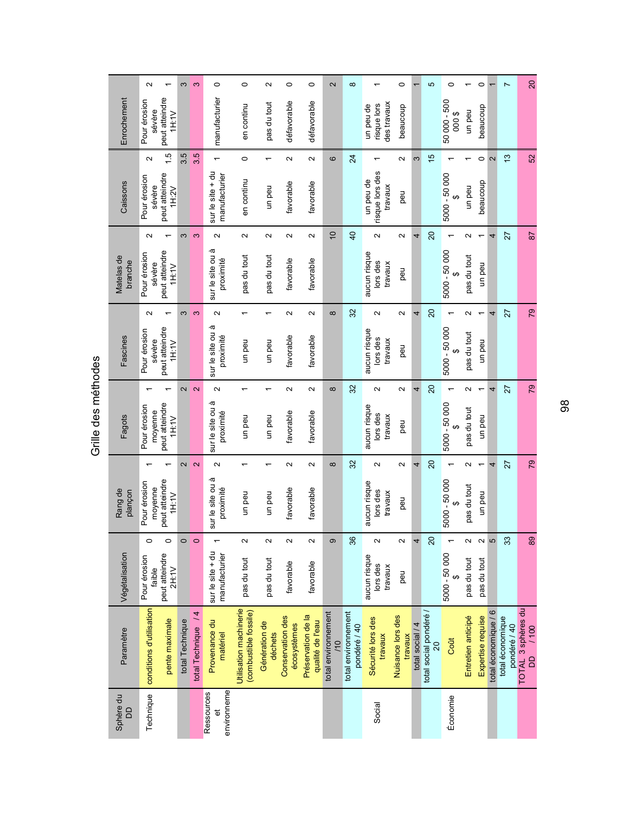Grille des méthodes

|                       | $\sim$                   |                                | ω               | က                   | $\circ$                               | $\circ$                                         | $\sim$                   | $\circ$                         | 0                                      | 2                                      | $\infty$                            |                                         | 0                            |                  | 5                                        | 0                        |                    | $\circ$                  |                      | $\overline{ }$                   | $\infty$                         |
|-----------------------|--------------------------|--------------------------------|-----------------|---------------------|---------------------------------------|-------------------------------------------------|--------------------------|---------------------------------|----------------------------------------|----------------------------------------|-------------------------------------|-----------------------------------------|------------------------------|------------------|------------------------------------------|--------------------------|--------------------|--------------------------|----------------------|----------------------------------|----------------------------------|
| Enrochement           | Pour érosion<br>sévère   | peut atteindre<br><b>TH:1V</b> |                 |                     | manufacturier                         | en continu                                      | pas du tout              | défavorable                     | défavorable                            |                                        |                                     | des travaux<br>risque lors<br>un peu de | beaucoup                     |                  |                                          | 50 000 - 500<br>000\$    | un peu             | peaucoup                 |                      |                                  |                                  |
|                       | $\sim$                   | $\frac{5}{1}$                  | 3.5             | 3.5                 | $\overline{\phantom{0}}$              | $\circ$                                         | $\overline{ }$           | $\sim$                          | $\sim$                                 | 6                                      | $\overline{24}$                     |                                         | $\mathbf{\Omega}$            | 3                | $\frac{1}{2}$                            | $\overline{ }$           |                    | $\circ$                  | $\mathbf{\Omega}$    | ű                                | 52                               |
| Caissons              | Pour érosion<br>sévère   | peut atteindre<br>1H:2V        |                 |                     | $sur$ le site $+ du$<br>manufacturier | en continu                                      | un peu                   | favorable                       | favorable                              |                                        |                                     | risque lors des<br>un peu de<br>travaux | peu                          |                  |                                          | 5000 - 50 000            | un peu             | beaucoup                 |                      |                                  |                                  |
|                       | $\sim$                   | $\overline{ }$                 | ω               | S                   | $\sim$                                | $\sim$                                          | $\sim$                   | $\sim$                          | $\sim$                                 | $\overline{0}$                         | $\overline{4}$                      | $\sim$                                  | $\sim$                       | 4                | $\Omega$                                 | $\overline{ }$           | $\sim$             | $\overline{\phantom{0}}$ | 4                    | 27                               | $\overline{8}$                   |
| Matelas de<br>branche | Pour érosion<br>sévère   | peut atteindre<br>VI-HI        |                 |                     | ۰w<br>sur le site ou<br>proximité     | pas du tout                                     | pas du tout              | favorable                       | favorable                              |                                        |                                     | aucun risque<br>lors des<br>travaux     | peu                          |                  |                                          | 5000 - 50 000            | pas du tout        | un peu                   |                      |                                  |                                  |
|                       | $\sim$                   |                                | S               | $\infty$            | $\sim$                                |                                                 |                          | $\sim$                          | $\sim$                                 | $\infty$                               | 32                                  | $\sim$                                  | $\mathbf{\Omega}$            | 4                | $\Omega$                                 |                          | $\mathbf{\Omega}$  | ᠇                        | 4                    | 27                               | 79                               |
| Fascines              | Pour érosion<br>sévère   | peut atteindre<br>1H:1V        |                 |                     | ۰w<br>sur le site ou<br>proximité     | un peu                                          | un peu                   | favorable                       | favorable                              |                                        |                                     | aucun risque<br>lors des<br>travaux     | peu                          |                  |                                          | 5000 - 50 000            | pas du tout        | un peu                   |                      |                                  |                                  |
|                       |                          |                                | 2               | $\mathbf{\Omega}$   | $\sim$                                |                                                 |                          | $\sim$                          | $\sim$                                 | $\infty$                               | 32                                  | $\mathbf{\Omega}$                       | $\sim$                       | 4                | $\Omega$                                 |                          | $\sim$             | $\overline{ }$           | 4                    | 27                               | 79                               |
| Fagots                | Pour érosion<br>moyenne  | peut atteindre<br>1H:1V        |                 |                     | ۰w<br>sur le site ou<br>proximité     | un peu                                          | un peu                   | favorable                       | favorable                              |                                        |                                     | aucun risque<br>lors des<br>travaux     | peu                          |                  |                                          | 5000 - 50 000            | pas du tout        | un peu                   |                      |                                  |                                  |
|                       |                          |                                | 2               | $\mathbf{\Omega}$   | $\sim$                                |                                                 |                          | $\sim$                          | $\sim$                                 | $\infty$                               | 32                                  | $\mathbf{\Omega}$                       | $\mathbf{\Omega}$            | 4                | $\Omega$                                 |                          | Σ                  |                          | 4                    | 27                               | 79                               |
| Rang de<br>plançon    | Pour érosion<br>moyenne  | peut atteindre<br><b>VLHV</b>  |                 |                     | ۰w<br>sur le site ou<br>proximité     | un peu                                          | un peu                   | favorable                       | favorable                              |                                        |                                     | aucun risque<br>lors des<br>travaux     | peu                          |                  |                                          | 5000 - 50 000            | pas du tout        | un peu                   |                      |                                  |                                  |
|                       | $\circ$                  | $\circ$                        | $\circ$         | $\circ$             |                                       | $\mathbf{\Omega}$                               | $\mathbf{\Omega}$        | $\mathbf{\Omega}$               | 2                                      | ၜ                                      | 36                                  | $\mathbf{\Omega}$                       | 2                            | 4                | $\Omega$                                 | $\overline{\phantom{0}}$ | 2                  | $\sim$                   | Б                    | 33                               | 89                               |
| Végétalisation        | Pour érosion<br>faible   | peut atteindre<br>2H:1V        |                 |                     | $sur$ le site $+ du$<br>manufacturier | pas du tout                                     | pas du tout              | favorable                       | favorable                              |                                        |                                     | aucun risque<br>lors des<br>travaux     | peu                          |                  |                                          | 5000 - 50 000            | pas du tout        | pas du tout              |                      |                                  |                                  |
| Paramètre             | conditions d'utilisation | pente maximale                 | total Technique | total Technique / 4 | Provenance du<br>matériel             | Utilisation machinerie<br>(combustible fossile) | Génération de<br>déchets | Conservation des<br>écosystèmes | Préservation de la<br>qualité de l'eau | total environnement<br>10 <sub>1</sub> | total environnement<br>pondéré / 40 | Sécurité lors des<br>travaux            | Nuisance lors des<br>travaux | total social / 4 | total social pondéré /<br>$\overline{a}$ | Coût                     | Entretien anticipé | Expertise requise        | total économique / 6 | total économique<br>pondéré / 40 | TOTAL 3 sphères du<br>1100<br>bb |
| Sphère du<br>6        | Technique                |                                |                 |                     | environneme<br>Ressources<br>ť        |                                                 |                          |                                 |                                        |                                        |                                     | Social                                  |                              |                  |                                          | Économie                 |                    |                          |                      |                                  |                                  |

98